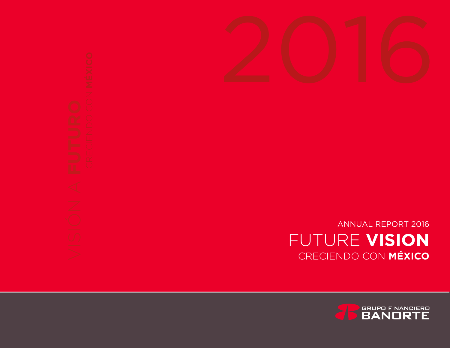



ANNUAL REPORT 2016 FUTURE **VISION** CRECIENDO CON **MÉXICO**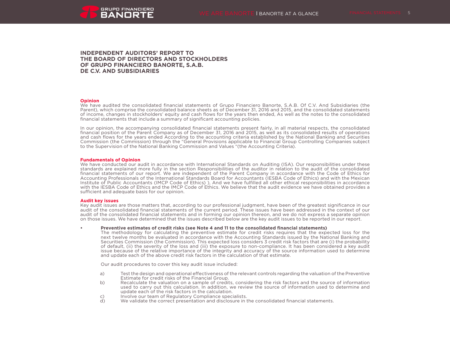

# **INDEPENDENT AUDITORS' REPORT TO THE BOARD OF DIRECTORS AND STOCKHOLDERS OF GRUPO FINANCIERO BANORTE, S.A.B. DE C.V. AND SUBSIDIARIES**

#### **Opinion**

We have audited the consolidated financial statements of Grupo Financiero Banorte, S.A.B. Of C.V. And Subsidiaries (the Parent), which comprise the consolidated balance sheets as of December 31, 2016 and 2015, and the consolidated statements of income, changes in stockholders' equity and cash flows for the years then ended, As well as the notes to the consolidated financial statements that include a summary of significant accounting policies.

In our opinion, the accompanying consolidated financial statements present fairly, in all material respects, the consolidated financial position of the Parent Company as of December 31, 2016 and 2015, as well as its consolidated results of operations and cash flows for the years ended According to the accounting criteria established by the National Banking and Securities Commission (the Commission) through the "General Provisions applicable to Financial Group Controlling Companies subject to the Supervision of the National Banking Commission and Values "(the Accounting Criteria).

#### **Fundamentals of Opinion**

We have conducted our audit in accordance with International Standards on Auditing (ISA). Our responsibilities under these standards are explained more fully in the section Responsibilities of the auditor in relation to the audit of the consolidated financial statements of our report. We are independent of the Parent Company in accordance with the Code of Ethics for Accounting Professionals of the International Standards Board for Accountants (IESBA Code of Ethics) and with the Mexican Institute of Public Accountants (IMCP Code of Ethics) ), And we have fulfilled all other ethical responsibilities in accordance with the IESBA Code of Ethics and the IMCP Code of Ethics. We believe that the audit evidence we have obtained provides a sufficient and adequate basis for our opinion.

#### **Audit key issues**

Key audit issues are those matters that, according to our professional judgment, have been of the greatest significance in our audit of the consolidated financial statements of the current period. These issues have been addressed in the context of our audit of the consolidated financial statements and in forming our opinion thereon, and we do not express a separate opinion on those issues. We have determined that the issues described below are the key audit issues to be reported in our report.

#### **• Preventive estimates of credit risks (see Note 4 and 11 to the consolidated financial statements)**

The methodology for calculating the preventive estimate for credit risks requires that the expected loss for the next twelve months be evaluated in accordance with the Accounting Standards issued by the National Banking and Securities Commission (the Commission). This expected loss considers 3 credit risk factors that are (i) the probability of default, (ii) the severity of the loss and (iii) the exposure to non-compliance. It has been considered a key audit issue because of the relative importance of the integrity and accuracy of the source information used to determine and update each of the above credit risk factors in the calculation of that estimate.

Our audit procedures to cover this key audit issue included:

- a) Test the design and operational effectiveness of the relevant controls regarding the valuation of the Preventive Estimate for credit risks of the Financial Group.
- b) Recalculate the valuation on a sample of credits, considering the risk factors and the source of information used to carry out this calculation. In addition, we review the source of information used to determine and update each of the risk factors in the calculation.
- c) Involve our team of Regulatory Compliance specialists.<br>
d) We validate the correct presentation and disclosure in t
- We validate the correct presentation and disclosure in the consolidated financial statements.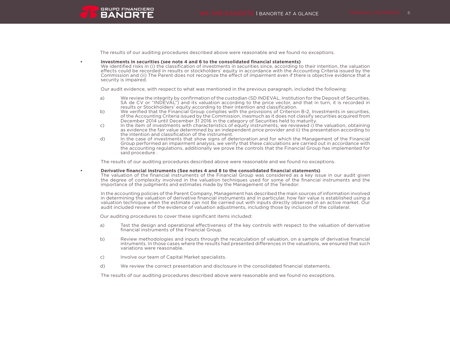

The results of our auditing procedures described above were reasonable and we found no exceptions.

#### **• Investments in securities (see note 4 and 6 to the consolidated financial statements)**

We identified risks in (i) the classification of investments in securities since, according to their intention, the valuation effects could be recorded in results or stockholders' equity in accordance with the Accounting Criteria issued by the Commission and (ii) The Parent does not recognize the effect of impairment even if there is objective evidence that a security is impaired.

Our audit evidence, with respect to what was mentioned in the previous paragraph, included the following:

- a) We review the integrity by confirmation of the custodian (SD INDEVAL, Institution for the Deposit of Securities, SA de CV or "INDEVAL") and its valuation according to the price vector, and that in turn, it is recorded in results or Stockholders' equity according to their intention and classification.
- b) We verified that the Financial Group complies with the provisions of Criterion B-2, Investments in securities, of the Accounting Criteria issued by the Commission, inasmuch as it does not classify securities acquired from December 2014 until December 31 2016 in the category of Securities held to maturity.
- c) In the item of investments with characteristics of equity instruments, we reviewed i) the valuation, obtaining as evidence the fair value determined by an independent price provider and ii) the presentation according to the intention and classification of the instrument.
- d) In the case of investments that show signs of deterioration and for which the Management of the Financial Group performed an impairment analysis, we verify that these calculations are carried out in accordance with the accounting regulations, additionally we prove the controls that the Financial Group has implemented for said procedure .

The results of our auditing procedures described above were reasonable and we found no exceptions.

#### **• Derivative financial instruments (See notes 4 and 8 to the consolidated financial statements)**

The valuation of the financial instruments of the Financial Group was considered as a key issue in our audit given the degree of complexity involved in the valuation techniques used for some of the financial instruments and the importance of the judgments and estimates made by the Management of the Tenedor.

In the accounting policies of the Parent Company, Management has described the main sources of information involved in determining the valuation of derivative financial instruments and in particular, how fair value is established using a valuation technique when the estimate can not Be carried out with inputs directly observed in an active market. Our audit included review of the evidence of valuation adjustments, including those by inclusion of the collateral.

Our auditing procedures to cover these significant items included:

- a) Test the design and operational effectiveness of the key controls with respect to the valuation of derivative financial instruments of the Financial Group.
- b) Review methodologies and inputs through the recalculation of valuation, on a sample of derivative financial intruments. In those cases where the results had presented differences in the valuations, we ensured that such variations were reasonable.
- c) Involve our team of Capital Market specialists.
- d) We review the correct presentation and disclosure in the consolidated financial statements.

The results of our auditing procedures described above were reasonable and we found no exceptions.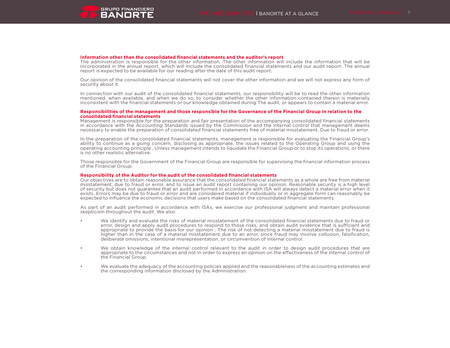

#### **Information other than the consolidated financial statements and the auditor's report**

The administration is responsible for the other information. The other information will include the information that will be incorporated in the annual report, which will include the consolidated financial statements and our audit report. The annual report is expected to be available for our reading after the date of this audit report.

Our opinion of the consolidated financial statements will not cover the other information and we will not express any form of security about it.

In connection with our audit of the consolidated financial statements, our responsibility will be to read the other information mentioned, when available, and when we do so, to consider whether the other information contained therein is materially inconsistent with the financial statements or our knowledge obtained during The audit, or appears to contain a material error.

#### **Responsibilities of the management and those responsible for the Governance of the Financial Group in relation to the consolidated financial statements**

Management is responsible for the preparation and fair presentation of the accompanying consolidated financial statements in accordance with the Accounting Standards issued by the Commission and the internal control that management deems necessary to enable the preparation of consolidated financial statements free of material misstatement, Due to fraud or error.

In the preparation of the consolidated financial statements, management is responsible for evaluating the Financial Group's ability to continue as a going concern, disclosing as appropriate, the issues related to the Operating Group and using the operating accounting principle , Unless management intends to liquidate the Financial Group or to stop its operations, or there is no other realistic alternative.

Those responsible for the Government of the Financial Group are responsible for supervising the financial information process of the Financial Group.

### **Responsibility of the Auditor for the audit of the consolidated financial statements**

Our objectives are to obtain reasonable assurance that the consolidated financial statements as a whole are free from material misstatement, due to fraud or error, and to issue an audit report containing our opinion. Reasonable security is a high level of security but does not guarantee that an audit performed in accordance with ISA will always detect a material error when it exists. Errors may be due to fraud or error and are considered material if individually or in aggregate form can reasonably be expected to influence the economic decisions that users make based on the consolidated financial statements.

As part of an audit performed in accordance with ISAs, we exercise our professional judgment and maintain professional skepticism throughout the audit. We also:

- We identify and evaluate the risks of material misstatement of the consolidated financial statements due to fraud or error, design and apply audit procedures to respond to those risks, and obtain audit evidence that is sufficient and appropriate to provide the basis for our opinion . The risk of not detecting a material misstatement due to fraud is higher than in the case of a material misstatement due to an error, since fraud may involve collusion, falsification, deliberate omissions, intentional misrepresentation, or circumvention of internal control.
- We obtain knowledge of the internal control relevant to the audit in order to design audit procedures that are appropriate to the circumstances and not in order to express an opinion on the effectiveness of the internal control of the Financial Group.
- We evaluate the adequacy of the accounting policies applied and the reasonableness of the accounting estimates and the corresponding information disclosed by the Administration.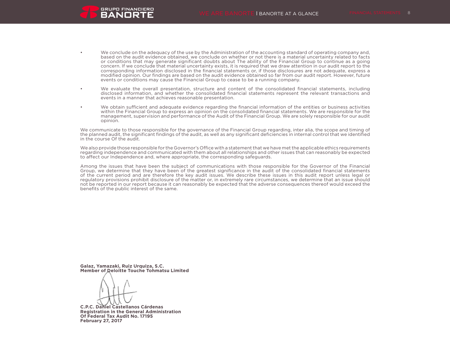

- We conclude on the adequacy of the use by the Administration of the accounting standard of operating company and, based on the audit evidence obtained, we conclude on whether or not there is a material uncertainty related to facts or conditions that may generate significant doubts about The ability of the Financial Group to continue as a going concern. If we conclude that material uncertainty exists, it is required that we draw attention in our audit report to the corresponding information disclosed in the financial statements or, if those disclosures are not adequate, express a modified opinion. Our findings are based on the audit evidence obtained so far from our audit report. However, future events or conditions may cause the Financial Group to cease to be a running company.
- We evaluate the overall presentation, structure and content of the consolidated financial statements, including disclosed information, and whether the consolidated financial statements represent the relevant transactions and events in a manner that achieves reasonable presentation.
- We obtain sufficient and adequate evidence regarding the financial information of the entities or business activities within the Financial Group to express an opinion on the consolidated financial statements. We are responsible for the management, supervision and performance of the Audit of the Financial Group. We are solely responsible for our audit opinion.

We communicate to those responsible for the governance of the Financial Group regarding, inter alia, the scope and timing of the planned audit, the significant findings of the audit, as well as any significant deficiencies in internal control that we identified in the course Of the audit.

We also provide those responsible for the Governor's Office with a statement that we have met the applicable ethics requirements regarding independence and communicated with them about all relationships and other issues that can reasonably be expected to affect our Independence and, where appropriate, the corresponding safeguards.

Among the issues that have been the subject of communications with those responsible for the Governor of the Financial Group, we determine that they have been of the greatest significance in the audit of the consolidated financial statements of the current period and are therefore the key audit issues. We describe these issues in this audit report unless legal or regulatory provisions prohibit disclosure of the matter or, in extremely rare circumstances, we determine that an issue should not be reported in our report because it can reasonably be expected that the adverse consequences thereof would exceed the benefits of the public interest of the same.

**Galaz, Yamazaki, Ruiz Urquiza, S.C. Member of Deloitte Touche Tohmatsu Limited**

**C.P.C. Daniel Castellanos Cárdenas Registration in the General Administration Of Federal Tax Audit No. 17195 February 27, 2017**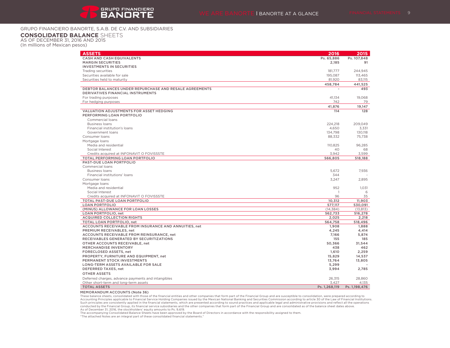# GRUPO FINANCIERO BANORTE, S.A.B. DE C.V. AND SUBSIDIARIES

## **CONSOLIDATED BALANCE** SHEETS

AS OF DECEMBER 31, 2016 AND 2015

(In millions of Mexican pesos)

| <b>ASSETS</b>                                                                                      | 2016           | 2015          |
|----------------------------------------------------------------------------------------------------|----------------|---------------|
| <b>CASH AND CASH EQUIVALENTS</b>                                                                   | Ps. 65,886     | Ps. 107,848   |
| <b>MARGIN SECURITIES</b>                                                                           | 2.185          | 91            |
| <b>INVESTMENTS IN SECURITIES</b>                                                                   |                |               |
| Trading securities                                                                                 | 181,777        | 244.945       |
| Securities available for sale                                                                      | 195.087        | 113.465       |
| Securities held to maturity                                                                        | 81,920         | 83,115        |
|                                                                                                    | 458,784        | 441,525       |
| DEBTOR BALANCES UNDER REPURCHASE AND RESALE AGREEMENTS<br><b>DERIVATIVES FINANCIAL INSTRUMENTS</b> |                | 493           |
| For trading purposes                                                                               | 41,134         | 19.068        |
| For hedging purposes                                                                               | 742            | 79            |
|                                                                                                    | 41,876         | 19,147        |
| <b>VALUATION ADJUSTMENTS FOR ASSET HEDGING</b>                                                     | 114            | 128           |
| PERFORMING LOAN PORTFOLIO                                                                          |                |               |
| Commercial loans                                                                                   |                |               |
| <b>Business loans</b>                                                                              | 224,218        | 209,049       |
| Financial institution's loans                                                                      | 4,650          | 3,331         |
| Government loans                                                                                   | 134,798        | 130,118       |
| Consumer loans                                                                                     | 88,332         | 75,738        |
| Mortgage loans                                                                                     |                |               |
| Media and residential                                                                              | 110.825        | 96.285        |
| Social Interest                                                                                    | 40             | 68            |
| Credits acquired at INFONAVIT O FOVISSSTE                                                          | 3,942          | 3,599         |
| TOTAL PERFORMING LOAN PORTFOLIO                                                                    | 566,805        | 518,188       |
| PAST-DUE LOAN PORTFOLIO                                                                            |                |               |
| Commercial loans                                                                                   |                |               |
| <b>Business loans</b>                                                                              | 5.672          | 7.936         |
| Financial institutions' loans                                                                      | 344            |               |
| Consumer loans                                                                                     | 3,247          | 2,895         |
| Mortgage loans                                                                                     |                |               |
| Media and residential                                                                              | 952            | 1,031         |
| Social Interest                                                                                    | $\overline{1}$ | 6             |
| Credits acquired at INFONAVIT O FOVISSSTE                                                          | 96             | 35            |
| TOTAL PAST-DUE LOAN PORTFOLIO                                                                      | 10,312         | 11,903        |
| <b>LOAN PORTFOLIO</b>                                                                              | 577,117        | 530.091       |
| (MINUS) ALLOWANCE FOR LOAN LOSSES                                                                  | (14, 384)      | (13, 813)     |
| LOAN PORTFOLIO, net                                                                                | 562,733        | 516,278       |
| <b>ACQUIRED COLLECTION RIGHTS</b>                                                                  | 2,025          | 2,218         |
| TOTAL LOAN PORTFOLIO, net                                                                          | 564,758        | 518,496       |
| ACCOUNTS RECEIVABLE FROM INSURANCE AND ANNUITIES, net                                              | 1,908          | 1,888         |
| PREMIUM RECEIVABLES, net                                                                           | 4,245          | 4,414         |
| ACCOUNTS RECEIVABLE FROM REINSURANCE, net                                                          | 7.166          | 5,874         |
| RECEIVABLES GENERATED BY SECURITIZATIONS                                                           | 155            | 185           |
| OTHER ACCOUNTS RECEIVABLE, net                                                                     | 50,366         | 31,544        |
| <b>MERCHANDISE INVENTORY</b>                                                                       | 438            | 462           |
| FORECLOSED ASSETS, net                                                                             | 1,610          | 2,259         |
| PROPERTY, FURNITURE AND EQUIPMENT, net                                                             | 15,829         | 14,537        |
| PERMANENT STOCK INVESTMENTS                                                                        | 13,764         | 13,805        |
| LONG-TERM ASSETS AVAILABLE FOR SALE                                                                | 5,299          |               |
| DEFERRED TAXES, net                                                                                | 3,994          | 2,785         |
| <b>OTHER ASSETS</b>                                                                                |                |               |
| Deferred charges, advance payments and intangibles                                                 | 26.315         | 28.860        |
| Other short-term and long-term assets                                                              | 3.427          | 4.135         |
| <b>TOTAL ASSETS</b>                                                                                | Ps. 1,268,119  | Ps. 1,198,476 |

MEMORANDUM ACCOUNTS (Note 36)

These balance sheets, consolidated with those of the financial entities and other companies that form part of the Financial Group and are susceptible to consolidation, were prepared according to Accounting Principles applicable to Financial Service Holding Companies issued by the Mexican National Banking and Securities Commission according to article 30 of the Law of Financial Institutions.<br>Such principles are con conducted by the Financial Group, its financial service subsidiaries and the other companies that form part of the Financial Group and are consolidated as of the balance sheet dates above. As of December 31, 2016, the stockholders' equity amounts to Ps. 9,619.

The accompanying Consolidated Balance Sheets have been approved by the Board of Directors in accordance with the responsibility assigned to them.

"The attached Notes are an integral part of these consolidated financial statements."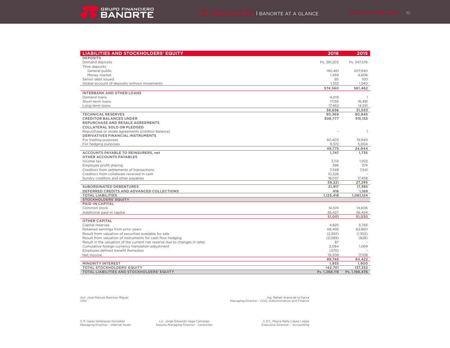| <b>LIABILITIES AND STOCKHOLDERS' EQUITY</b>                                 | 2016          | 2015           |
|-----------------------------------------------------------------------------|---------------|----------------|
| <b>DEPOSITS</b>                                                             |               |                |
| Demand deposits                                                             | Ps. 381,203   | Ps. 347,576    |
| Time deposits                                                               |               |                |
| General public                                                              | 190,461       | 207,940        |
| Money market                                                                | 1.459         | 4,606          |
| Senior debt issued                                                          | 85            | 100            |
| Global account of deposits without movements                                | 1,352         | 1,240          |
|                                                                             | 574,560       | 561,462        |
| <b>INTERBANK AND OTHER LOANS</b>                                            |               |                |
| Demand loans                                                                | 4,019         |                |
| Short-term loans                                                            | 17,155        | 16,481         |
| Long-term loans                                                             | 17,462        | 14,551         |
|                                                                             | 38,636        | 31,033         |
| <b>TECHNICAL RESERVES</b>                                                   | 90,369        | 80,945         |
| <b>CREDITOR BALANCES UNDER</b>                                              | 308,777       | 315,155        |
| REPURCHASE AND RESALE AGREEMENTS                                            |               |                |
| <b>COLLATERAL SOLD OR PLEDGED</b>                                           |               |                |
| Repurchase or resale agreements (creditor balance)                          |               | $\overline{1}$ |
| DERIVATIVES FINANCIAL INSTRUMENTS                                           |               |                |
| For trading purposes                                                        | 40,403        | 19,940         |
| For hedging purposes                                                        | 9,372         | 5,004          |
|                                                                             | 49,775        | 24,944         |
| ACCOUNTS PAYABLE TO REINSURERS, net<br>OTHER ACCOUNTS PAYABLES              | 1.747         | 1,735          |
| Income tax                                                                  | 3.114         | 1.922          |
| Employee profit sharing                                                     | 396           | 374            |
| Creditors from settlements of transactions                                  | 7.348         | 7.541          |
| Creditors from collaterals received in cash                                 | 10,326        |                |
| Sundry creditors and other payables                                         | 18,037        | 17,458         |
|                                                                             | 39,221        | 27,295         |
| <b>SUBORDINATED DEBENTURES</b>                                              | 21,917        | 17,385         |
| DEFERRED CREDITS AND ADVANCED COLLECTIONS                                   | 416           | 1,169          |
| <b>TOTAL LIABILITIES</b>                                                    | 1,125,418     | 1,061,124      |
| <b>STOCKHOLDERS' EQUITY</b>                                                 |               |                |
| PAID-IN CAPITAL                                                             |               |                |
| Common stock                                                                | 14.574        | 14.606         |
| Additional paid-in capital                                                  | 36,427        | 36,424         |
|                                                                             | 51,001        | 51,030         |
| <b>OTHER CAPITAL</b>                                                        |               |                |
| Capital reserves                                                            | 4,825         | 5,765          |
| Retained earnings from prior years                                          | 68,492        | 62,860         |
| Result from valuation of securities available for sale                      | (2,592)       | (1, 552)       |
| Result from valuation of instruments for cash flow hedging                  | (2,089)       | (828)          |
| Result in the valuation of the current risk reserve due to changes in rates | 87            |                |
| Cumulative foreign currency translation adjustment                          | 2,084         | 1,069          |
| Employee defined benefit Remedies                                           | (370)         |                |
| Net income                                                                  | 19.308        | 17.108         |
|                                                                             | 89,745        | 84,422         |
| <b>MINORITY INTEREST</b>                                                    | 1,955         | 1,900          |
| <b>TOTAL STOCKHOLDERS' EQUITY</b>                                           | 142,701       | 137,352        |
| TOTAL LIABILITIES AND STOCKHOLDERS' EQUITY                                  | Ps. 1,268,119 | Ps. 1,198,476  |

Act. José Marcos Ramírez Miguel Ing. Rafael Arana de la Garza Managing Director - COO, Administration and Finance

C.P. Isaías Velázquez González<br>Managing Director - Internal Audit

C.P. Isaías Velázquez González Lic. Jorge Eduardo Vega Camargo C.P.C. Mayra Nelly López López Managing Director – Internal Audit Deputy Managing Director - Controller Executive Director - Accounting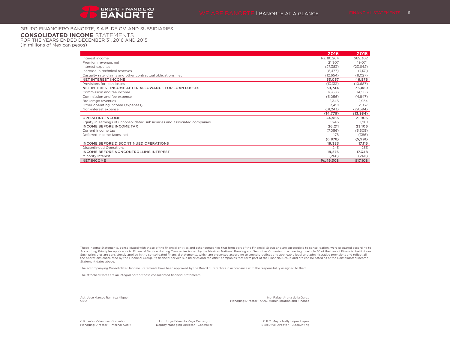# GRUPO FINANCIERO BANORTE, S.A.B. DE C.V. AND SUBSIDIARIES

### **CONSOLIDATED INCOME** STATEMENTS

FOR THE YEARS ENDED DECEMBER 31, 2016 AND 2015 (In millions of Mexican pesos)

|                                                                            | 2016       | 2015      |
|----------------------------------------------------------------------------|------------|-----------|
| Interest income                                                            | Ps. 80,264 | \$69,302  |
| Premium revenue, net                                                       | 21,307     | 19,074    |
| Interest expense                                                           | (27, 383)  | (23, 642) |
| Increase in technical reserves                                             | (8, 477)   | (7,131)   |
| Casualty rate, claims and other contractual obligations, net               | (12, 654)  | (11, 027) |
| <b>NET INTEREST INCOME</b>                                                 | 53,057     | 46,576    |
| Provisions for loan losses                                                 | (13, 313)  | (10,687)  |
| NET INTEREST INCOME AFTER ALLOWANCE FOR LOAN LOSSES                        | 39,744     | 35,889    |
| Commission and fee income                                                  | 16,683     | 14,566    |
| Commission and fee expense                                                 | (6.056)    | (4,847)   |
| Brokerage revenues                                                         | 2,346      | 2,954     |
| Other operating income (expenses)                                          | 3.491      | 2,937     |
| Non-interest expense                                                       | (31,243)   | (29, 594) |
|                                                                            | (14, 779)  | (13, 984) |
| <b>OPERATING INCOME</b>                                                    | 24,965     | 21,905    |
| Equity in earnings of unconsolidated subsidiaries and associated companies | 1.246      | 1,201     |
| <b>INCOME BEFORE INCOME TAX</b>                                            | 26,211     | 23,106    |
| Current income tax                                                         | (7,056)    | (5,605)   |
| Deferred income taxes, net                                                 | 178        | (386)     |
|                                                                            | (6, 878)   | (5,991)   |
| INCOME BEFORE DISCONTINUED OPERATIONS                                      | 19,333     | 17,115    |
| <b>Discontinued Operations</b>                                             | 243        | 233       |
| <b>INCOME BEFORE NONCONTROLLING INTEREST</b>                               | 19,576     | 17,348    |
| Minority Interest                                                          | (268)      | (240)     |
| <b>NET INCOME</b>                                                          | Ps. 19,308 | \$17,108  |

These Income Statements, consolidated with those of the financial entities and other companies that form part of the Financial Group and are susceptible to consolidation, were prepared according to Accounting Principles applicable to Financial Service Holding Companies issued by the Mexican National Banking and Securities Commission according to article 30 of the Law of Financial Institutions. Such principles are consistently applied in the consolidated financial statements, which are presented according to sound practices and applicable legal and administrative provisions and reflect all the operations conducted by the Financial Group, its financial service subsidiaries and the other companies that form part of the Financial Group and are consolidated as of the Consolidated Income Statement dates above.

The accompanying Consolidated Income Statements have been approved by the Board of Directors in accordance with the responsibility assigned to them.

The attached Notes are an integral part of these consolidated financial statements.

Act. José Marcos Ramírez Miguel **Ing. Rafael Arana de la Garza** CEO Managing Director - COO, Administration and Finance

C.P. Isaías Velázquez González

C.P. Isaías Velázquez González Lic. Jorge Eduardo Vega Camargo C.P. C. Mayra Nelly López López López López López<br>Managing Director - Internal Audit Chemic Deputy Managing Director - Controller Controller Chemic Executive D Deputy Managing Director - Controller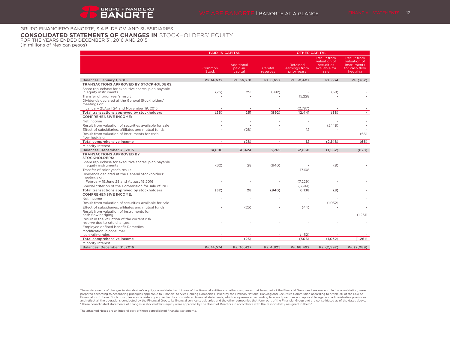# GRUPO FINANCIERO BANORTE, S.A.B. DE C.V. AND SUBSIDIARIES

# **CONSOLIDATED STATEMENTS OF CHANGES IN** STOCKHOLDERS' EQUITY

FOR THE YEARS ENDED DECEMBER 31, 2016 AND 2015 (In millions of Mexican pesos)

|                                                                                                                 | <b>PAID-IN CAPITAL</b> |                                         |                          | <b>OTHER CAPITAL</b>                     |                                                                           |                                                                                      |
|-----------------------------------------------------------------------------------------------------------------|------------------------|-----------------------------------------|--------------------------|------------------------------------------|---------------------------------------------------------------------------|--------------------------------------------------------------------------------------|
|                                                                                                                 | Common<br><b>Stock</b> | <b>Additional</b><br>paid-in<br>capital | Capital<br>reserves      | Retained<br>earnings from<br>prior years | <b>Result from</b><br>valuation of<br>securities<br>available for<br>sale | <b>Result from</b><br>valuation of<br><b>instruments</b><br>for cash flow<br>hedging |
| Balances, January 1, 2015                                                                                       | Ps. 14.632             | Ps. 36.201                              | Ps. 6.657                | Ps. 50.407                               | Ps. 634                                                                   | Ps. (762)                                                                            |
| <b>TRANSACTIONS APPROVED BY STOCKHOLDERS:</b>                                                                   |                        |                                         |                          |                                          |                                                                           |                                                                                      |
| Share repurchase for executive shares' plan payable<br>in equity instruments<br>Transfer of prior year's result | (26)                   | 251                                     | (892)                    | 15,228                                   | (38)                                                                      |                                                                                      |
| Dividends declared at the General Stockholders'<br>meetings on:                                                 |                        |                                         |                          |                                          |                                                                           |                                                                                      |
| January 21, April 24 and November 19, 2015                                                                      |                        |                                         |                          | (2,787)                                  |                                                                           |                                                                                      |
| Total transactions approved by stockholders                                                                     | (26)                   | 251                                     | (892)                    | 12,441                                   | (38)                                                                      |                                                                                      |
| <b>COMPREHENSIVE INCOME:</b>                                                                                    |                        |                                         |                          |                                          |                                                                           |                                                                                      |
| Net income<br>Result from valuation of securities available for sale                                            |                        |                                         |                          |                                          | (2,148)                                                                   |                                                                                      |
| Effect of subsidiaries, affiliates and mutual funds                                                             |                        | (28)                                    |                          | 12                                       |                                                                           |                                                                                      |
| Result from valuation of instruments for cash<br>flow hedging                                                   |                        |                                         |                          |                                          | ٠                                                                         | (66)                                                                                 |
| Total comprehensive income                                                                                      | ٠                      | (28)                                    | $\overline{\phantom{a}}$ | 12                                       | (2,148)                                                                   | (66)                                                                                 |
| Minority Interest                                                                                               |                        |                                         |                          | $\sim$                                   |                                                                           |                                                                                      |
| Balances, December 31, 2015                                                                                     | 14,606                 | 36,424                                  | 5,765                    | 62,860                                   | (1, 552)                                                                  | (828)                                                                                |
| <b>TRANSACTIONS APPROVED BY</b><br><b>STOCKHOLDERS:</b>                                                         |                        |                                         |                          |                                          |                                                                           |                                                                                      |
| Share repurchase for executive shares' plan payable<br>in equity instruments                                    | (32)                   | 28                                      | (940)                    |                                          | (8)                                                                       |                                                                                      |
| Transfer of prior year's result                                                                                 |                        |                                         |                          | 17,108                                   |                                                                           |                                                                                      |
| Dividends declared at the General Stockholders'<br>meetings on:                                                 |                        |                                         |                          |                                          |                                                                           |                                                                                      |
| February 19, June 28 and August 19 2016                                                                         |                        |                                         |                          | (7,229)                                  |                                                                           |                                                                                      |
| Special criterion of the Commission for sale of INB                                                             |                        |                                         |                          | (3,741)                                  |                                                                           |                                                                                      |
| Total transactions approved by stockholders                                                                     | (32)                   | 28                                      | (940)                    | 6.138                                    | (8)                                                                       |                                                                                      |
| <b>COMPREHENSIVE INCOME:</b>                                                                                    |                        |                                         |                          |                                          |                                                                           |                                                                                      |
| Net income                                                                                                      |                        |                                         |                          |                                          |                                                                           |                                                                                      |
| Result from valuation of securities available for sale                                                          |                        |                                         |                          |                                          | (1,032)                                                                   |                                                                                      |
| Effect of subsidiaries, affiliates and mutual funds                                                             |                        | (25)                                    |                          | (44)                                     |                                                                           |                                                                                      |
| Result from valuation of instruments for<br>cash flow hedging                                                   |                        |                                         |                          |                                          |                                                                           | (1,261)                                                                              |
| Result in the valuation of the current risk<br>reserve due to rate changes                                      |                        |                                         |                          |                                          |                                                                           |                                                                                      |
| Employee defined benefit Remedies                                                                               |                        |                                         |                          |                                          |                                                                           |                                                                                      |
| Modification in consumer                                                                                        |                        |                                         |                          |                                          |                                                                           |                                                                                      |
| loan rating rules                                                                                               | ä,                     | (25)                                    | $\sim$                   | (462)<br>(506)                           | (1,032)                                                                   |                                                                                      |
| Total comprehensive income<br>Minority Interest                                                                 |                        |                                         |                          |                                          |                                                                           | (1, 261)                                                                             |
| Balances, December 31, 2016                                                                                     | Ps. 14,574             | Ps. 36,427                              | Ps. 4,825                | Ps. 68,492                               | Ps. (2,592)                                                               | Ps. (2,089)                                                                          |

These statements of changes in stockholder's equity, consolidated with those of the financial entities and other companies that form part of the Financial Seconding to according to according to according to according to ac

The attached Notes are an integral part of these consolidated financial statements.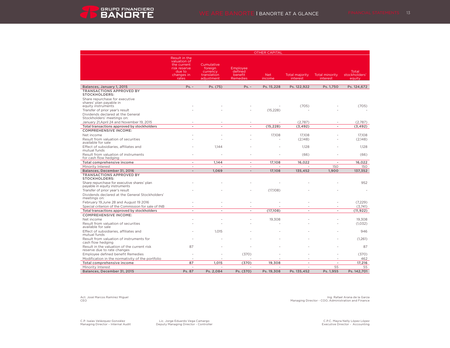OTHER CAPITAL



|                                                                                                                    | Result in the<br>valuation of<br>the current<br>risk reserve<br>due to<br>changes in<br>rates | Cumulative<br>foreign<br>currency<br>translation<br>adiustment | Employee<br>defined<br>benefit<br><b>Remedies</b> | <b>Net</b><br>income     | <b>Total majority</b><br>interest | <b>Total minority</b><br>interest | Total<br>stockholders'<br>eauitv |
|--------------------------------------------------------------------------------------------------------------------|-----------------------------------------------------------------------------------------------|----------------------------------------------------------------|---------------------------------------------------|--------------------------|-----------------------------------|-----------------------------------|----------------------------------|
|                                                                                                                    |                                                                                               |                                                                |                                                   |                          |                                   |                                   |                                  |
| Balances, January 1, 2015                                                                                          | $Ps. -$                                                                                       | Ps. (75)                                                       | $Ps. -$                                           | Ps. 15.228               | Ps. 122.922                       | Ps. 1.750                         | Ps. 124.672                      |
| <b>TRANSACTIONS APPROVED BY</b><br><b>STOCKHOLDERS:</b>                                                            |                                                                                               |                                                                |                                                   |                          |                                   |                                   |                                  |
| Share repurchase for executive<br>shares' plan payable in<br>equity instruments<br>Transfer of prior year's result |                                                                                               |                                                                |                                                   | (15, 228)                | (705)                             |                                   | (705)                            |
| Dividends declared at the General                                                                                  |                                                                                               |                                                                |                                                   |                          |                                   |                                   |                                  |
| Stockholders' meetings on:<br>January 21, April 24 and November 19, 2015                                           |                                                                                               |                                                                |                                                   |                          | (2,787)                           |                                   | (2,787)                          |
| Total transactions approved by stockholders                                                                        | $\overline{\phantom{a}}$                                                                      | $\overline{\phantom{a}}$                                       | $\overline{\phantom{a}}$                          | (15, 228)                | (3, 492)                          | $\overline{\phantom{a}}$          | (3, 492)                         |
| <b>COMPREHENSIVE INCOME:</b>                                                                                       |                                                                                               |                                                                |                                                   |                          |                                   |                                   |                                  |
| Net income                                                                                                         |                                                                                               |                                                                |                                                   | 17,108                   | 17.108                            |                                   | 17.108                           |
| Result from valuation of securities<br>available for sale                                                          |                                                                                               |                                                                |                                                   |                          | (2,148)                           |                                   | (2,148)                          |
| Effect of subsidiaries, affiliates and<br>mutual funds                                                             |                                                                                               | 1.144                                                          |                                                   |                          | 1.128                             |                                   | 1,128                            |
| Result from valuation of instruments<br>for cash flow hedging                                                      |                                                                                               |                                                                |                                                   |                          | (66)                              |                                   | (66)                             |
| Total comprehensive income                                                                                         | $\sim$                                                                                        | 1.144                                                          | $\overline{\phantom{a}}$                          | 17.108                   | 16.022                            | $\overline{\phantom{a}}$          | 16.022                           |
| Minority Interest                                                                                                  | $\sim$                                                                                        | ٠                                                              | $\sim$                                            | $\overline{\phantom{a}}$ | $\overline{\phantom{a}}$          | 150                               | 150                              |
| Balances, December 31, 2016                                                                                        | $\overline{\phantom{a}}$                                                                      | 1.069                                                          | $\overline{\phantom{a}}$                          | 17.108                   | 135,452                           | 1.900                             | 137,352                          |
| <b>TRANSACTIONS APPROVED BY</b><br><b>STOCKHOLDERS:</b>                                                            |                                                                                               |                                                                |                                                   |                          |                                   |                                   |                                  |
| Share repurchase for executive shares' plan<br>payable in equity instruments                                       |                                                                                               |                                                                |                                                   |                          |                                   |                                   | 952                              |
| Transfer of prior year's result                                                                                    |                                                                                               |                                                                |                                                   | (17,108)                 |                                   |                                   |                                  |
| Dividends declared at the General Stockholders'<br>meetings on:                                                    |                                                                                               |                                                                |                                                   |                          |                                   |                                   |                                  |
| February 19, June 28 and August 19 2016                                                                            |                                                                                               |                                                                |                                                   |                          |                                   |                                   | (7,229)                          |
| Special criterion of the Commission for sale of INB                                                                |                                                                                               |                                                                |                                                   |                          |                                   |                                   | (3,741)                          |
| Total transactions approved by stockholders                                                                        | ÷.                                                                                            | ٠                                                              | ٠                                                 | (17, 108)                | $\overline{\phantom{a}}$          | ٠                                 | (11, 922)                        |
| <b>COMPREHENSIVE INCOME:</b>                                                                                       |                                                                                               |                                                                |                                                   |                          |                                   |                                   |                                  |
| Net income<br>Result from valuation of securities                                                                  |                                                                                               |                                                                |                                                   | 19,308                   |                                   |                                   | 19,308<br>(1,032)                |
| available for sale<br>Effect of subsidiaries, affiliates and                                                       |                                                                                               | 1,015                                                          |                                                   |                          |                                   |                                   | 946                              |
| mutual funds<br>Result from valuation of instruments for                                                           |                                                                                               |                                                                |                                                   |                          |                                   |                                   | (1,261)                          |
| cash flow hedging<br>Result in the valuation of the current risk<br>reserve due to rate changes                    | 87                                                                                            |                                                                |                                                   |                          |                                   |                                   | 87                               |
| Employee defined benefit Remedies                                                                                  |                                                                                               |                                                                | (370)                                             |                          |                                   |                                   | (370)                            |
| Modification in the normativity of the portfolio                                                                   |                                                                                               |                                                                |                                                   |                          |                                   |                                   | 462                              |
| Total comprehensive income                                                                                         | 87                                                                                            | 1,015                                                          | (370)                                             | 19,308                   | $\overline{\phantom{a}}$          | $\overline{\phantom{a}}$          | 17,216                           |
| Minority Interest                                                                                                  | $\overline{\phantom{a}}$                                                                      |                                                                |                                                   |                          | ÷,                                | 55                                | 55                               |
| Balances, December 31, 2015                                                                                        | Ps. 87                                                                                        | Ps. 2,084                                                      | Ps. (370)                                         | Ps. 19,308               | Ps. 135,452                       | Ps. 1.955                         | Ps. 142.701                      |
|                                                                                                                    |                                                                                               |                                                                |                                                   |                          |                                   |                                   |                                  |

Act. José Marcos Ramírez Miguel Ing. Rafael Arana de la Garza CEO Managing Director - COO, Administration and Finance

C.P. Isaías Velázquez González<br>Managing Director - Internal Audit

C.P. Isaías Velázquez González Lic. Jorge Eduardo Vega Camargo C.P.C. Mayra Nelly López López Managing Director – Internal Audit Deputy Managing Director - Controller Executive Director - Accounting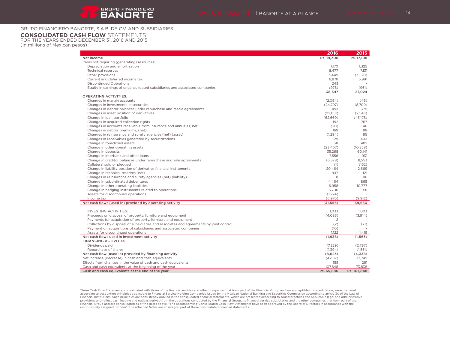# GRUPO FINANCIERO BANORTE, S.A.B. DE C.V. AND SUBSIDIARIES

# **CONSOLIDATED CASH FLOW** STATEMENTS

FOR THE YEARS ENDED DECEMBER 31, 2016 AND 2015 (In millions of Mexican pesos)

|                                                                                        | 2016       | 2015        |
|----------------------------------------------------------------------------------------|------------|-------------|
| Net income                                                                             | Ps. 19.308 | Ps. 17.108  |
| Items not requiring (generating) resources:                                            |            |             |
| Depreciation and amortization                                                          | 1.170      | 1,325       |
| <b>Technical reserves</b>                                                              | 8,477      | 7,131       |
| Other provisions                                                                       | 3.449      | (3,570)     |
| Current and deferred income tax                                                        | 6.878      | 5.991       |
| <b>Discontinued Operations</b>                                                         | 243        |             |
| Equity in earnings of unconsolidated subsidiaries and associated companies             | (978)      | (961)       |
|                                                                                        | 38,547     | 27,024      |
| <b>OPERATING ACTIVITIES:</b>                                                           |            |             |
| Changes in margin accounts                                                             | (2,094)    | (46)        |
| Changes in investments in securities                                                   | (24,797)   | (8,709)     |
| Changes in debtor balances under repurchase and resale agreements                      | 493        | 379         |
| Changes in asset position of derivatives                                               | (22, 051)  | (2,543)     |
| Change in loan portfolio                                                               | (62, 669)  | (43,178)    |
| Changes in acquired collection rights                                                  | 192        | 767         |
| Changes in accounts receivable from insurance and annuities, net                       | (20)       | 46          |
| Changes in debtor premiums, (net)                                                      | 169        | 88          |
| Changes in reinsurance and surety agencies (net) (asset)                               | (1, 294)   | 95          |
| Changes in receivables generated by securitizations                                    | 29         | 403         |
| Change in foreclosed assets                                                            | 611        | 482         |
| Change in other operating assets                                                       | (23, 467)  | (10, 258)   |
| Change in deposits                                                                     | 35.268     | 60.141      |
| Change in interbank and other loans                                                    | 7.556      | 931         |
| Change in creditor balances under repurchase and sale agreements                       | (6,378)    | 8.553       |
| Collateral sold or pledged                                                             | (1)        | (152)       |
| Change in liability position of derivative financial instruments                       | 20,464     | 2,669       |
| Change in technical reserves (net)                                                     | 947        | 121         |
| Changes in reinsurance and surety agencies (net) (liability)                           | 11         | 116         |
| Change in subordinated debentures                                                      | 4,464      | 865         |
| Change in other operating liabilities                                                  | 6,958      | 10.777      |
| Change in hedging instruments related to operations                                    | 3,706      | 991         |
| Assets for discontinued operations                                                     | (1, 224)   |             |
| Income tax                                                                             | (6,976)    | (9,912)     |
| Net cash flows (used in) provided by operating activity                                | (31, 556)  | 39.650      |
|                                                                                        |            |             |
| <b>INVESTING ACTIVITIES:</b>                                                           | 1,033      | 1.003       |
| Proceeds on disposal of property, furniture and equipment                              | (4,083)    | (3,914)     |
| Payments for acquisition of property, furniture and equipment                          | 2          |             |
| Collections by disposal of subsidiaries and associates and agreements by joint control | (2)        | (71)        |
| Payment on acquisitions of subsidiaries and associated companies                       | (10)       |             |
| Assets for discontinued operations                                                     | 1,122      | 1,419       |
| Net cash flows used in investment activity                                             | (1,938)    | (1, 563)    |
| <b>FINANCING ACTIVITIES:</b>                                                           |            |             |
| Dividends paid                                                                         | (7,229)    | (2.787)     |
| Repurchase of shares                                                                   | (1, 394)   | (1,551)     |
| Net cash flow (used in) provided by financing activity                                 | (8,623)    | (4,338)     |
| Net increase (decrease) in cash and cash equivalents                                   | (42,117)   | 33,749      |
| Effects from changes in the value of cash and cash equivalents                         | 155        | 261         |
| Cash and cash equivalents at the beginning of the year                                 | 107,848    | 73,838      |
| Cash and cash equivalents at the end of the year                                       | Ps. 65,886 | Ps. 107,848 |

These Cash Flow Statements, consolidated with those of the financial entities and other companies that form part of the Financial Group and are susceptible to consolidation, were prepared according to accounting principles applicable to Financial Service Holding Companies issued by the Mexican National Banking and Securities Commission according to secording to sound practices and applicable legal and admin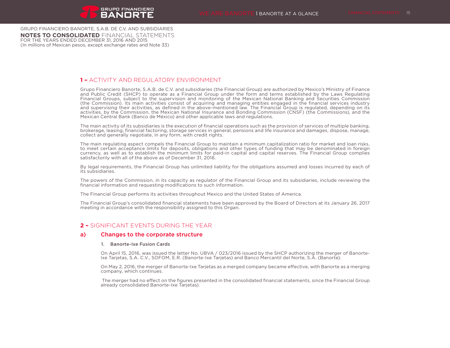GRUPO FINANCIERO BANORTE, S.A.B. DE C.V. AND SUBSIDIARIES **NOTES TO CONSOLIDATED** FINANCIAL STATEMENTS FOR THE YEARS ENDED DECEMBER 31, 2016 AND 2015 (In millions of Mexican pesos, except exchange rates and Note 33)

# **1 –** ACTIVITY AND REGULATORY ENVIRONMENT

Grupo Financiero Banorte, S.A.B. de C.V. and subsidiaries (the Financial Group) are authorized by Mexico's Ministry of Finance and Public Credit (SHCP) to operate as a Financial Group under the form and terms established by the Laws Regulating Financial Groups, subject to the supervision and monitoring of the Mexican National Banking and Securities Commission (the Commission). Its main activities consist of acquiring and managing entities engaged in the financial services industry and supervising their activities, as defined in the above-mentioned law. The Financial Group is regulated, depending on its activities, by the Commission, the Mexican National Insurance and Bonding Commission (CNSF) (the Commissions), and the Mexican Central Bank (Banco de México) and other applicable laws and regulations.

The main activity of its subsidiaries is the execution of financial operations such as the provision of services of multiple banking, brokerage, leasing, financial factoring, storage services in general, pensions and life insurance and damages, dispose, manage, collect and generally negotiate, in any form, with credit rights.

The main regulating aspect compels the Financial Group to maintain a minimum capitalization ratio for market and loan risks, to meet certain acceptance limits for deposits, obligations and other types of funding that may be denominated in foreign currency, as well as to establish the minimum limits for paid-in capital and capital reserves. The Financial Group complies satisfactorily with all of the above as of December 31, 2016.

By legal requirements, the Financial Group has unlimited liability for the obligations assumed and losses incurred by each of its subsidiaries.

The powers of the Commission, in its capacity as regulator of the Financial Group and its subsidiaries, include reviewing the financial information and requesting modifications to such information.

The Financial Group performs its activities throughout Mexico and the United States of America.

The Financial Group's consolidated financial statements have been approved by the Board of Directors at its January 26, 2017 meeting in accordance with the responsibility assigned to this Organ.

# **2 –** SIGNIFICANT EVENTS DURING THE YEAR

# a) Changes to the corporate structure

### 1. Banorte-Ixe Fusion Cards

On April 15, 2016, was issued the letter No. UBVA / 023/2016 issued by the SHCP authorizing the merger of Banorte-Ixe Tarjetas, S.A. C.V., SOFOM, E.R. (Banorte-Ixe Tarjetas) and Banco Mercantil del Norte, S.A. (Banorte).

On May 2, 2016, the merger of Banorte-Ixe Tarjetas as a merged company became effective, with Banorte as a merging company, which continues.

 The merger had no effect on the figures presented in the consolidated financial statements, since the Financial Group already consolidated Banorte-Ixe Tarjetas).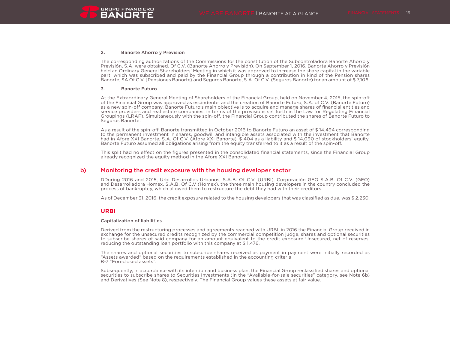

#### 2. Banorte Ahorro y Prevision

The corresponding authorizations of the Commissions for the constitution of the Subcontroladora Banorte Ahorro y Previsión, S.A. were obtained. Of C.V. (Banorte Ahorro y Previsión). On September 1, 2016, Banorte Ahorro y Previsión held an Ordinary General Shareholders' Meeting in which it was approved to increase the share capital in the variable part, which was subscribed and paid by the Financial Group through a contribution in kind of the Pension shares Banorte, SA Of C.V. (Pensiones Banorte) and Seguros Banorte, S.A. Of C.V. (Seguros Banorte) for an amount of \$ 7,106.

#### 3. Banorte Futuro

At the Extraordinary General Meeting of Shareholders of the Financial Group, held on November 4, 2015, the spin-off of the Financial Group was approved as escindente, and the creation of Banorte Futuro, S.A. of C.V. (Banorte Futuro) as a new spin-off company. Banorte Futuro's main objective is to acquire and manage shares of financial entities and service providers and real estate companies, in terms of the provisions set forth in the Law for Regulating Financial Groupings (LRAF). Simultaneously with the spin-off, the Financial Group contributed the shares of Banorte Futuro to Seguros Banorte.

As a result of the spin-off, Banorte transmitted in October 2016 to Banorte Futuro an asset of \$ 14,494 corresponding to the permanent investment in shares, goodwill and intangible assets associated with the investment that Banorte had in Afore XXI Banorte, S.A. Of C.V. (Afore XXI Banorte), \$404 as a liability and \$14,090 of stockholders' equity. Banorte Futuro assumed all obligations arising from the equity transferred to it as a result of the spin-off.

This split had no effect on the figures presented in the consolidated financial statements, since the Financial Group already recognized the equity method in the Afore XXI Banorte.

### b) Monitoring the credit exposure with the housing developer sector

DDuring 2016 and 2015, Urbi Desarrollos Urbanos, S.A.B. Of C.V. (URBI), Corporación GEO S.A.B. Of C.V. (GEO) and Desarrolladora Homex, S.A.B. Of C.V (Homex), the three main housing developers in the country concluded the process of bankruptcy, which allowed them to restructure the debt they had with their creditors.

As of December 31, 2016, the credit exposure related to the housing developers that was classified as due, was \$ 2,230.

### **URBI**

#### Capitalization of liabilities

Derived from the restructuring processes and agreements reached with URBI, in 2016 the Financial Group received in exchange for the unsecured credits recognized by the commercial competition judge, shares and optional securities to subscribe shares of said company for an amount equivalent to the credit exposure Unsecured, net of reserves, reducing the outstanding loan portfolio with this company at \$ 1,476.

The shares and optional securities to subscribe shares received as payment in payment were initially recorded as "Assets awarded" based on the requirements established in the accounting criteria B-7 "Foreclosed assets".

Subsequently, in accordance with its intention and business plan, the Financial Group reclassified shares and optional securities to subscribe shares to Securities Investments (in the "Available-for-sale securities" category, see Note 6b) and Derivatives (See Note 8), respectively. The Financial Group values these assets at fair value.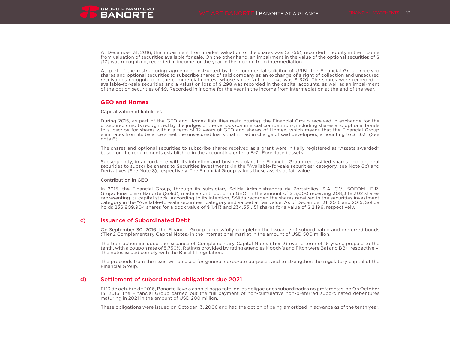

At December 31, 2016, the impairment from market valuation of the shares was (\$ 756), recorded in equity in the income from valuation of securities available for sale. On the other hand, an impairment in the value of the optional securities of \$ (17) was recognized, recorded in income for the year in the income from intermediation.

As part of the restructuring agreement instructed by the commercial solicitor of URBI, the Financial Group received shares and optional securities to subscribe shares of said company as an exchange of a right of collection and unsecured receivables recognized in the commercial contest whose value Net in books was \$ 320. The shares were recorded in available-for-sale securities and a valuation loss of \$ 298 was recorded in the capital accounts, as well as an impairment of the option securities of \$9, Recorded in income for the year in the income from intermediation at the end of the year.

### **GEO and Homex**

### Capitalization of liabilities

During 2015, as part of the GEO and Homex liabilities restructuring, the Financial Group received in exchange for the unsecured credits recognized by the judges of the various commercial competitions, including shares and optional bonds to subscribe for shares within a term of 12 years of GEO and shares of Homex, which means that the Financial Group eliminates from its balance sheet the unsecured loans that it had in charge of said developers, amounting to \$ 1,631 (See note 6).

The shares and optional securities to subscribe shares received as a grant were initially registered as "Assets awarded" based on the requirements established in the accounting criteria B-7 "Foreclosed assets ".

Subsequently, in accordance with its intention and business plan, the Financial Group reclassified shares and optional securities to subscribe shares to Securities Investments (in the "Available-for-sale securities" category, see Note 6b) and Derivatives (See Note 8), respectively. The Financial Group values these assets at fair value.

### Contribution in GEO

In 2015, the Financial Group, through its subsidiary Sólida Administradora de Portafolios, S.A. C.V., SOFOM., E.R. Grupo Financiero Banorte (Solid), made a contribution in GEO, in the amount of \$ 3,000 receiving 308,348,302 shares representing its capital stock. According to its intention, Sólida recorded the shares received in the securities investment category in the "Available-for-sale securities" category and valued at fair value. As of December 31, 2016 and 2015, Sólida holds 236,809,904 shares for a book value of \$ 1,413 and 234,331,151 shares for a value of \$ 2,196, respectively.

## c) Issuance of Subordinated Debt

On September 30, 2016, the Financial Group successfully completed the issuance of subordinated and preferred bonds (Tier 2 Complementary Capital Notes) in the international market in the amount of USD 500 million.

The transaction included the issuance of Complementary Capital Notes (Tier 2) over a term of 15 years, prepaid to the tenth, with a coupon rate of 5.750%. Ratings provided by rating agencies Moody's and Fitch were Ba1 and BB+, respectively. The notes issued comply with the Basel III regulation.

The proceeds from the issue will be used for general corporate purposes and to strengthen the regulatory capital of the Financial Group.

## d) Settlement of subordinated obligations due 2021

El 13 de octubre de 2016, Banorte llevó a cabo el pago total de las obligaciones subordinadas no preferentes, no On October 13, 2016, the Financial Group carried out the full payment of non-cumulative non-preferred subordinated debentures maturing in 2021 in the amount of USD 200 million.

These obligations were issued on October 13, 2006 and had the option of being amortized in advance as of the tenth year.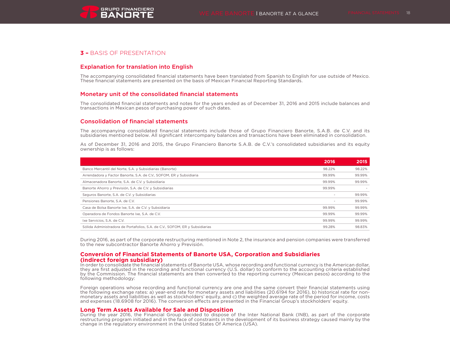# **3 –** BASIS OF PRESENTATION

# Explanation for translation into English

The accompanying consolidated financial statements have been translated from Spanish to English for use outside of Mexico. These financial statements are presented on the basis of Mexican Financial Reporting Standards.

# Monetary unit of the consolidated financial statements

The consolidated financial statements and notes for the years ended as of December 31, 2016 and 2015 include balances and transactions in Mexican pesos of purchasing power of such dates.

# Consolidation of financial statements

The accompanying consolidated financial statements include those of Grupo Financiero Banorte, S.A.B. de C.V. and its subsidiaries mentioned below. All significant intercompany balances and transactions have been eliminated in consolidation.

As of December 31, 2016 and 2015, the Grupo Financiero Banorte S.A.B. de C.V.'s consolidated subsidiaries and its equity ownership is as follows:

| 2016   | 2015   |
|--------|--------|
| 98.22% | 98.22% |
| 99.99% | 99.99% |
| 99.99% | 99.99% |
| 99.99% |        |
| $\sim$ | 99.99% |
|        | 99.99% |
| 99.99% | 99.99% |
| 99.99% | 99.99% |
| 99.99% | 99.99% |
| 99.28% | 98.83% |
|        |        |

During 2016, as part of the corporate restructuring mentioned in Note 2, the insurance and pension companies were transferred to the new subcontractor Banorte Ahorro y Previsión.

# **Conversion of Financial Statements of Banorte USA, Corporation and Subsidiaries (indirect foreign subsidiary)**

In order to consolidate the financial statements of Banorte USA, whose recording and functional currency is the American dollar, they are first adjusted in the recording and functional currency (U.S. dollar) to conform to the accounting criteria established by the Commission. The financial statements are then converted to the reporting currency (Mexican pesos) according to the following methodology:

Foreign operations whose recording and functional currency are one and the same convert their financial statements using the following exchange rates: a) year-end rate for monetary assets and liabilities (20.6194 for 2016), b) historical rate for nonmonetary assets and liabilities as well as stockholders' equity, and c) the weighted average rate of the period for income, costs and expenses (18.6908 for 2016). The conversion effects are presented in the Financial Group's stockholders' equity.

# **Long Term Assets Available for Sale and Disposition**

During the year 2016, the Financial Group decided to dispose of the Inter National Bank (INB), as part of the corporate restructuring program initiated and in the face of constraints in the development of its business strategy caused mainly by the change in the regulatory environment in the United States Of America (USA).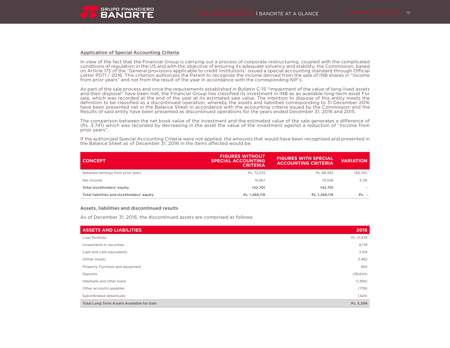### Application of Special Accounting Criteria

In view of the fact that the Financial Group is carrying out a process of corporate restructuring, coupled with the complicated conditions of regulation in the US and with the objective of ensuring its adequate solvency and stability, the Commission, based on Article 175 of the "General provisions applicable to credit institutions" issued a special accounting standard through Official Letter P071 / 2016. This criterion authorizes the Parent to recognize the income derived from the sale of INB shares in "Income from prior years" and not from the result of the year in accordance with the corresponding NIF's.

As part of the sale process and once the requirements established in Bulletin C-15 "Impairment of the value of long-lived assets and their disposal" have been met, the Financial Group has classified its investment in INB as an available long-term asset For sale, which was recorded at the end of the year at its estimated sale value. The intention to dispose of this entity meets the definition to be classified as a discontinued operation, whereby the assets and liabilities corresponding to 31 December 2016 have been presented net in the Balance Sheet in accordance with the accounting criteria issued by the Commission and the Results of said entity have been presented as discontinued operations for the years ended December 31, 2016 and 2015.

The comparison between the net book value of the investment and the estimated value of the sale generates a difference of (Ps. 3,741) which was recorded by decreasing in the asset the value of the investment against a reduction of "Income from prior years".

If the authorized Special Accounting Criteria were not applied, the amounts that would have been recognized and presented in the Balance Sheet as of December 31, 2016 in the items affected would be:

| <b>CONCEPT</b>                             | <b>FIGURES WITHOUT</b><br><b>SPECIAL ACCOUNTING</b><br><b>CRITERIA</b> | <b>FIGURES WITH SPECIAL</b><br><b>ACCOUNTING CRITERIA</b> | <b>VARIATION</b> |
|--------------------------------------------|------------------------------------------------------------------------|-----------------------------------------------------------|------------------|
| Retained earnings from prior years         | Ps. 72.233                                                             | Ps. 68.492                                                | (\$3,741)        |
| Net Income                                 | 15.567                                                                 | 19.308                                                    | 3.741            |
| Total stockholders' equity                 | 142.701                                                                | 142.701                                                   |                  |
| Total liabilities and stockholders' equity | Ps. 1,268,119                                                          | Ps. 1,268,119                                             | $Ps. -$          |

#### Assets, liabilities and discontinued results

As of December 31, 2016, the discontinued assets are comprised as follows:

| <b>ASSETS AND LIABILITIES</b>             | 2016       |
|-------------------------------------------|------------|
| Loan Portfolio                            | Ps. 21,479 |
| Investments in securities                 | 6,178      |
| Cash and cash equivalents                 | 3,519      |
| <b>Otther Assets</b>                      | 2,462      |
| Property, Furniture and equipment         | 862        |
| Deposits                                  | (26, 644)  |
| Interbank and other loans                 | (1, 394)   |
| Other accounts payables                   | (739)      |
| Subordinated debentures                   | (424)      |
| Total Long Term Assets Available for Sale | Ps. 5,299  |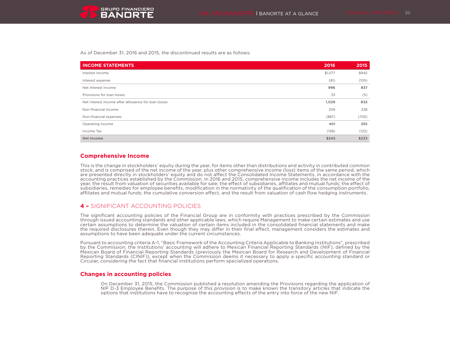As of December 31, 2016 and 2015, the discontinued results are as follows:

| <b>INCOME STATEMENTS</b>                            | 2016    | 2015  |
|-----------------------------------------------------|---------|-------|
| Interest income                                     | \$1,077 | \$942 |
| Interest expense                                    | (81)    | (105) |
| Net Interest Income                                 | 996     | 837   |
| Provisions for loan losses                          | 33      | (5)   |
| Net interest income after allowance for loan losses | 1,029   | 832   |
| Non-financial income                                | 259     | 228   |
| Non-financial expenses                              | (887)   | (705) |
| Operating Income                                    | 401     | 355   |
| Income Tax                                          | (158)   | (122) |
| Net Income                                          | \$243   | \$233 |

# **Comprehensive Income**

This is the change in stockholders' equity during the year, for items other than distributions and activity in contributed common stock, and is comprised of the net income of the year, plus other comprehensive income (loss) items of the same period, which are presented directly in stockholders' equity and do not affect the Consolidated Income Statements, in accordance with the accounting practices established by the Commission. In 2016 and 2015, comprehensive income includes the net income of the year, the result from valuation of securities available for sale; the effect of subsidiaries, affiliates and mutual funds; the effect of subsidiaries, remedies for employee benefits, modification in the normativity of the qualification of the consumption portfolio, affiliates and mutual funds; the cumulative conversion effect, and the result from valuation of cash flow hedging instruments.

# **4 –** SIGNIFICANT ACCOUNTING POLICIES

The significant accounting policies of the Financial Group are in conformity with practices prescribed by the Commission through issued accounting standards and other applicable laws, which require Management to make certain estimates and use certain assumptions to determine the valuation of certain items included in the consolidated financial statements and make the required disclosures therein. Even though they may differ in their final effect, management considers the estimates and assumptions to have been adequate under the current circumstances.

Pursuant to accounting criteria A-1, "Basic Framework of the Accounting Criteria Applicable to Banking Institutions", prescribed by the Commission, the Institutions' accounting will adhere to Mexican Financial Reporting Standards (NIF), defined by the Mexican Board of Financial Reporting Standards (previously the Mexican Board for Research and Development of Financial Reporting Standards (CINIF)), except when the Commission deems it necessary to apply a specific accounting standard or Circular, considering the fact that financial institutions perform specialized operations.

# **Changes in accounting policies**

On December 31, 2015, the Commission published a resolution amending the Provisions regarding the application of NIF D-3 Employee Benefits. The purpose of this provision is to make known the transitory articles that indicate the options that institutions have to recognize the accounting effects of the entry into force of the new NIF.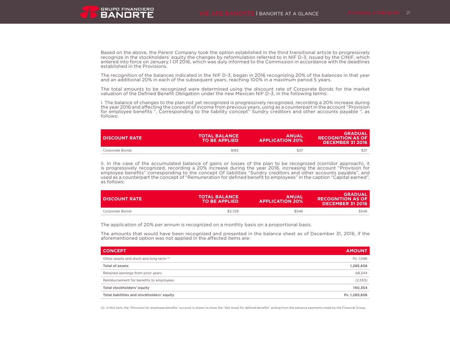

Based on the above, the Parent Company took the option established in the third transitional article to progressively recognize in the stockholders' equity the changes by reformulation referred to in NIF D-3, issued by the CINIF, which entered into force on January 1 Of 2016, which was duly informed to the Commission in accordance with the deadlines established in the Provisions.

The recognition of the balances indicated in the NIF D-3, began in 2016 recognizing 20% of the balances in that year and an additional 20% in each of the subsequent years, reaching 100% in a maximum period 5 years.

The total amounts to be recognized were determined using the discount rate of Corporate Bonds for the market valuation of the Defined Benefit Obligation under the new Mexican NIF D-3, in the following terms:

I. The balance of changes to the plan not yet recognized is progressively recognized, recording a 20% increase during the year 2016 and affecting the concept of income from previous years, using as a counterpart in the account "Provision for employee benefits ", Corresponding to the liability concept" Sundry creditors and other accounts payable ", as follows:

| I DISCOUNT RATE | <b>TOTAL BALANCE</b><br><b>TO BE APPLIED</b> | <b>ANUAL</b><br><b>APPLICATION 20%</b> | <b>GRADUAL</b><br><b>RECOGNITION AS OF</b><br><b>DECEMBER 31 2016</b> |
|-----------------|----------------------------------------------|----------------------------------------|-----------------------------------------------------------------------|
| Corporate Bonds | \$183                                        | \$37                                   |                                                                       |

II. In the case of the accumulated balance of gains or losses of the plan to be recognized (corridor approach), it is progressively recognized, recording a 20% increase during the year 2016, increasing the account "Provision for employee benefits" corresponding to the concept Of liabilities "Sundry creditors and other accounts payable", and used as a counterpart the concept of "Remuneration for defined benefit to employees" in the caption "Capital earned", as follows:

| I DISCOUNT RATE | <b>TOTAL BALANCE</b><br><b>TO BE APPLIED</b> | <b>ANUAL</b><br><b>APPLICATION 20%</b> | <b>GRADUAL</b><br><b>RECOGNITION AS OF</b><br><b>DECEMBER 31 2016</b> |
|-----------------|----------------------------------------------|----------------------------------------|-----------------------------------------------------------------------|
| Corporate Bonds | \$2.729                                      | \$546                                  | \$546                                                                 |

The application of 20% per annum is recognized on a monthly basis on a proportional basis.

The amounts that would have been recognized and presented in the balance sheet as of December 31, 2016, if the aforementioned option was not applied in the affected items are:

| <b>CONCEPT</b>                             | <b>AMOUNT</b> |
|--------------------------------------------|---------------|
| Other assets and short and long term (1)   | Ps. 1,096     |
| Total of assets                            | 1,265,656     |
| Retained earnings from prior years         | 68.344        |
| Reimbursement for benefits to employees    | (2,553)       |
| Total stockholders' equity                 | 140,354       |
| Total liabilities and stockholders' equity | Ps. 1,265,656 |

(1) In this item, the "Provision for employee benefits" account is shown to show the "Net Asset for defined benefits" arising from the advance payments made by the Financial Group.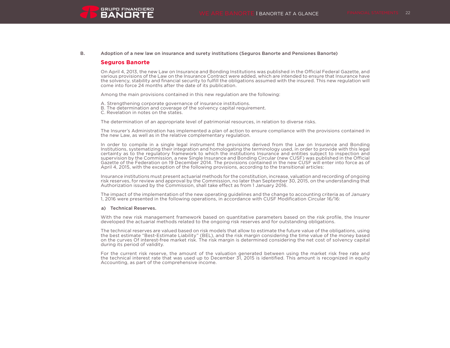

### B. Adoption of a new law on insurance and surety institutions (Seguros Banorte and Pensiones Banorte)

### **Seguros Banorte**

On April 4, 2013, the new Law on Insurance and Bonding Institutions was published in the Official Federal Gazette, and various provisions of the Law on the Insurance Contract were added, which are intended to ensure that Insurance have the solvency, stability and financial security to fulfill the obligations assumed with the insured. This new regulation will come into force 24 months after the date of its publication.

Among the main provisions contained in this new regulation are the following:

A. Strengthening corporate governance of insurance institutions.

B. The determination and coverage of the solvency capital requirement.

C. Revelation in notes on the states.

The determination of an appropriate level of patrimonial resources, in relation to diverse risks.

The Insurer's Administration has implemented a plan of action to ensure compliance with the provisions contained in the new Law, as well as in the relative complementary regulation.

In order to compile in a single legal instrument the provisions derived from the Law on Insurance and Bonding Institutions, systematizing their integration and homologating the terminology used, in order to provide with this legal certainty as to the regulatory framework to which the institutions Insurance and entities subject to inspection and supervision by the Commission, a new Single Insurance and Bonding Circular (new CUSF) was published in the Official Gazette of the Federation on 19 December 2014. The provisions contained in the new CUSF will enter into force as of April 4, 2015, with the exception of the following provisions, according to the transitional articles:

Insurance institutions must present actuarial methods for the constitution, increase, valuation and recording of ongoing risk reserves, for review and approval by the Commission, no later than September 30, 2015, on the understanding that Authorization issued by the Commission, shall take effect as from 1 January 2016.

The impact of the implementation of the new operating guidelines and the change to accounting criteria as of January 1, 2016 were presented in the following operations, in accordance with CUSF Modification Circular 16/16:

#### a) Technical Reserves.

With the new risk management framework based on quantitative parameters based on the risk profile, the Insurer developed the actuarial methods related to the ongoing risk reserves and for outstanding obligations.

The technical reserves are valued based on risk models that allow to estimate the future value of the obligations, using the best estimate "Best-Estimate Liability" (BEL), and the risk margin considering the time value of the money based on the curves Of interest-free market risk. The risk margin is determined considering the net cost of solvency capital during its period of validity.

For the current risk reserve, the amount of the valuation generated between using the market risk free rate and the technical interest rate that was used up to December 31, 2015 is identified. This amount is recognized in equity Accounting, as part of the comprehensive income.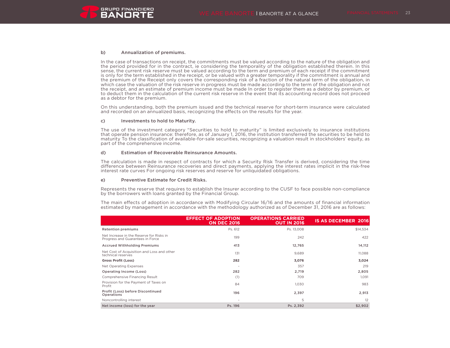

#### b) Annualization of premiums.

In the case of transactions on receipt, the commitments must be valued according to the nature of the obligation and the period provided for in the contract, ie considering the temporality of the obligation established therein. In this sense, the current risk reserve must be valued according to the term and premium of each receipt if the commitment is only for the term established in the receipt, or be valued with a greater temporality if the commitment is annual and the premium of the Receipt only covers the corresponding risk of a fraction of the natural term of the obligation, in which case the valuation of the risk reserve in progress must be made according to the term of the obligation and not the receipt, and an estimate of premium income must be made In order to register them as a debtor by premium, or to deduct them in the calculation of the current risk reserve in the event that its accounting record does not proceed as a debtor for the premium.

On this understanding, both the premium issued and the technical reserve for short-term insurance were calculated and recorded on an annualized basis, recognizing the effects on the results for the year.

### c) Investments to hold to Maturity.

The use of the investment category "Securities to hold to maturity" is limited exclusively to insurance institutions that operate pension insurance: therefore, as of January 1, 2016, the institution transferred the securities to be held to maturity To the classification of available-for-sale securities, recognizing a valuation result in stockholders' equity, as part of the comprehensive income.

#### d) Estimation of Recoverable Reinsurance Amounts.

The calculation is made in respect of contracts for which a Security Risk Transfer is derived, considering the time difference between Reinsurance recoveries and direct payments, applying the interest rates implicit in the risk-free interest rate curves For ongoing risk reserves and reserve for unliquidated obligations.

#### e) Preventive Estimate for Credit Risks.

Represents the reserve that requires to establish the Insurer according to the CUSF to face possible non-compliance by the borrowers with loans granted by the Financial Group.

The main effects of adoption in accordance with Modifying Circular 16/16 and the amounts of financial information estimated by management in accordance with the methodology authorized as of December 31, 2016 are as follows:

|                                                                              | <b>EFFECT OF ADOPTION</b><br><b>ON DEC 2016</b> | <b>OPERATIONS CARRIED</b><br><b>OUT IN 2016</b> | <b>IS AS DECEMBER 2016</b> |
|------------------------------------------------------------------------------|-------------------------------------------------|-------------------------------------------------|----------------------------|
| <b>Retention premiums</b>                                                    | Ps. 612                                         | Ps. 13,008                                      | \$14,534                   |
| Net Increase in the Reserve for Risks in<br>Progress and Guarantees in Force | 199                                             | 242                                             | 422                        |
| <b>Accrued Withholding Premiums</b>                                          | 413                                             | 12,765                                          | 14,112                     |
| Net Cost of Acquisition and Loss and other<br>technical reserves             | 131                                             | 9,689                                           | 11.088                     |
| <b>Gross Profit (Loss)</b>                                                   | 282                                             | 3,076                                           | 3,024                      |
| Net Operating Expenses                                                       |                                                 | 357                                             | 219                        |
| Operating Income (Loss)                                                      | 282                                             | 2,719                                           | 2,805                      |
| Comprehensive Financing Result                                               | (1)                                             | 709                                             | 1,091                      |
| Provision for the Payment of Taxes on<br>Profit                              | 84                                              | 1,030                                           | 983                        |
| Profit (Loss) before Discontinued<br>Operations                              | 196                                             | 2,397                                           | 2,913                      |
| Noncontrolling interest                                                      | $\overline{\phantom{a}}$                        | 5                                               | 12                         |
| Net income (loss) for the year                                               | Ps. 196                                         | Ps. 2,392                                       | \$2,902                    |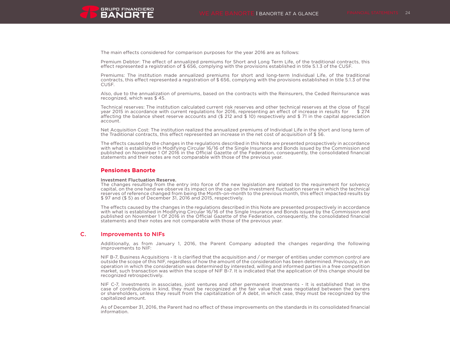

The main effects considered for comparison purposes for the year 2016 are as follows:

Premium Debtor: The effect of annualized premiums for Short and Long Term Life, of the traditional contracts, this effect represented a registration of \$ 656, complying with the provisions established in title 5.1.3 of the CUSF.

Premiums: The institution made annualized premiums for short and long-term Individual Life, of the traditional contracts, this effect represented a registration of \$ 656, complying with the provisions established in title 5.1.3 of the CUSF.

Also, due to the annualization of premiums, based on the contracts with the Reinsurers, the Ceded Reinsurance was recognized, which was \$ 45.

Technical reserves: The institution calculated current risk reserves and other technical reserves at the close of fiscal year 2015 in accordance with current regulations for 2016, representing an effect of increase in results for \$ 274 affecting the balance sheet reserve accounts and (\$ 212 and \$ 10) respectively and \$ 71 in the capital appreciation account.

Net Acquisition Cost: The institution realized the annualized premiums of Individual Life in the short and long term of the Traditional contracts, this effect represented an increase in the net cost of acquisition of \$ 56.

The effects caused by the changes in the regulations described in this Note are presented prospectively in accordance with what is established in Modifying Circular 16/16 of the Single Insurance and Bonds issued by the Commission and published on November 1 Of 2016 in the Official Gazette of the Federation, consequently, the consolidated financial statements and their notes are not comparable with those of the previous year.

### **Pensiones Banorte**

#### Investment Fluctuation Reserve.

The changes resulting from the entry into force of the new legislation are related to the requirement for solvency capital, on the one hand we observe its impact on the cap on the investment fluctuation reserve in which the technical reserves of reference changed from being the Month-on-month to the previous month, this effect impacted results by \$ 97 and (\$ 5) as of December 31, 2016 and 2015, respectively.

The effects caused by the changes in the regulations described in this Note are presented prospectively in accordance with what is established in Modifying Circular 16/16 of the Single Insurance and Bonds issued by the Commission and published on November 1 Of 2016 in the Official Gazette of the Federation, consequently, the consolidated financial statements and their notes are not comparable with those of the previous year.

### C. Improvements to NIFs

Additionally, as from January 1, 2016, the Parent Company adopted the changes regarding the following improvements to NIF:

NIF B-7, Business Acquisitions - It is clarified that the acquisition and / or merger of entities under common control are outside the scope of this NIF, regardless of how the amount of the consideration has been determined. Previously, in an operation in which the consideration was determined by interested, willing and informed parties in a free competition market, such transaction was within the scope of NIF B-7. It is indicated that the application of this change should be recognized retrospectively.

NIF C-7, Investments in associates, joint ventures and other permanent investments - It is established that in the case of contributions in kind, they must be recognized at the fair value that was negotiated between the owners or shareholders, unless they result from the capitalization of A debt, in which case, they must be recognized by the capitalized amount.

As of December 31, 2016, the Parent had no effect of these improvements on the standards in its consolidated financial information.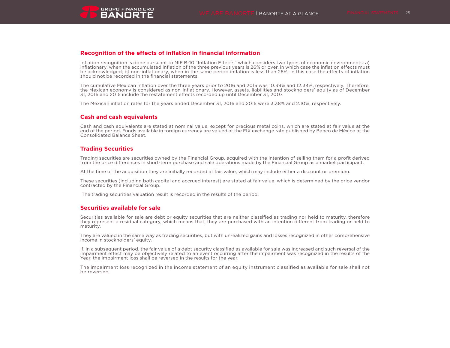

# **Recognition of the effects of inflation in financial information**

Inflation recognition is done pursuant to NIF B-10 "Inflation Effects" which considers two types of economic environments: a) inflationary, when the accumulated inflation of the three previous years is 26% or over, in which case the inflation effects must be acknowledged; b) non-inflationary, when in the same period inflation is less than 26%; in this case the effects of inflation should not be recorded in the financial statements.

The cumulative Mexican inflation over the three years prior to 2016 and 2015 was 10.39% and 12.34%, respectively. Therefore, the Mexican economy is considered as non-inflationary. However, assets, liabilities and stockholders' equity as of December 31, 2016 and 2015 include the restatement effects recorded up until December 31, 2007.

The Mexican inflation rates for the years ended December 31, 2016 and 2015 were 3.38% and 2.10%, respectively.

# **Cash and cash equivalents**

Cash and cash equivalents are stated at nominal value, except for precious metal coins, which are stated at fair value at the end of the period. Funds available in foreign currency are valued at the FIX exchange rate published by Banco de México at the Consolidated Balance Sheet.

# **Trading Securities**

Trading securities are securities owned by the Financial Group, acquired with the intention of selling them for a profit derived from the price differences in short-term purchase and sale operations made by the Financial Group as a market participant.

At the time of the acquisition they are initially recorded at fair value, which may include either a discount or premium.

These securities (including both capital and accrued interest) are stated at fair value, which is determined by the price vendor contracted by the Financial Group.

The trading securities valuation result is recorded in the results of the period.

### **Securities available for sale**

Securities available for sale are debt or equity securities that are neither classified as trading nor held to maturity, therefore they represent a residual category, which means that, they are purchased with an intention different from trading or held to maturity.

They are valued in the same way as trading securities, but with unrealized gains and losses recognized in other comprehensive income in stockholders' equity.

If, in a subsequent period, the fair value of a debt security classified as available for sale was increased and such reversal of the impairment effect may be objectively related to an event occurring after the impairment was recognized in the results of the Year, the impairment loss shall be reversed in the results for the year.

The impairment loss recognized in the income statement of an equity instrument classified as available for sale shall not be reversed.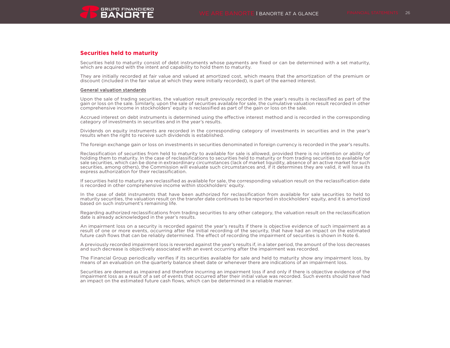# **Securities held to maturity**

Securities held to maturity consist of debt instruments whose payments are fixed or can be determined with a set maturity, which are acquired with the intent and capability to hold them to maturity.

They are initially recorded at fair value and valued at amortized cost, which means that the amortization of the premium or discount (included in the fair value at which they were initially recorded), is part of the earned interest.

### General valuation standards

Upon the sale of trading securities, the valuation result previously recorded in the year's results is reclassified as part of the gain or loss on the sale. Similarly, upon the sale of securities available for sale, the cumulative valuation result recorded in other comprehensive income in stockholders' equity is reclassified as part of the gain or loss on the sale.

Accrued interest on debt instruments is determined using the effective interest method and is recorded in the corresponding category of investments in securities and in the year's results.

Dividends on equity instruments are recorded in the corresponding category of investments in securities and in the year's results when the right to receive such dividends is established.

The foreign exchange gain or loss on investments in securities denominated in foreign currency is recorded in the year's results.

Reclassification of securities from held to maturity to available for sale is allowed, provided there is no intention or ability of holding them to maturity. In the case of reclassifications to securities held to maturity or from trading securities to available for sale securities, which can be done in extraordinary circumstances (lack of market liquidity, absence of an active market for such securities, among others), the Commission will evaluate such circumstances and, if it determines they are valid, it will issue its express authorization for their reclassification.

If securities held to maturity are reclassified as available for sale, the corresponding valuation result on the reclassification date is recorded in other comprehensive income within stockholders' equity.

In the case of debt instruments that have been authorized for reclassification from available for sale securities to held to maturity securities, the valuation result on the transfer date continues to be reported in stockholders' equity, and it is amortized based on such instrument's remaining life.

Regarding authorized reclassifications from trading securities to any other category, the valuation result on the reclassification date is already acknowledged in the year's results.

An impairment loss on a security is recorded against the year's results if there is objective evidence of such impairment as a result of one or more events, occurring after the initial recording of the security, that have had an impact on the estimated future cash flows that can be reliably determined. The effect of recording the impairment of securities is shown in Note 6.

A previously recorded impairment loss is reversed against the year's results if, in a later period, the amount of the loss decreases and such decrease is objectively associated with an event occurring after the impairment was recorded.

The Financial Group periodically verifies if its securities available for sale and held to maturity show any impairment loss, by means of an evaluation on the quarterly balance sheet date or whenever there are indications of an impairment loss.

Securities are deemed as impaired and therefore incurring an impairment loss if and only if there is objective evidence of the impairment loss as a result of a set of events that occurred after their initial value was recorded. Such events should have had an impact on the estimated future cash flows, which can be determined in a reliable manner.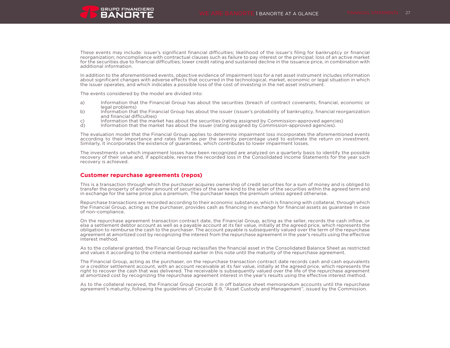These events may include: issuer's significant financial difficulties; likelihood of the issuer's filing for bankruptcy or financial reorganization; noncompliance with contractual clauses such as failure to pay interest or the principal; loss of an active market for the securities due to financial difficulties; lower credit rating and sustained decline in the issuance price, in combination with additional information.

In addition to the aforementioned events, objective evidence of impairment loss for a net asset instrument includes information about significant changes with adverse effects that occurred in the technological, market, economic or legal situation in which the issuer operates, and which indicates a possible loss of the cost of investing in the net asset instrument.

The events considered by the model are divided into:

- a) Information that the Financial Group has about the securities (breach of contract covenants, financial, economic or legal problems)
- b) Information that the Financial Group has about the issuer (issuer's probability of bankruptcy, financial reorganization and financial difficulties)
- c) Information that the market has about the securities (rating assigned by Commission-approved agencies)<br>d) Information that the market has about the issuer (rating assigned by Commission-approved agencies).
- Information that the market has about the issuer (rating assigned by Commission-approved agencies).

The evaluation model that the Financial Group applies to determine impairment loss incorporates the aforementioned events according to their importance and rates them as per the severity percentage used to estimate the return on investment. Similarly, it incorporates the existence of guarantees, which contributes to lower impairment losses.

The investments on which impairment losses have been recognized are analyzed on a quarterly basis to identify the possible recovery of their value and, if applicable, reverse the recorded loss in the Consolidated Income Statements for the year such recovery is achieved.

### **Customer repurchase agreements (repos)**

This is a transaction through which the purchaser acquires ownership of credit securities for a sum of money and is obliged to transfer the property of another amount of securities of the same kind to the seller of the securities within the agreed term and in exchange for the same price plus a premium. The purchaser keeps the premium unless agreed otherwise.

Repurchase transactions are recorded according to their economic substance, which is financing with collateral, through which the Financial Group, acting as the purchaser, provides cash as financing in exchange for financial assets as guarantee in case of non-compliance.

On the repurchase agreement transaction contract date, the Financial Group, acting as the seller, records the cash inflow, or else a settlement debtor account as well as a payable account at its fair value, initially at the agreed price, which represents the obligation to reimburse the cash to the purchaser. The account payable is subsequently valued over the term of the repurchase agreement at amortized cost by recognizing the interest from the repurchase agreement in the year's results using the effective interest method.

As to the collateral granted, the Financial Group reclassifies the financial asset in the Consolidated Balance Sheet as restricted and values it according to the criteria mentioned earlier in this note until the maturity of the repurchase agreement.

The Financial Group, acting as the purchaser, on the repurchase transaction contract date records cash and cash equivalents or a creditor settlement account, with an account receivable at its fair value, initially at the agreed price, which represents the right to recover the cash that was delivered. The receivable is subsequently valued over the life of the repurchase agreement at amortized cost by recognizing the repurchase agreement interest in the year's results using the effective interest method.

As to the collateral received, the Financial Group records it in off balance sheet memorandum accounts until the repurchase agreement's maturity, following the guidelines of Circular B-9, "Asset Custody and Management", issued by the Commission.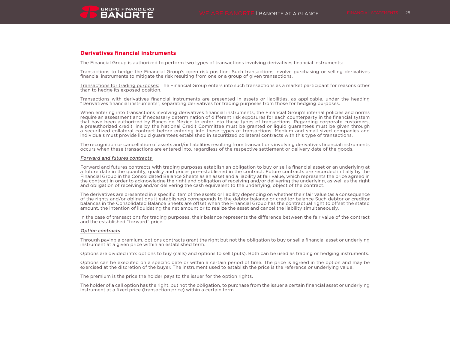# **Derivatives financial instruments**

The Financial Group is authorized to perform two types of transactions involving derivatives financial instruments:

Transactions to hedge the Financial Group's open risk position: Such transactions involve purchasing or selling derivatives financial instruments to mitigate the risk resulting from one or a group of given transactions.

Transactions for trading purposes: The Financial Group enters into such transactions as a market participant for reasons other than to hedge its exposed position.

Transactions with derivatives financial instruments are presented in assets or liabilities, as applicable, under the heading "Derivatives financial instruments", separating derivatives for trading purposes from those for hedging purposes.

When entering into transactions involving derivatives financial instruments, the Financial Group's internal policies and norms require an assessment and if necessary determination of different risk exposures for each counterparty in the financial system that have been authorized by Banco de México to enter into these types of transactions. Regarding corporate customers, a preauthorized credit line by the National Credit Committee must be granted or liquid guarantees must be given through a securitized collateral contract before entering into these types of transactions. Medium and small sized companies and individuals must provide liquid guarantees established in securitized collateral contracts with this type of transactions.

The recognition or cancellation of assets and/or liabilities resulting from transactions involving derivatives financial instruments occurs when these transactions are entered into, regardless of the respective settlement or delivery date of the goods.

#### Forward and futures contracts

Forward and futures contracts with trading purposes establish an obligation to buy or sell a financial asset or an underlying at a future date in the quantity, quality and prices pre-established in the contract. Future contracts are recorded initially by the Financial Group in the Consolidated Balance Sheets as an asset and a liability at fair value, which represents the price agreed in the contract in order to acknowledge the right and obligation of receiving and/or delivering the underlying, as well as the right and obligation of receiving and/or delivering the cash equivalent to the underlying, object of the contract.

The derivatives are presented in a specific item of the assets or liability depending on whether their fair value (as a consequence of the rights and/or obligations it establishes) corresponds to the debtor balance or creditor balance Such debtor or creditor balances in the Consolidated Balance Sheets are offset when the Financial Group has the contractual right to offset the stated amount, the intention of liquidating the net amount or to realize the asset and cancel the liability simultaneously.

In the case of transactions for trading purposes, their balance represents the difference between the fair value of the contract and the established "forward" price.

### Option contracts

Through paying a premium, options contracts grant the right but not the obligation to buy or sell a financial asset or underlying instrument at a given price within an established term.

Options are divided into: options to buy (calls) and options to sell (puts). Both can be used as trading or hedging instruments.

Options can be executed on a specific date or within a certain period of time. The price is agreed in the option and may be exercised at the discretion of the buyer. The instrument used to establish the price is the reference or underlying value.

The premium is the price the holder pays to the issuer for the option rights.

The holder of a call option has the right, but not the obligation, to purchase from the issuer a certain financial asset or underlying instrument at a fixed price (transaction price) within a certain term.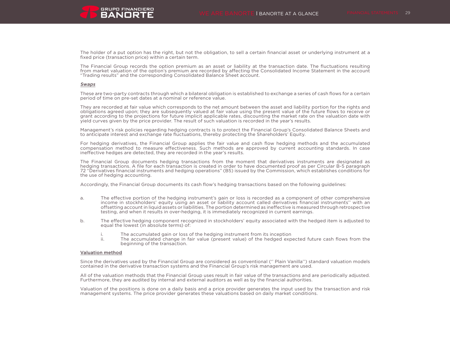The holder of a put option has the right, but not the obligation, to sell a certain financial asset or underlying instrument at a fixed price (transaction price) within a certain term.

The Financial Group records the option premium as an asset or liability at the transaction date. The fluctuations resulting from market valuation of the option's premium are recorded by affecting the Consolidated Income Statement in the account "Trading results" and the corresponding Consolidated Balance Sheet account.

#### Swaps

These are two-party contracts through which a bilateral obligation is established to exchange a series of cash flows for a certain period of time on pre-set dates at a nominal or reference value.

They are recorded at fair value which corresponds to the net amount between the asset and liability portion for the rights and obligations agreed upon; they are subsequently valued at fair value using the present value of the future flows to receive or grant according to the projections for future implicit applicable rates, discounting the market rate on the valuation date with yield curves given by the price provider. The result of such valuation is recorded in the year's results.

Management's risk policies regarding hedging contracts is to protect the Financial Group's Consolidated Balance Sheets and to anticipate interest and exchange rate fluctuations, thereby protecting the Shareholders' Equity.

For hedging derivatives, the Financial Group applies the fair value and cash flow hedging methods and the accumulated compensation method to measure effectiveness. Such methods are approved by current accounting standards. In case ineffective hedges are detected, they are recorded in the year's results.

The Financial Group documents hedging transactions from the moment that derivatives instruments are designated as hedging transactions. A file for each transaction is created in order to have documented proof as per Circular B-5 paragraph 72 "Derivatives financial instruments and hedging operations" (B5) issued by the Commission, which establishes conditions for the use of hedging accounting.

Accordingly, the Financial Group documents its cash flow's hedging transactions based on the following guidelines:

- a. The effective portion of the hedging instrument's gain or loss is recorded as a component of other comprehensive income in stockholders' equity using an asset or liability account called derivatives financial instruments'' with an offsetting account in liquid assets or liabilities. The portion determined as ineffective is measured through retrospective testing, and when it results in over-hedging, it is immediately recognized in current earnings.
- b. The effective hedging component recognized in stockholders' equity associated with the hedged item is adjusted to equal the lowest (in absolute terms) of:
	- i. The accumulated gain or loss of the hedging instrument from its inception<br>ii. The accumulated change in fair value (present value) of the hedged exp
	- The accumulated change in fair value (present value) of the hedged expected future cash flows from the beginning of the transaction.

### Valuation method

Since the derivatives used by the Financial Group are considered as conventional ('' Plain Vanilla'') standard valuation models contained in the derivative transaction systems and the Financial Group's risk management are used.

All of the valuation methods that the Financial Group uses result in fair value of the transactions and are periodically adjusted. Furthermore, they are audited by internal and external auditors as well as by the financial authorities.

Valuation of the positions is done on a daily basis and a price provider generates the input used by the transaction and risk management systems. The price provider generates these valuations based on daily market conditions.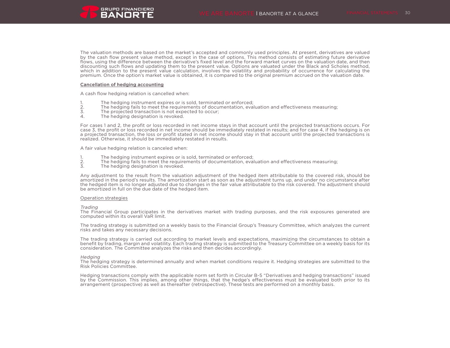The valuation methods are based on the market's accepted and commonly used principles. At present, derivatives are valued by the cash flow present value method, except in the case of options. This method consists of estimating future derivative flows, using the difference between the derivative's fixed level and the forward market curves on the valuation date, and then discounting such flows and updating them to the present value. Options are valuated under the Black and Scholes method, which in addition to the present value calculation, involves the volatility and probability of occurrence for calculating the premium. Once the option's market value is obtained, it is compared to the original premium accrued on the valuation date.

#### Cancellation of hedging accounting

A cash flow hedging relation is cancelled when:

- 1. The hedging instrument expires or is sold, terminated or enforced;<br>2. The hedging fails to meet the requirements of documentation, eva
- 2. The hedging fails to meet the requirements of documentation, evaluation and effectiveness measuring;<br>3. The projected transaction is not expected to occur:
- 3. The projected transaction is not expected to occur;<br>4. The hedging designation is revoked.
- The hedging designation is revoked.

For cases 1 and 2, the profit or loss recorded in net income stays in that account until the projected transactions occurs. For case 3, the profit or loss recorded in net income should be immediately restated in results; and for case 4, if the hedging is on a projected transaction, the loss or profit stated in net income should stay in that account until the projected transactions is realized. Otherwise, it should be immediately restated in results.

A fair value hedging relation is canceled when:

- 1. The hedging instrument expires or is sold, terminated or enforced;<br>2. The hedging fails to meet the requirements of documentation, eva
- 2. The hedging fails to meet the requirements of documentation, evaluation and effectiveness measuring;<br>3. The hedging designation is revoked.
- The hedging designation is revoked.

Any adjustment to the result from the valuation adjustment of the hedged item attributable to the covered risk, should be amortized in the period's results. The amortization start as soon as the adjustment turns up, and under no circumstance after the hedged item is no longer adjusted due to changes in the fair value attributable to the risk covered. The adjustment should be amortized in full on the due date of the hedged item.

#### Operation strategies

#### Trading

The Financial Group participates in the derivatives market with trading purposes, and the risk exposures generated are computed within its overall VaR limit.

The trading strategy is submitted on a weekly basis to the Financial Group's Treasury Committee, which analyzes the current risks and takes any necessary decisions.

The trading strategy is carried out according to market levels and expectations, maximizing the circumstances to obtain a benefit by trading, margin and volatility. Each trading strategy is submitted to the Treasury Committee on a weekly basis for its consideration. The Committee analyzes the risks and then decides accordingly.

#### **Hedging**

The hedging strategy is determined annually and when market conditions require it. Hedging strategies are submitted to the Risk Policies Committee.

Hedging transactions comply with the applicable norm set forth in Circular B-5 "Derivatives and hedging transactions" issued by the Commission. This implies, among other things, that the hedge's effectiveness must be evaluated both prior to its arrangement (prospective) as well as thereafter (retrospective). These tests are performed on a monthly basis.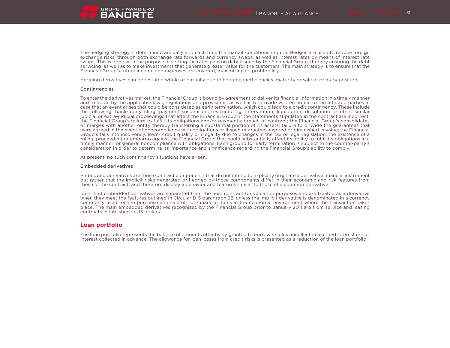

The hedging strategy is determined annually and each time the market conditions require. Hedges are used to reduce foreign exchange risks, through both exchange rate forwards and currency swaps, as well as interest rates by means of interest rate swaps. This is done with the purpose of setting the rates paid on debt issued by the Financial Group, thereby ensuring the debt servicing, as well as to make investments that generate greater value for the customers. The main strategy is to ensure that the Financial Group's future income and expenses are covered, maximizing its profitability.

Hedging derivatives can be restated whole or partially due to hedging inefficiencies, maturity or sale of primary position.

#### Contingencies

To enter the derivatives market, the Financial Group is bound by agreement to deliver its financial information in a timely manner and to abide by the applicable laws, regulations and provisions, as well as to provide written notice to the affected parties in case that an event arises that could be considered as early termination, which could lead to a credit contingency. These include the following: bankruptcy filing, payment suspension, restructuring, intervention, liquidation, dissolution or other similar judicial or extra-judicial proceedings that affect the Financial Group; if the statements stipulated in the contract are incorrect; the Financial Group's failure to fulfill its obligations and/or payments; breach of contract; the Financial Group's consolidates or merges with another entity thereby transferring a substantial portion of its assets; failure to provide the guarantees that were agreed in the event of noncompliance with obligations or if such guarantees expired or diminished in value; the Financial Group's falls into insolvency, lower credit quality or illegality due to changes in the tax or legal legislation; the existence of a ruling, proceeding or embargo against the Financial Group that could substantially affect its ability to fulfill its obligations in a timely manner; or general noncompliance with obligations. Each ground for early termination is subject to the counter-party's consideration in order to determine its importance and significance regarding the Financial Group's ability to comply.

At present, no such contingency situations have arisen.

#### Embedded derivatives

Embedded derivatives are those contract components that do not intend to explicitly originate a derivative financial instrument but rather that the implicit risks generated or hedged by those components differ in their economic and risk features from those of the contract, and therefore display a behavior and features similar to those of a common derivative.

Identified embedded derivatives are separated from the host contract for valuation purposes and are treated as a derivative when they meet the features outlined in Circular B-5 paragraph 22, unless the implicit derivative is denominated in a currency commonly used for the purchase and sale of non-financial items in the economic environment where the transaction takes place. The main embedded derivatives recognized by the Financial Group prior to January 2011 are from service and leasing contracts established in US dollars.

### **Loan portfolio**

The loan portfolio represents the balance of amounts effectively granted to borrowers plus uncollected accrued interest minus interest collected in advance. The allowance for loan losses from credit risks is presented as a reduction of the loan portfolio.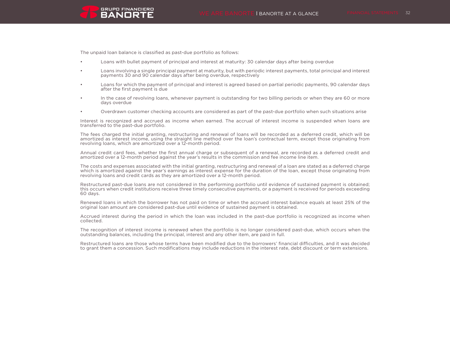The unpaid loan balance is classified as past-due portfolio as follows:

**GRUPO FINANCIERO BANORTE** 

- Loans with bullet payment of principal and interest at maturity: 30 calendar days after being overdue
- Loans involving a single principal payment at maturity, but with periodic interest payments, total principal and interest payments 30 and 90 calendar days after being overdue, respectively
- Loans for which the payment of principal and interest is agreed based on partial periodic payments, 90 calendar days after the first payment is due
- In the case of revolving loans, whenever payment is outstanding for two billing periods or when they are 60 or more days overdue
- Overdrawn customer checking accounts are considered as part of the past-due portfolio when such situations arise

Interest is recognized and accrued as income when earned. The accrual of interest income is suspended when loans are transferred to the past-due portfolio.

The fees charged the initial granting, restructuring and renewal of loans will be recorded as a deferred credit, which will be amortized as interest income, using the straight line method over the loan's contractual term, except those originating from revolving loans, which are amortized over a 12-month period.

Annual credit card fees, whether the first annual charge or subsequent of a renewal, are recorded as a deferred credit and amortized over a 12-month period against the year's results in the commission and fee income line item.

The costs and expenses associated with the initial granting, restructuring and renewal of a loan are stated as a deferred charge which is amortized against the year's earnings as interest expense for the duration of the loan, except those originating from revolving loans and credit cards as they are amortized over a 12-month period.

Restructured past-due loans are not considered in the performing portfolio until evidence of sustained payment is obtained; this occurs when credit institutions receive three timely consecutive payments, or a payment is received for periods exceeding 60 days.

Renewed loans in which the borrower has not paid on time or when the accrued interest balance equals at least 25% of the original loan amount are considered past-due until evidence of sustained payment is obtained.

Accrued interest during the period in which the loan was included in the past-due portfolio is recognized as income when collected.

The recognition of interest income is renewed when the portfolio is no longer considered past-due, which occurs when the outstanding balances, including the principal, interest and any other item, are paid in full.

Restructured loans are those whose terms have been modified due to the borrowers' financial difficulties, and it was decided to grant them a concession. Such modifications may include reductions in the interest rate, debt discount or term extensions.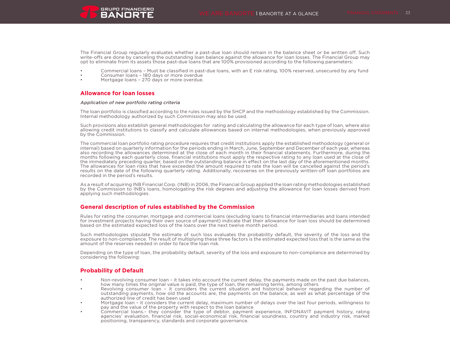

The Financial Group regularly evaluates whether a past-due loan should remain in the balance sheet or be written off. Such write-offs are done by canceling the outstanding loan balance against the allowance for loan losses. The Financial Group may opt to eliminate from its assets those past-due loans that are 100% provisioned according to the following parameters:

- Commercial loans Must be classified in past-due loans, with an E risk rating, 100% reserved, unsecured by any fund
- Consumer loans 180 days or more overdue
- Mortgage loans 270 days or more overdue.

# **Allowance for loan losses**

#### Application of new portfolio rating criteria

The loan portfolio is classified according to the rules issued by the SHCP and the methodology established by the Commission. Internal methodology authorized by such Commission may also be used.

Such provisions also establish general methodologies for rating and calculating the allowance for each type of loan, where also allowing credit institutions to classify and calculate allowances based on internal methodologies, when previously approved by the Commission.

The commercial loan portfolio rating procedure requires that credit institutions apply the established methodology (general or internal) based on quarterly information for the periods ending in March, June, September and December of each year, whereas also recording the allowances determined at the close of each month in their financial statements. Furthermore, during the months following each quarterly close, financial institutions must apply the respective rating to any loan used at the close of the immediately preceding quarter, based on the outstanding balance in effect on the last day of the aforementioned months. The allowances for loan risks that have exceeded the amount required to rate the loan will be cancelled against the period's results on the date of the following quarterly rating. Additionally, recoveries on the previously written-off loan portfolios are recorded in the period's results.

As a result of acquiring INB Financial Corp. (INB) in 2006, the Financial Group applied the loan rating methodologies established by the Commission to INB's loans, homologating the risk degrees and adjusting the allowance for loan losses derived from applying such methodologies.

# **General description of rules established by the Commission**

Rules for rating the consumer, mortgage and commercial loans (excluding loans to financial intermediaries and loans intended for investment projects having their own source of payment) indicate that their allowance for loan loss should be determined based on the estimated expected loss of the loans over the next twelve month period.

Such methodologies stipulate the estimate of such loss evaluates the probability default, the severity of the loss and the exposure to non-compliance. The result of multiplying these three factors is the estimated expected loss that is the same as the amount of the reserves needed in order to face the loan risk.

Depending on the type of loan, the probability default, severity of the loss and exposure to non-compliance are determined by considering the following:

# **Probability of Default**

- Non-revolving consumer loan it takes into account the current delay, the payments made on the past due balances, how many times the original value is paid, the type of loan, the remaining terms, among others
- Revolving consumer loan it considers the current situation and historical behavior regarding the number of outstanding payments, how old the accounts are, the payments on the balance, as well as what percentage of the authorized line of credit has been used
- Mortgage loan it considers the current delay, maximum number of delays over the last four periods, willingness to pay and the value of the property with respect to the loan balance
- Commercial loans.- they consider the type of debtor, payment experience, INFONAVIT payment history, rating agencies' evaluation, financial risk, social-economical risk, financial soundness, country and industry risk, market positioning, transparency, standards and corporate governance.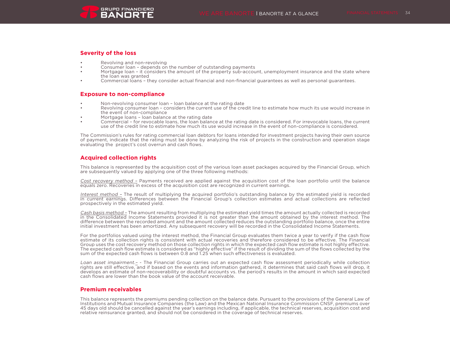# **Severity of the loss**

- Revolving and non-revolving
- Consumer loan depends on the number of outstanding payments
- Mortgage loan it considers the amount of the property sub-account, unemployment insurance and the state where the loan was granted
- Commercial loans they consider actual financial and non-financial guarantees as well as personal guarantees.

# **Exposure to non-compliance**

- Non-revolving consumer loan loan balance at the rating date
- Revolving consumer loan considers the current use of the credit line to estimate how much its use would increase in the event of non-compliance
- Mortgage loans loan balance at the rating date
- Commercial for revocable loans, the loan balance at the rating date is considered. For irrevocable loans, the current use of the credit line to estimate how much its use would increase in the event of non-compliance is considered.

The Commission's rules for rating commercial loan debtors for loans intended for investment projects having their own source of payment, indicate that the rating must be done by analyzing the risk of projects in the construction and operation stage evaluating the project's cost overrun and cash flows.

# **Acquired collection rights**

This balance is represented by the acquisition cost of the various loan asset packages acquired by the Financial Group, which are subsequently valued by applying one of the three following methods:

Cost recovery method – Payments received are applied against the acquisition cost of the loan portfolio until the balance equals zero. Recoveries in excess of the acquisition cost are recognized in current earnings.

Interest method – The result of multiplying the acquired portfolio's outstanding balance by the estimated yield is recorded in current earnings. Differences between the Financial Group's collection estimates and actual collections are reflected prospectively in the estimated yield.

Cash basis method – The amount resulting from multiplying the estimated yield times the amount actually collected is recorded in the Consolidated Income Statements provided it is not greater than the amount obtained by the interest method. The difference between the recorded amount and the amount collected reduces the outstanding portfolio balance, once the entire initial investment has been amortized. Any subsequent recovery will be recorded in the Consolidated Income Statements.

For the portfolios valued using the interest method, the Financial Group evaluates them twice a year to verify if the cash flow estimate of its collection rights is consistent with actual recoveries and therefore considered to be effective. The Financial Group uses the cost recovery method on those collection rights in which the expected cash flow estimate is not highly effective. The expected cash flow estimate is considered as "highly effective" if the result of dividing the sum of the flows collected by the sum of the expected cash flows is between 0.8 and 1.25 when such effectiveness is evaluated.

Loan asset impairment.– - The Financial Group carries out an expected cash flow assessment periodically while collection rights are still effective, and if based on the events and information gathered, it determines that said cash flows will drop, it develops an estimate of non-recoverability or doubtful accounts vs. the period's results in the amount in which said expected cash flows are lower than the book value of the account receivable.

# **Premium receivables**

This balance represents the premiums pending collection on the balance date. Pursuant to the provisions of the General Law of Institutions and Mutual Insurance Companies (the Law) and the Mexican National Insurance Commission CNSF, premiums over 45 days old should be cancelled against the year's earnings including, if applicable, the technical reserves, acquisition cost and relative reinsurance granted, and should not be considered in the coverage of technical reserves.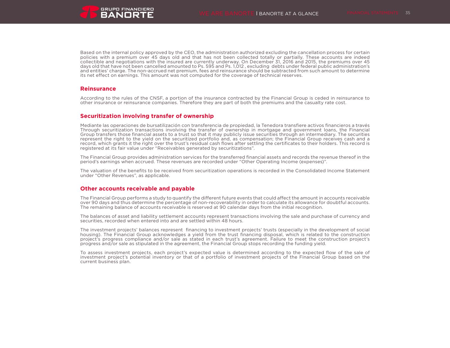

Based on the internal policy approved by the CEO, the administration authorized excluding the cancellation process for certain policies with a premium over 45 days old and that has not been collected totally or partially. These accounts are indeed collectible and negotiations with the insured are currently underway. On December 31, 2016 and 2015, the premiums over 45 days old that have not been cancelled amounted to Ps. 595 and Ps. 1,012 , excluding debts under federal public administration's and entities' charge. The non-accrued net premium, fees and reinsurance should be subtracted from such amount to determine its net effect on earnings. This amount was not computed for the coverage of technical reserves.

### **Reinsurance**

According to the rules of the CNSF, a portion of the insurance contracted by the Financial Group is ceded in reinsurance to other insurance or reinsurance companies. Therefore they are part of both the premiums and the casualty rate cost.

### **Securitization involving transfer of ownership**

Mediante las operaciones de bursatilización con transferencia de propiedad, la Tenedora transfiere activos financieros a través Through securitization transactions involving the transfer of ownership in mortgage and government loans, the Financial Group transfers those financial assets to a trust so that it may publicly issue securities through an intermediary. The securities represent the right to the yield on the securitized portfolio and, as compensation; the Financial Group receives cash and a record, which grants it the right over the trust's residual cash flows after settling the certificates to their holders. This record is registered at its fair value under "Receivables generated by securitizations".

The Financial Group provides administration services for the transferred financial assets and records the revenue thereof in the period's earnings when accrued. These revenues are recorded under "Other Operating Income (expenses)".

The valuation of the benefits to be received from securitization operations is recorded in the Consolidated Income Statement under "Other Revenues", as applicable.

### **Other accounts receivable and payable**

The Financial Group performs a study to quantify the different future events that could affect the amount in accounts receivable over 90 days and thus determine the percentage of non-recoverability in order to calculate its allowance for doubtful accounts. The remaining balance of accounts receivable is reserved at 90 calendar days from the initial recognition.

The balances of asset and liability settlement accounts represent transactions involving the sale and purchase of currency and securities, recorded when entered into and are settled within 48 hours.

The investment projects' balances represent financing to investment projects' trusts (especially in the development of social housing). The Financial Group acknowledges a yield from the trust financing disposal, which is related to the construction project's progress compliance and/or sale as stated in each trust's agreement. Failure to meet the construction project's progress and/or sale as stipulated in the agreement, the Financial Group stops recording the funding yield.

To assess investment projects, each project's expected value is determined according to the expected flow of the sale of investment project's potential inventory or that of a portfolio of investment projects of the Financial Group based on the current business plan.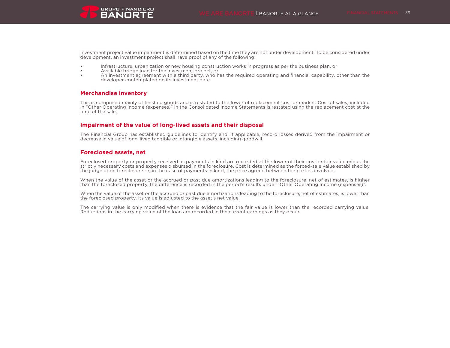

Investment project value impairment is determined based on the time they are not under development. To be considered under development, an investment project shall have proof of any of the following:

- Infrastructure, urbanization or new housing construction works in progress as per the business plan, or
- Available bridge loan for the investment project, or
- An investment agreement with a third party, who has the required operating and financial capability, other than the developer contemplated on its investment date.

# **Merchandise inventory**

This is comprised mainly of finished goods and is restated to the lower of replacement cost or market. Cost of sales, included in "Other Operating Income (expenses)" in the Consolidated Income Statements is restated using the replacement cost at the time of the sale.

# **Impairment of the value of long-lived assets and their disposal**

The Financial Group has established guidelines to identify and, if applicable, record losses derived from the impairment or decrease in value of long-lived tangible or intangible assets, including goodwill.

# **Foreclosed assets, net**

Foreclosed property or property received as payments in kind are recorded at the lower of their cost or fair value minus the strictly necessary costs and expenses disbursed in the foreclosure. Cost is determined as the forced-sale value established by the judge upon foreclosure or, in the case of payments in kind, the price agreed between the parties involved.

When the value of the asset or the accrued or past due amortizations leading to the foreclosure, net of estimates, is higher than the foreclosed property, the difference is recorded in the period's results under "Other Operating Income (expenses)".

When the value of the asset or the accrued or past due amortizations leading to the foreclosure, net of estimates, is lower than the foreclosed property, its value is adjusted to the asset's net value.

The carrying value is only modified when there is evidence that the fair value is lower than the recorded carrying value. Reductions in the carrying value of the loan are recorded in the current earnings as they occur.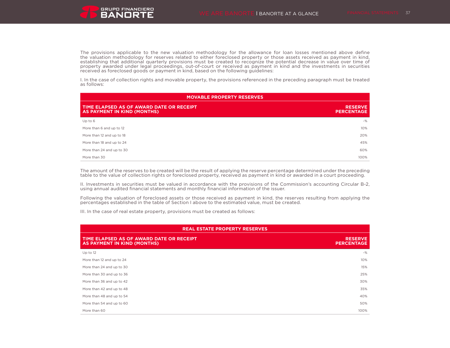The provisions applicable to the new valuation methodology for the allowance for loan losses mentioned above define the valuation methodology for reserves related to either foreclosed property or those assets received as payment in kind, establishing that additional quarterly provisions must be created to recognize the potential decrease in value over time of property awarded under legal proceedings, out-of-court or received as payment in kind and the investments in securities received as foreclosed goods or payment in kind, based on the following guidelines:

I. In the case of collection rights and movable property, the provisions referenced in the preceding paragraph must be treated as follows:

| <b>MOVABLE PROPERTY RESERVES</b>                                        |                                     |  |  |
|-------------------------------------------------------------------------|-------------------------------------|--|--|
| TIME ELAPSED AS OF AWARD DATE OR RECEIPT<br>AS PAYMENT IN KIND (MONTHS) | <b>RESERVE</b><br><b>PERCENTAGE</b> |  |  |
| Up to $6$                                                               | $-$ %                               |  |  |
| More than 6 and up to 12                                                | 10%                                 |  |  |
| More than 12 and up to 18                                               | 20%                                 |  |  |
| More than 18 and up to 24                                               | 45%                                 |  |  |
| More than 24 and up to 30                                               | 60%                                 |  |  |
| More than 30                                                            | 100%                                |  |  |

The amount of the reserves to be created will be the result of applying the reserve percentage determined under the preceding table to the value of collection rights or foreclosed property, received as payment in kind or awarded in a court proceeding.

II. Investments in securities must be valued in accordance with the provisions of the Commission's accounting Circular B-2, using annual audited financial statements and monthly financial information of the issuer.

Following the valuation of foreclosed assets or those received as payment in kind, the reserves resulting from applying the percentages established in the table of Section I above to the estimated value, must be created.

III. In the case of real estate property, provisions must be created as follows:

| <b>REAL ESTATE PROPERTY RESERVES</b>                                    |                                     |  |  |
|-------------------------------------------------------------------------|-------------------------------------|--|--|
| TIME ELAPSED AS OF AWARD DATE OR RECEIPT<br>AS PAYMENT IN KIND (MONTHS) | <b>RESERVE</b><br><b>PERCENTAGE</b> |  |  |
| Up to 12                                                                | $-$ %                               |  |  |
| More than 12 and up to 24                                               | 10%                                 |  |  |
| More than 24 and up to 30                                               | 15%                                 |  |  |
| More than 30 and up to 36                                               | 25%                                 |  |  |
| More than 36 and up to 42                                               | 30%                                 |  |  |
| More than 42 and up to 48                                               | 35%                                 |  |  |
| More than 48 and up to 54                                               | 40%                                 |  |  |
| More than 54 and up to 60                                               | 50%                                 |  |  |
| More than 60                                                            | 100%                                |  |  |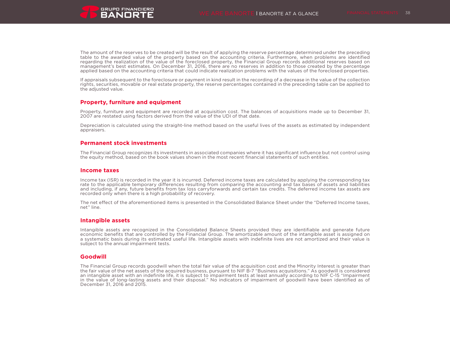

The amount of the reserves to be created will be the result of applying the reserve percentage determined under the preceding table to the awarded value of the property based on the accounting criteria. Furthermore, when problems are identified regarding the realization of the value of the foreclosed property, the Financial Group records additional reserves based on management's best estimates. On December 31, 2016, there are no reserves in addition to those created by the percentage applied based on the accounting criteria that could indicate realization problems with the values of the foreclosed properties.

If appraisals subsequent to the foreclosure or payment in kind result in the recording of a decrease in the value of the collection rights, securities, movable or real estate property, the reserve percentages contained in the preceding table can be applied to the adjusted value.

### **Property, furniture and equipment**

Property, furniture and equipment are recorded at acquisition cost. The balances of acquisitions made up to December 31, 2007 are restated using factors derived from the value of the UDI of that date.

Depreciation is calculated using the straight-line method based on the useful lives of the assets as estimated by independent appraisers.

### **Permanent stock investments**

The Financial Group recognizes its investments in associated companies where it has significant influence but not control using the equity method, based on the book values shown in the most recent financial statements of such entities.

### **Income taxes**

Income tax (ISR) is recorded in the year it is incurred. Deferred income taxes are calculated by applying the corresponding tax rate to the applicable temporary differences resulting from comparing the accounting and tax bases of assets and liabilities and including, if any, future benefits from tax loss carryforwards and certain tax credits. The deferred income tax assets are recorded only when there is a high probability of recovery.

The net effect of the aforementioned items is presented in the Consolidated Balance Sheet under the "Deferred Income taxes, net" line.

### **Intangible assets**

Intangible assets are recognized in the Consolidated Balance Sheets provided they are identifiable and generate future economic benefits that are controlled by the Financial Group. The amortizable amount of the intangible asset is assigned on a systematic basis during its estimated useful life. Intangible assets with indefinite lives are not amortized and their value is subject to the annual impairment tests.

### **Goodwill**

The Financial Group records goodwill when the total fair value of the acquisition cost and the Minority Interest is greater than the fair value of the net assets of the acquired business, pursuant to NIF B-7 "Business acquisitions." As goodwill is considered an intangible asset with an indefinite life, it is subject to impairment tests at least annually according to NIF C-15 "Impairment in the value of long-lasting assets and their disposal." No indicators of impairment of goodwill have been identified as of December 31, 2016 and 2015.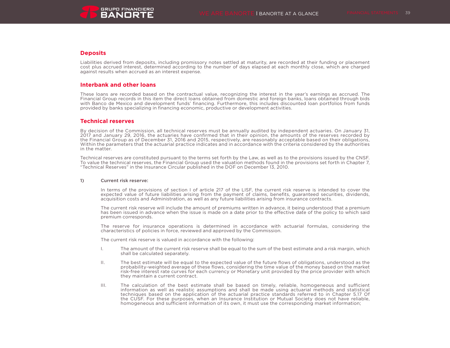# **Deposits**

Liabilities derived from deposits, including promissory notes settled at maturity, are recorded at their funding or placement cost plus accrued interest, determined according to the number of days elapsed at each monthly close, which are charged against results when accrued as an interest expense.

# **Interbank and other loans**

These loans are recorded based on the contractual value, recognizing the interest in the year's earnings as accrued. The Financial Group records in this item the direct loans obtained from domestic and foreign banks, loans obtained through bids with Banco de Mexico and development funds' financing. Furthermore, this includes discounted loan portfolios from funds provided by banks specializing in financing economic, productive or development activities.

# **Technical reserves**

By decision of the Commission, all technical reserves must be annually audited by independent actuaries. On January 31, 2017 and January 29, 2016, the actuaries have confirmed that in their opinion, the amounts of the reserves recorded by the Financial Group as of December 31, 2016 and 2015, respectively, are reasonably acceptable based on their obligations, Within the parameters that the actuarial practice indicates and in accordance with the criteria considered by the authorities in the matter.

Technical reserves are constituted pursuant to the terms set forth by the Law, as well as to the provisions issued by the CNSF. To value the technical reserves, the Financial Group used the valuation methods found in the provisions set forth in Chapter 7, "Technical Reserves" in the Insurance Circular published in the DOF on December 13, 2010.

### 1) Current risk reserve:

In terms of the provisions of section I of article 217 of the LISF, the current risk reserve is intended to cover the expected value of future liabilities arising from the payment of claims, benefits, guaranteed securities, dividends, acquisition costs and Administration, as well as any future liabilities arising from insurance contracts.

The current risk reserve will include the amount of premiums written in advance, it being understood that a premium has been issued in advance when the issue is made on a date prior to the effective date of the policy to which said premium corresponds.

The reserve for insurance operations is determined in accordance with actuarial formulas, considering the characteristics of policies in force, reviewed and approved by the Commission.

The current risk reserve is valued in accordance with the following:

- I. The amount of the current risk reserve shall be equal to the sum of the best estimate and a risk margin, which shall be calculated separately.
- II. The best estimate will be equal to the expected value of the future flows of obligations, understood as the probability-weighted average of these flows, considering the time value of the money based on the market risk-free interest rate curves for each currency or Monetary unit provided by the price provider with which they maintain a current contract.
- III. The calculation of the best estimate shall be based on timely, reliable, homogeneous and sufficient information as well as realistic assumptions and shall be made using actuarial methods and statistical techniques based on the application of the actuarial practice standards referred to in Chapter 5.17 Of the CUSF. For these purposes, when an Insurance Institution or Mutual Society does not have reliable, homogeneous and sufficient information of its own, it must use the corresponding market information;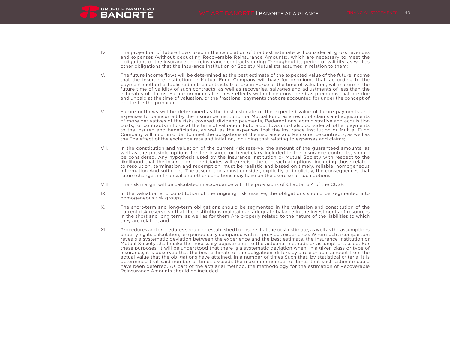IV. The projection of future flows used in the calculation of the best estimate will consider all gross revenues and expenses (without deducting Recoverable Reinsurance Amounts), which are necessary to meet the obligations of the insurance and reinsurance contracts during Throughout its period of validity, as well as other obligations that the Insurance Institution or Society Mutualista assumes in relation to them;

**GRUPO FINANCIERO BANORTE** 

- V. The future income flows will be determined as the best estimate of the expected value of the future income that the Insurance Institution or Mutual Fund Company will have for premiums that, according to the payment method established in the contracts that are in Force at the time of valuation, will mature in the future time of validity of such contracts, as well as recoveries, salvages and adjustments of less than the estimates of claims. Future premiums for these effects will not be considered as premiums that are due and unpaid at the time of valuation, or the fractional payments that are accounted for under the concept of debtor for the premium.
- VI. Future outflows will be determined as the best estimate of the expected value of future payments and expenses to be incurred by the Insurance Institution or Mutual Fund as a result of claims and adjustments of more derivatives of the risks covered, dividend payments, Redemptions, administrative and acquisition costs, for contracts in force at the time of valuation. Future outflows must also consider all other payments to the insured and beneficiaries, as well as the expenses that the Insurance Institution or Mutual Fund Company will incur in order to meet the obligations of the insurance and Reinsurance contracts, as well as the The effect of the exchange rate and inflation, including that relating to expenses and claims;
- VII. In the constitution and valuation of the current risk reserve, the amount of the guaranteed amounts, as well as the possible options for the insured or beneficiary included in the insurance contracts, should be considered. Any hypothesis used by the Insurance Institution or Mutual Society with respect to the likelihood that the insured or beneficiaries will exercise the contractual options, including those related to resolution, termination and redemption, must be realistic and based on timely, reliable, homogeneous information And sufficient. The assumptions must consider, explicitly or implicitly, the consequences that future changes in financial and other conditions may have on the exercise of such options;
- VIII. The risk margin will be calculated in accordance with the provisions of Chapter 5.4 of the CUSF.
- IX. In the valuation and constitution of the ongoing risk reserve, the obligations should be segmented into homogeneous risk groups.
- X. The short-term and long-term obligations should be segmented in the valuation and constitution of the current risk reserve so that the Institutions maintain an adequate balance in the investments of resources in the short and long term, as well as for them Are properly related to the nature of the liabilities to which they are related, and
- XI. Procedures and procedures should be established to ensure that the best estimate, as well as the assumptions underlying its calculation, are periodically compared with its previous experience. When such a comparison reveals a systematic deviation between the experience and the best estimate, the Insurance Institution or Mutual Society shall make the necessary adjustments to the actuarial methods or assumptions used. For these purposes, it will be understood that there is a systematic deviation when, in a given class or type of insurance, it is observed that the best estimate of the obligations differs by a reasonable amount from the actual value that the obligations have attained, in a number of times Such that, by statistical criteria, it is determined that said number of times exceeds the maximum number of times that such estimate could have been deferred. As part of the actuarial method, the methodology for the estimation of Recoverable Reinsurance Amounts should be included.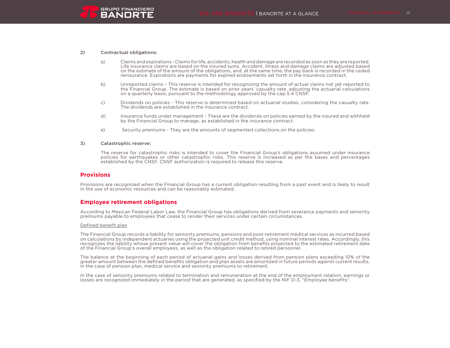

#### 2) Contractual obligations:

- a) Claims and expirations Claims for life, accidents, health and damage are recorded as soon as they are reported. Life insurance claims are based on the insured sums. Accident, illness and damage claims are adjusted based on the estimate of the amount of the obligations, and, at the same time, the pay back is recorded in the ceded reinsurance. Expirations are payments for expired endowments set forth in the insurance contract.
- b) Unreported claims This reserve is intended for recognizing the amount of actual claims not yet reported to the Financial Group. The estimate is based on prior years' casualty rate, adjusting the actuarial calculations on a quarterly basis, pursuant to the methodology approved by the cap.5.4 CNSF.
- c) Dividends on policies This reserve is determined based on actuarial studies, considering the casualty rate. The dividends are established in the insurance contract.
- d) Insurance funds under management These are the dividends on policies earned by the insured and withheld by the Financial Group to manage, as established in the insurance contract.
- e) Security premiums They are the amounts of segmented collections on the policies.

#### 3) Catastrophic reserve:

The reserve for catastrophic risks is intended to cover the Financial Group's obligations assumed under insurance policies for earthquakes or other catastrophic risks. This reserve is increased as per the bases and percentages established by the CNSF. CNSF authorization is required to release this reserve.

#### **Provisions**

Provisions are recognized when the Financial Group has a current obligation resulting from a past event and is likely to result in the use of economic resources and can be reasonably estimated.

#### **Employee retirement obligations**

According to Mexican Federal Labor Law, the Financial Group has obligations derived from severance payments and seniority premiums payable to employees that cease to render their services under certain circumstances.

#### Defined benefit plan

The Financial Group records a liability for seniority premiums, pensions and post-retirement medical services as incurred based on calculations by independent actuaries using the projected unit credit method, using nominal interest rates. Accordingly, this recognizes the liability whose present value will cover the obligation from benefits projected to the estimated retirement date of the Financial Group's overall employees, as well as the obligation related to retired personnel.

The balance at the beginning of each period of actuarial gains and losses derived from pension plans exceeding 10% of the greater amount between the defined benefits obligation and plan assets are amortized in future periods against current results, in the case of pension plan, medical service and seniority premiums to retirement.

In the case of seniority premiums related to termination and remuneration at the end of the employment relation, earnings or losses are recognized immediately in the period that are generated, as specified by the NIF D-3, "Employee benefits".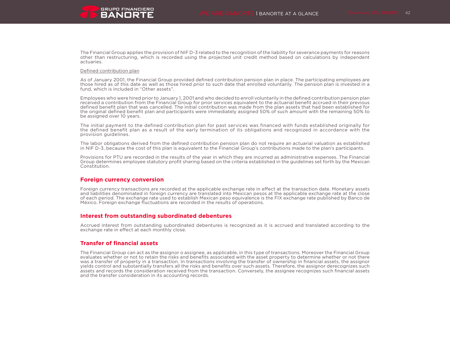The Financial Group applies the provision of NIF D-3 related to the recognition of the liability for severance payments for reasons other than restructuring, which is recorded using the projected unit credit method based on calculations by independent actuaries.

#### Defined contribution plan

As of January 2001, the Financial Group provided defined contribution pension plan in place. The participating employees are those hired as of this date as well as those hired prior to such date that enrolled voluntarily. The pension plan is invested in a fund, which is included in "Other assets".

Employees who were hired prior to January 1, 2001 and who decided to enroll voluntarily in the defined contribution pension plan received a contribution from the Financial Group for prior services equivalent to the actuarial benefit accrued in their previous defined benefit plan that was cancelled. The initial contribution was made from the plan assets that had been established for the original defined benefit plan and participants were immediately assigned 50% of such amount with the remaining 50% to be assigned over 10 years.

The initial payment to the defined contribution plan for past services was financed with funds established originally for the defined benefit plan as a result of the early termination of its obligations and recognized in accordance with the provision guidelines.

The labor obligations derived from the defined contribution pension plan do not require an actuarial valuation as established in NIF D-3, because the cost of this plan is equivalent to the Financial Group's contributions made to the plan's participants.

Provisions for PTU are recorded in the results of the year in which they are incurred as administrative expenses. The Financial Group determines employee statutory profit sharing based on the criteria established in the guidelines set forth by the Mexican Constitution.

### **Foreign currency conversion**

Foreign currency transactions are recorded at the applicable exchange rate in effect at the transaction date. Monetary assets and liabilities denominated in foreign currency are translated into Mexican pesos at the applicable exchange rate at the close of each period. The exchange rate used to establish Mexican peso equivalence is the FIX exchange rate published by Banco de México. Foreign exchange fluctuations are recorded in the results of operations.

#### **Interest from outstanding subordinated debentures**

Accrued interest from outstanding subordinated debentures is recognized as it is accrued and translated according to the exchange rate in effect at each monthly close.

### **Transfer of financial assets**

The Financial Group can act as the assignor o assignee, as applicable, in this type of transactions. Moreover the Financial Group evaluates whether or not to retain the risks and benefits associated with the asset property to determine whether or not there was a transfer of property in a transaction. In transactions involving the transfer of ownership in financial assets, the assignor yields control and substantially transfers all the risks and benefits over such assets. Therefore, the assignor derecognizes such assets and records the consideration received from the transaction. Conversely, the assignee recognizes such financial assets and the transfer consideration in its accounting records.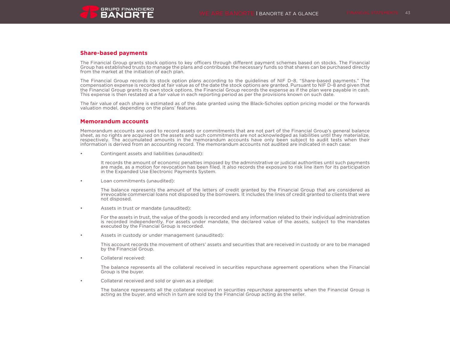

### **Share-based payments**

The Financial Group grants stock options to key officers through different payment schemes based on stocks. The Financial Group has established trusts to manage the plans and contributes the necessary funds so that shares can be purchased directly from the market at the initiation of each plan.

The Financial Group records its stock option plans according to the guidelines of NIF D-8, "Share-based payments." The compensation expense is recorded at fair value as of the date the stock options are granted. Pursuant to NIF D-8 and given that the Financial Group grants its own stock options, the Financial Group records the expense as if the plan were payable in cash. This expense is then restated at a fair value in each reporting period as per the provisions known on such date.

The fair value of each share is estimated as of the date granted using the Black-Scholes option pricing model or the forwards valuation model, depending on the plans' features.

### **Memorandum accounts**

Memorandum accounts are used to record assets or commitments that are not part of the Financial Group's general balance sheet, as no rights are acquired on the assets and such commitments are not acknowledged as liabilities until they materialize, respectively. The accumulated amounts in the memorandum accounts have only been subject to audit tests when their information is derived from an accounting record. The memorandum accounts not audited are indicated in each case:

• Contingent assets and liabilities (unaudited):

It records the amount of economic penalties imposed by the administrative or judicial authorities until such payments are made, as a motion for revocation has been filed. It also records the exposure to risk line item for its participation in the Expanded Use Electronic Payments System.

Loan commitments (unaudited):

The balance represents the amount of the letters of credit granted by the Financial Group that are considered as irrevocable commercial loans not disposed by the borrowers. It includes the lines of credit granted to clients that were not disposed.

• Assets in trust or mandate (unaudited):

For the assets in trust, the value of the goods is recorded and any information related to their individual administration is recorded independently. For assets under mandate, the declared value of the assets, subject to the mandates executed by the Financial Group is recorded.

• Assets in custody or under management (unaudited):

This account records the movement of others' assets and securities that are received in custody or are to be managed by the Financial Group.

• Collateral received:

The balance represents all the collateral received in securities repurchase agreement operations when the Financial Group is the buyer.

• Collateral received and sold or given as a pledge:

The balance represents all the collateral received in securities repurchase agreements when the Financial Group is acting as the buyer, and which in turn are sold by the Financial Group acting as the seller.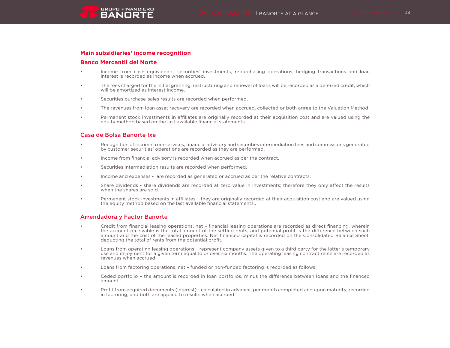## **Banco Mercantil del Norte**

- Income from cash equivalents, securities' investments, repurchasing operations, hedging transactions and loan interest is recorded as income when accrued.
- The fees charged for the initial granting, restructuring and renewal of loans will be recorded as a deferred credit, which will be amortized as interest income.
- Securities purchase-sales results are recorded when performed.
- The revenues from loan asset recovery are recorded when accrued, collected or both agree to the Valuation Method.
- Permanent stock investments in affiliates are originally recorded at their acquisition cost and are valued using the equity method based on the last available financial statements.

## Casa de Bolsa Banorte Ixe

- Recognition of income from services, financial advisory and securities intermediation fees and commissions generated by customer securities' operations are recorded as they are performed.
- Income from financial advisory is recorded when accrued as per the contract.
- Securities intermediation results are recorded when performed.
- Income and expenses are recorded as generated or accrued as per the relative contracts.
- Share dividends share dividends are recorded at zero value in investments; therefore they only affect the results when the shares are sold.
- Permanent stock investments in affiliates they are originally recorded at their acquisition cost and are valued using the equity method based on the last available financial statements..

### Arrendadora y Factor Banorte

- Credit from financial leasing operations, net financial leasing operations are recorded as direct financing, wherein the account receivable is the total amount of the settled rents, and potential profit is the difference between such amount and the cost of the leased properties. Net financed capital is recorded on the Consolidated Balance Sheet, deducting the total of rents from the potential profit.
- Loans from operating leasing operations represent company assets given to a third party for the latter's temporary use and enjoyment for a given term equal to or over six months. The operating leasing contract rents are recorded as revenues when accrued.
- Loans from factoring operations, net funded or non-funded factoring is recorded as follows:
- Ceded portfolio the amount is recorded in loan portfolios, minus the difference between loans and the financed amount.
- Profit from acquired documents (interest) calculated in advance, per month completed and upon maturity, recorded in factoring, and both are applied to results when accrued.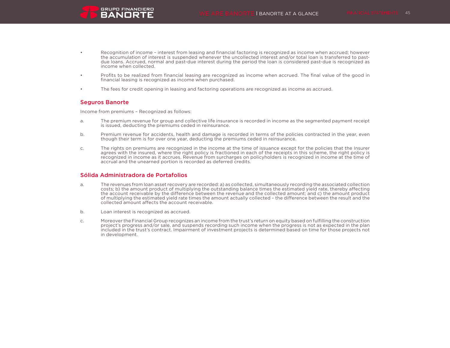- Recognition of income interest from leasing and financial factoring is recognized as income when accrued; however the accumulation of interest is suspended whenever the uncollected interest and/or total loan is transferred to pastdue loans. Accrued, normal and past-due interest during the period the loan is considered past-due is recognized as income when collected.
- Profits to be realized from financial leasing are recognized as income when accrued. The final value of the good in financial leasing is recognized as income when purchased.
- The fees for credit opening in leasing and factoring operations are recognized as income as accrued.

### Seguros Banorte

Income from premiums – Recognized as follows:

**GRUPO FINANCIERO BANORTE** 

- a. The premium revenue for group and collective life insurance is recorded in income as the segmented payment receipt is issued, deducting the premiums ceded in reinsurance.
- b. Premium revenue for accidents, health and damage is recorded in terms of the policies contracted in the year, even though their term is for over one year, deducting the premiums ceded in reinsurance.
- c. The rights on premiums are recognized in the income at the time of issuance except for the policies that the Insurer agrees with the insured, where the right policy is fractioned in each of the receipts in this scheme, the right policy is recognized in income as it accrues. Revenue from surcharges on policyholders is recognized in income at the time of accrual and the unearned portion is recorded as deferred credits.

### Sólida Administradora de Portafolios

- a. The revenues from loan asset recovery are recorded: a) as collected, simultaneously recording the associated collection costs; b) the amount product of multiplying the outstanding balance times the estimated yield rate, thereby affecting the account receivable by the difference between the revenue and the collected amount; and c) the amount product of multiplying the estimated yield rate times the amount actually collected – the difference between the result and the collected amount affects the account receivable.
- b. Loan interest is recognized as accrued.
- c. Moreover the Financial Group recognizes an income from the trust's return on equity based on fulfilling the construction project's progress and/or sale, and suspends recording such income when the progress is not as expected in the plan included in the trust's contract. Impairment of investment projects is determined based on time for those projects not in development.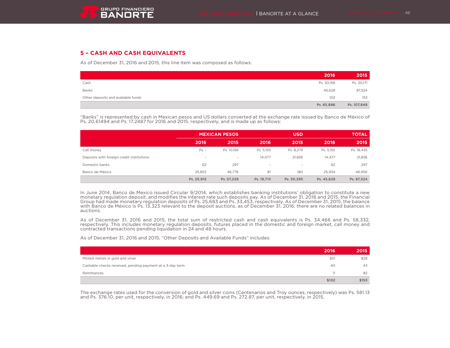# **5 – CASH AND CASH EQUIVALENTS**

As of December 31, 2016 and 2015, this line item was composed as follows:

|                                    | 2016       | 2015        |
|------------------------------------|------------|-------------|
| Cash                               | Ps. 20,156 | Ps. 20,171  |
| Banks                              | 45,628     | 87,524      |
| Other deposits and available funds | 102        | 153         |
|                                    | Ps. 65,886 | Ps. 107,848 |

"Banks" is represented by cash in Mexican pesos and US dollars converted at the exchange rate issued by Banco de México of Ps. 20.61494 and Ps. 17.2487 for 2016 and 2015, respectively, and is made up as follows:

|                                           |            | <b>MEXICAN PESOS</b> |                          | <b>USD</b> |            |            |  |
|-------------------------------------------|------------|----------------------|--------------------------|------------|------------|------------|--|
|                                           | 2016       | 2015                 | 2016                     | 2015       | 2016       | 2015       |  |
| Call money                                | $Ps. -$    | Ps. 10.156           | Ps. 5,155                | Ps. 8,279  | Ps. 5,155  | Ps. 18,435 |  |
| Deposits with foreign credit institutions | $\sim$     | $\sim$               | 14.477                   | 21.836     | 14.477     | 21,836     |  |
| Domestic banks                            | 62         | 297                  | $\overline{\phantom{a}}$ | $\sim$     | 62         | 297        |  |
| Banco de México                           | 25.853     | 46.776               | 81                       | 180        | 25.934     | 46.956     |  |
|                                           | Ps. 25,915 | Ps. 57,229           | Ps. 19.713               | Ps. 30.295 | Ps. 45,628 | Ps. 87,524 |  |

In June 2014, Banco de Mexico issued Circular 9/2014, which establishes banking institutions' obligation to constitute a new monetary regulation deposit, and modifies the interest rate such deposits pay. As of December 31, 2016 and 2015, the Financial<br>Group had made monetary regulation deposits of Ps. 25,683 and Ps. 33,453, respectively. As of D auctions.

As of December 31, 2016 and 2015, the total sum of restricted cash and cash equivalents is Ps. 34,466 and Ps. 58,332, respectively. This includes monetary regulation deposits, futures placed in the domestic and foreign market, call money and contracted transactions pending liquidation in 24 and 48 hours.

As of December 31, 2016 and 2015, "Other Deposits and Available Funds" includes:

|                                                           | 2016  | 2015  |
|-----------------------------------------------------------|-------|-------|
| Minted metals in gold and silver                          | \$51  | \$28  |
| Cashable checks received, pending payment at a 3-day term | -40   | 43    |
| Remittances                                               | 11    | 82    |
|                                                           | \$102 | \$153 |

The exchange rates used for the conversion of gold and silver coins (Centenarios and Troy ounces, respectively) was Ps. 581.13 and Ps. 376.10, per unit, respectively, in 2016; and Ps. 449.69 and Ps. 272.87, per unit, respectively, in 2015.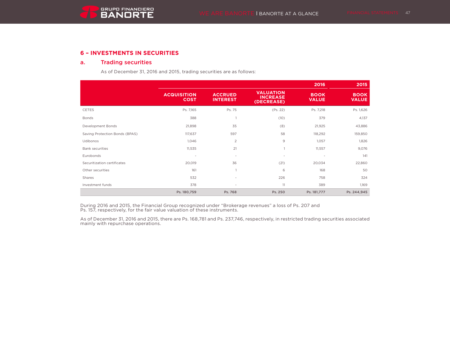# **6 – INVESTMENTS IN SECURITIES**

## a. Trading securities

As of December 31, 2016 and 2015, trading securities are as follows:

|                                |                                   |                                   |                                                   | 2016                        | 2015                        |
|--------------------------------|-----------------------------------|-----------------------------------|---------------------------------------------------|-----------------------------|-----------------------------|
|                                | <b>ACQUISITION</b><br><b>COST</b> | <b>ACCRUED</b><br><b>INTEREST</b> | <b>VALUATION</b><br><b>INCREASE</b><br>(DECREASE) | <b>BOOK</b><br><b>VALUE</b> | <b>BOOK</b><br><b>VALUE</b> |
| <b>CETES</b>                   | Ps. 7,165                         | Ps. 75                            | (Ps. 22)                                          | Ps. 7,218                   | Ps. 1,626                   |
| <b>Bonds</b>                   | 388                               |                                   | (10)                                              | 379                         | 4,137                       |
| Development Bonds              | 21,898                            | 35                                | (8)                                               | 21,925                      | 43,886                      |
| Saving Protection Bonds (BPAS) | 117,637                           | 597                               | 58                                                | 118,292                     | 159,850                     |
| Udibonos                       | 1,046                             | $\overline{c}$                    | 9                                                 | 1,057                       | 1,826                       |
| <b>Bank securities</b>         | 11,535                            | 21                                |                                                   | 11,557                      | 9,076                       |
| Eurobonds                      | $\overline{\phantom{a}}$          | ٠                                 | $\overline{\phantom{a}}$                          | $\sim$                      | 141                         |
| Securitization certificates    | 20,019                            | 36                                | (21)                                              | 20,034                      | 22,860                      |
| Other securities               | 161                               | $\mathbf{1}$                      | 6                                                 | 168                         | 50                          |
| Shares                         | 532                               | ٠                                 | 226                                               | 758                         | 324                         |
| Investment funds               | 378                               | $\overline{\phantom{a}}$          | 11                                                | 389                         | 1,169                       |
|                                | Ps. 180,759                       | Ps. 768                           | Ps. 250                                           | Ps. 181,777                 | Ps. 244,945                 |

During 2016 and 2015, the Financial Group recognized under "Brokerage revenues" a loss of Ps. 207 and Ps. 157, respectively, for the fair value valuation of these instruments.

As of December 31, 2016 and 2015, there are Ps. 168,781 and Ps. 237,746, respectively, in restricted trading securities associated mainly with repurchase operations.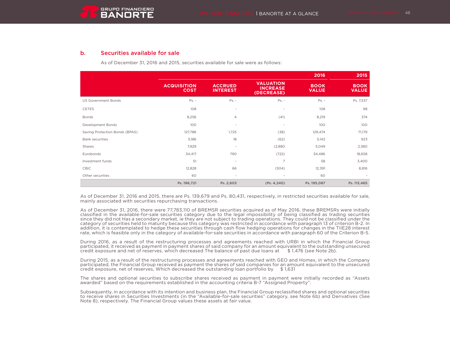## b. Securities available for sale

As of December 31, 2016 and 2015, securities available for sale were as follows:

|                                |                                   |                                   |                                                   | 2016                        | 2015                        |
|--------------------------------|-----------------------------------|-----------------------------------|---------------------------------------------------|-----------------------------|-----------------------------|
|                                | <b>ACQUISITION</b><br><b>COST</b> | <b>ACCRUED</b><br><b>INTEREST</b> | <b>VALUATION</b><br><b>INCREASE</b><br>(DECREASE) | <b>BOOK</b><br><b>VALUE</b> | <b>BOOK</b><br><b>VALUE</b> |
| <b>US Government Bonds</b>     | $Ps. -$                           | $Ps. -$                           | $Ps. -$                                           | $Ps. -$                     | Ps. 7,537                   |
| <b>CETES</b>                   | 108                               | ٠                                 | $\blacksquare$                                    | 108                         | 98                          |
| <b>Bonds</b>                   | 8,256                             | $\overline{4}$                    | (41)                                              | 8,219                       | 374                         |
| Development Bonds              | 100                               | ٠                                 | $\blacksquare$                                    | 100                         | 100                         |
| Saving Protection Bonds (BPAS) | 127,786                           | 1,725                             | (38)                                              | 129,474                     | 71,179                      |
| <b>Bank securities</b>         | 5,186                             | 18                                | (62)                                              | 5,142                       | 923                         |
| Shares                         | 7,929                             | $\sim$                            | (2,880)                                           | 5,049                       | 2,380                       |
| Eurobonds                      | 34,417                            | 790                               | (722)                                             | 34,486                      | 18,658                      |
| Investment funds               | 51                                | ٠                                 | $\overline{7}$                                    | 58                          | 3,400                       |
| <b>CBIC</b>                    | 12,828                            | 66                                | (504)                                             | 12,391                      | 8,816                       |
| Other securities               | 60                                | ٠                                 | $\overline{\phantom{a}}$                          | 60                          |                             |
|                                | Ps. 196,721                       | Ps. 2,603                         | (Ps. 4, 240)                                      | Ps. 195,087                 | Ps. 113,465                 |

As of December 31, 2016 and 2015, there are Ps. 139,679 and Ps. 80,431, respectively, in restricted securities available for sale, mainly associated with securities repurchasing transactions.

As of December 31, 2016, there were 77,783,110 of BREMSR securities acquired as of May 2016, these BREMSRs were initially classified in the available-for-sale securities category due to the legal impossibility of being classified as trading securities since they did not Has a secondary market, ie they are not subject to trading operations. They could not be classified under the category of securities held to maturity because this category was restricted in accordance with paragraph 13 of criterion B-2. In addition, it is contemplated to hedge these securities through cash flow hedging operations for changes in the TIIE28 interest rate, which is feasible only in the category of available-for-sale securities in accordance with paragraph 60 of the Criterion B-5.

During 2016, as a result of the restructuring processes and agreements reached with URBI in which the Financial Group participated, it received as payment in payment shares of said company for an amount equivalent to the outstanding unsecured credit exposure and net of reserves, which decreased The balance of past due loans at \$ 1,476 (see Note 2b).

During 2015, as a result of the restructuring processes and agreements reached with GEO and Homex, in which the Company participated, the Financial Group received as payment the shares of said companies for an amount equivalent to the unsecured credit exposure, net of reserves, Which decreased the outstanding loan portfolio by  $$1,631$ 

The shares and optional securities to subscribe shares received as payment in payment were initially recorded as "Assets awarded" based on the requirements established in the accounting criteria B-7 "Assigned Property".

Subsequently, in accordance with its intention and business plan, the Financial Group reclassified shares and optional securities to receive shares in Securities Investments (in the "Available-for-sale securities" category, see Note 6b) and Derivatives (See Note 8), respectively. The Financial Group values these assets at fair value.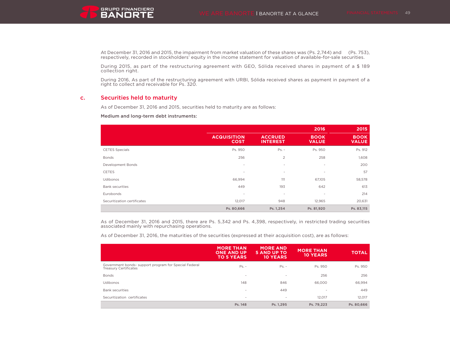**GRUPO FINANCIERO** 

At December 31, 2016 and 2015, the impairment from market valuation of these shares was (Ps. 2,744) and (Ps. 753), respectively, recorded in stockholders' equity in the income statement for valuation of available-for-sale securities.

During 2015, as part of the restructuring agreement with GEO, Sólida received shares in payment of a \$ 189 collection right.

During 2016, As part of the restructuring agreement with URBI, Sólida received shares as payment in payment of a right to collect and receivable for Ps. 320.

## c. Securities held to maturity

As of December 31, 2016 and 2015, securities held to maturity are as follows:

#### Medium and long-term debt instruments:

|                             |                                   |                                   | 2016                        | 2015                        |
|-----------------------------|-----------------------------------|-----------------------------------|-----------------------------|-----------------------------|
|                             | <b>ACQUISITION</b><br><b>COST</b> | <b>ACCRUED</b><br><b>INTEREST</b> | <b>BOOK</b><br><b>VALUE</b> | <b>BOOK</b><br><b>VALUE</b> |
| <b>CETES Specials</b>       | Ps. 950                           | $Ps. -$                           | Ps. 950                     | Ps. 912                     |
| <b>Bonds</b>                | 256                               | $\overline{2}$                    | 258                         | 1,608                       |
| Development Bonds           | $\overline{\phantom{a}}$          | $\overline{\phantom{a}}$          | $\sim$                      | 200                         |
| <b>CETES</b>                | $\sim$                            | $\overline{\phantom{a}}$          | $\sim$                      | 57                          |
| Udibonos                    | 66,994                            | 111                               | 67,105                      | 58,578                      |
| <b>Bank securities</b>      | 449                               | 193                               | 642                         | 613                         |
| Eurobonds                   | $\sim$                            | $\overline{\phantom{a}}$          | $\sim$                      | 214                         |
| Securitization certificates | 12,017                            | 948                               | 12,965                      | 20,631                      |
|                             | Ps. 80,666                        | Ps. 1,254                         | Ps. 81,920                  | Ps. 83,115                  |

As of December 31, 2016 and 2015, there are Ps. 5,342 and Ps. 4,398, respectively, in restricted trading securities associated mainly with repurchasing operations.

As of December 31, 2016, the maturities of the securities (expressed at their acquisition cost), are as follows:

|                                                                                       | <b>MORE THAN</b><br><b>ONE AND UP</b><br><b>TO 5 YEARS</b> | <b>MORE AND</b><br><b>5 AND UP TO</b><br><b>10 YEARS</b> | <b>MORE THAN</b><br><b>10 YEARS</b> | <b>TOTAL</b> |
|---------------------------------------------------------------------------------------|------------------------------------------------------------|----------------------------------------------------------|-------------------------------------|--------------|
| Government bonds- support program for Special Federal<br><b>Treasury Certificates</b> | $Ps. -$                                                    | $Ps. -$                                                  | Ps. 950                             | Ps. 950      |
| <b>Bonds</b>                                                                          | $\sim$                                                     | $\overline{\phantom{a}}$                                 | 256                                 | 256          |
| <b>Udibonos</b>                                                                       | 148                                                        | 846                                                      | 66,000                              | 66,994       |
| <b>Bank securities</b>                                                                | $\overline{\phantom{a}}$                                   | 449                                                      | $\overline{\phantom{a}}$            | 449          |
| Securitization certificates                                                           | $\,$                                                       | $\overline{\phantom{a}}$                                 | 12.017                              | 12,017       |
|                                                                                       | Ps. 148                                                    | Ps. 1,295                                                | Ps. 79,223                          | Ps. 80,666   |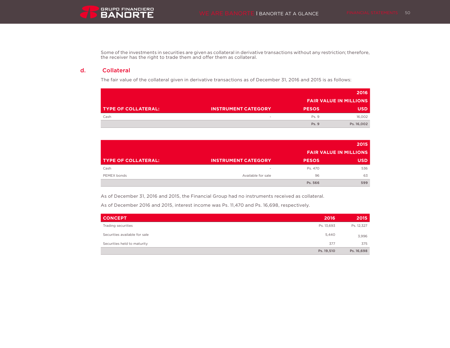Some of the investments in securities are given as collateral in derivative transactions without any restriction; therefore, the receiver has the right to trade them and offer them as collateral.

## d. Collateral

The fair value of the collateral given in derivative transactions as of December 31, 2016 and 2015 is as follows:

|                            |                            |              | 2016                          |
|----------------------------|----------------------------|--------------|-------------------------------|
|                            |                            |              | <b>FAIR VALUE IN MILLIONS</b> |
| <b>TYPE OF COLLATERAL:</b> | <b>INSTRUMENT CATEGORY</b> | <b>PESOS</b> | <b>USD</b>                    |
| Cash                       | $\sim$                     | Ps. 9        | 16.002                        |
|                            |                            | Ps. 9        | Ps. 16,002                    |

|                     |                            |              | 2015                          |
|---------------------|----------------------------|--------------|-------------------------------|
|                     |                            |              | <b>FAIR VALUE IN MILLIONS</b> |
| TYPE OF COLLATERAL: | <b>INSTRUMENT CATEGORY</b> | <b>PESOS</b> | <b>USD</b>                    |
| Cash                |                            | Ps. 470      | 536                           |
| PEMEX bonds         | Available for sale         | 96           | 63                            |
|                     |                            | Ps. 566      | 599                           |

As of December 31, 2016 and 2015, the Financial Group had no instruments received as collateral.

As of December 2016 and 2015, interest income was Ps. 11,470 and Ps. 16,698, respectively.

| <b>CONCEPT</b>                | 2016       | 2015       |
|-------------------------------|------------|------------|
| Trading securities            | Ps. 13.693 | Ps. 12,327 |
| Securities available for sale | 5,440      | 3,996      |
| Securities held to maturity   | 377        | 375        |
|                               | Ps. 19,510 | Ps. 16,698 |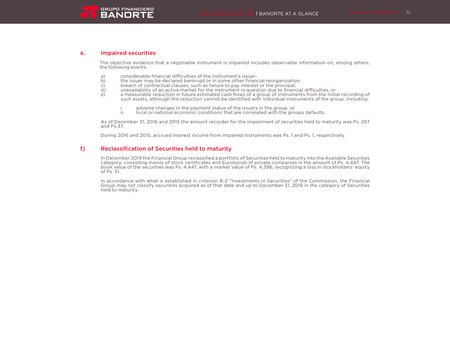### e. Impaired securities

The objective evidence that a negotiable instrument is impaired includes observable information on, among others, the following events:

- a) considerable financial difficulties of the instrument's issuer;
- b) the issuer may be declared bankrupt or in some other financial reorganization;<br>c) breach of contractual clauses, such as failure to pay interest or the principal;
- c) breach of contractual clauses, such as failure to pay interest or the principal;<br>d) unavailability of an active market for the instrument in question due to finance
- d) unavailability of an active market for the instrument in question due to financial difficulties; or
- e) a measurable reduction in future estimated cash flows of a group of instruments from the initial recording of such assets, although the reduction cannot be identified with individual instruments of the group, including:
	- i. adverse changes in the payment status of the issuers in the group, or ii.  $\frac{1}{2}$  local or national economic conditions that are correlated with the gro
	- local or national economic conditions that are correlated with the groups defaults.

As of December 31, 2016 and 2015 the amount recorder for the impairment of securities held to maturity was Ps. 267 and Ps.37.

During 2016 and 2015, accrued interest income from impaired instruments was Ps. 1 and Ps. 1, respectively.

### f) Reclassification of Securities held to maturity

In December 2014 the Financial Group reclassified a portfolio of Securities held to maturity into the Available Securities category, consisting mainly of stock certificates and Eurobonds of private companies in the amount of Ps. 4,447. The book value of the securities was Ps. 4,447, with a market value of Ps. 4,396, recognizing a loss in stockholders' equity of Ps. 51.

In accordance with what is established in criterion B-2 "Investments in Securities" of the Commission, the Financial Group may not classify securities acquired as of that date and up to December 31, 2016 in the category of Securities held to maturity.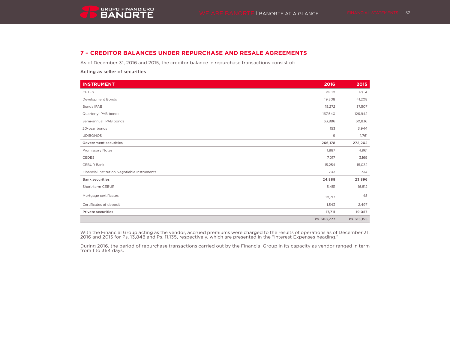## **7 – CREDITOR BALANCES UNDER REPURCHASE AND RESALE AGREEMENTS**

As of December 31, 2016 and 2015, the creditor balance in repurchase transactions consist of:

Acting as seller of securities

| <b>INSTRUMENT</b>                            | 2016         | 2015        |
|----------------------------------------------|--------------|-------------|
| <b>CETES</b>                                 | Ps. 10       | Ps. 4       |
| Development Bonds                            | 19,308       | 41,208      |
| Bonds IPAB                                   | 15,272       | 37,507      |
| Quarterly IPAB bonds                         | 167,540      | 126,942     |
| Semi-annual IPAB bonds                       | 63,886       | 60,836      |
| 20-year bonds                                | 153          | 3,944       |
| <b>UDIBONOS</b>                              | $\mathsf{9}$ | 1,761       |
| <b>Government securities</b>                 | 266,178      | 272,202     |
| Promissory Notes                             | 1,887        | 4,961       |
| CEDES                                        | 7,017        | 3,169       |
| CEBUR Bank                                   | 15,254       | 15,032      |
| Financial Institution Negotiable Instruments | 703          | 734         |
| <b>Bank securities</b>                       | 24,888       | 23,896      |
| Short-term CEBUR                             | 5,451        | 16,512      |
| Mortgage certificates                        | 10,717       | 48          |
| Certificates of deposit                      | 1,543        | 2,497       |
| <b>Private securities</b>                    | 17,711       | 19,057      |
|                                              | Ps. 308,777  | Ps. 315,155 |

With the Financial Group acting as the vendor, accrued premiums were charged to the results of operations as of December 31, 2016 and 2015 for Ps. 13,848 and Ps. 11,135, respectively, which are presented in the "Interest Expenses heading."

During 2016, the period of repurchase transactions carried out by the Financial Group in its capacity as vendor ranged in term from 1 to 364 days.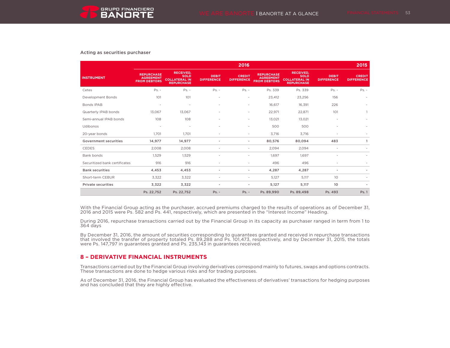#### Acting as securities purchaser

|                               |                                                              |                                                                              |                                   | 2016                               |                                                              |                                                                              |                                   | 2015                               |
|-------------------------------|--------------------------------------------------------------|------------------------------------------------------------------------------|-----------------------------------|------------------------------------|--------------------------------------------------------------|------------------------------------------------------------------------------|-----------------------------------|------------------------------------|
| <b>INSTRUMENT</b>             | <b>REPURCHASE</b><br><b>AGREEMENT</b><br><b>FROM DEBTORS</b> | <b>RECEIVED,</b><br><b>SOLD</b><br><b>COLLATERAL IN</b><br><b>REPURCHASE</b> | <b>DEBIT</b><br><b>DIFFERENCE</b> | <b>CREDIT</b><br><b>DIFFERENCE</b> | <b>REPURCHASE</b><br><b>AGREEMENT</b><br><b>FROM DEBTORS</b> | <b>RECEIVED,</b><br><b>SOLD</b><br><b>COLLATERAL IN</b><br><b>REPURCHASE</b> | <b>DEBIT</b><br><b>DIFFERENCE</b> | <b>CREDIT</b><br><b>DIFFERENCE</b> |
| Cetes                         | $Ps. -$                                                      | $Ps. -$                                                                      | $Ps. -$                           | $Ps. -$                            | Ps. 339                                                      | Ps. 339                                                                      | $Ps. -$                           | $Ps. -$                            |
| Development Bonds             | 101                                                          | 101                                                                          | ٠                                 | $\overline{\phantom{a}}$           | 23,412                                                       | 23,256                                                                       | 156                               |                                    |
| Bonds IPAB                    | $\overline{\phantom{a}}$                                     | ٠                                                                            | $\sim$                            | $\overline{\phantom{a}}$           | 16.617                                                       | 16,391                                                                       | 226                               |                                    |
| Quarterly IPAB bonds          | 13.067                                                       | 13.067                                                                       | $\sim$                            | $\overline{\phantom{a}}$           | 22,971                                                       | 22,871                                                                       | 101                               |                                    |
| Semi-annual IPAB bonds        | 108                                                          | 108                                                                          |                                   | $\overline{\phantom{a}}$           | 13.021                                                       | 13,021                                                                       | ٠                                 |                                    |
| Udibonos                      | $\overline{\phantom{a}}$                                     | $\overline{\phantom{a}}$                                                     |                                   | $\sim$                             | 500                                                          | 500                                                                          | $\overline{\phantom{a}}$          |                                    |
| 20-year bonds                 | 1.701                                                        | 1.701                                                                        |                                   | $\overline{\phantom{a}}$           | 3,716                                                        | 3,716                                                                        | $\overline{\phantom{a}}$          |                                    |
| <b>Government securities</b>  | 14,977                                                       | 14,977                                                                       |                                   | $\overline{\phantom{a}}$           | 80,576                                                       | 80.094                                                                       | 483                               | $\mathbf{1}$                       |
| <b>CEDES</b>                  | 2,008                                                        | 2,008                                                                        |                                   | $\overline{\phantom{a}}$           | 2,094                                                        | 2,094                                                                        | $\overline{\phantom{a}}$          |                                    |
| Bank bonds                    | 1.529                                                        | 1.529                                                                        |                                   | ٠                                  | 1.697                                                        | 1.697                                                                        | ٠                                 |                                    |
| Securitized bank certificates | 916                                                          | 916                                                                          |                                   | ٠                                  | 496                                                          | 496                                                                          | ٠                                 |                                    |
| <b>Bank securities</b>        | 4,453                                                        | 4,453                                                                        |                                   | $\sim$                             | 4,287                                                        | 4,287                                                                        | $\sim$                            |                                    |
| Short-term CEBUR              | 3,322                                                        | 3,322                                                                        |                                   | $\sim$                             | 5,127                                                        | 5,117                                                                        | 10 <sup>°</sup>                   |                                    |
| <b>Private securities</b>     | 3,322                                                        | 3,322                                                                        |                                   | ٠                                  | 5,127                                                        | 5.117                                                                        | 10                                |                                    |
|                               | Ps. 22,752                                                   | Ps. 22,752                                                                   | $Ps. -$                           | $Ps. -$                            | Ps. 89,990                                                   | Ps. 89,498                                                                   | Ps. 493                           | Ps. 1                              |

With the Financial Group acting as the purchaser, accrued premiums charged to the results of operations as of December 31, 2016 and 2015 were Ps. 582 and Ps. 441, respectively, which are presented in the "Interest Income" Heading.

During 2016, repurchase transactions carried out by the Financial Group in its capacity as purchaser ranged in term from 1 to 364 days

By December 31, 2016, the amount of securities corresponding to guarantees granted and received in repurchase transactions that involved the transfer of property totaled Ps. 89,288 and Ps. 101,473, respectively, and by December 31, 2015, the totals were Ps. 147,797 in guarantees granted and Ps. 235,143 in guarantees received.

## **8 – DERIVATIVE FINANCIAL INSTRUMENTS**

Transactions carried out by the Financial Group involving derivatives correspond mainly to futures, swaps and options contracts. These transactions are done to hedge various risks and for trading purposes.

As of December 31, 2016, the Financial Group has evaluated the effectiveness of derivatives' transactions for hedging purposes and has concluded that they are highly effective.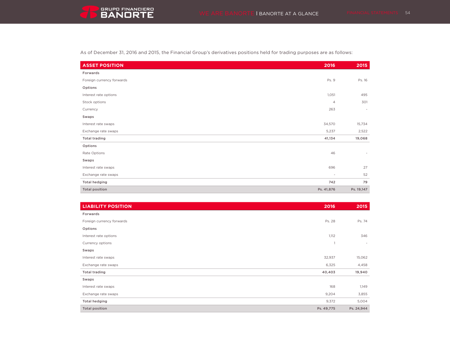

As of December 31, 2016 and 2015, the Financial Group's derivatives positions held for trading purposes are as follows:

| <b>ASSET POSITION</b>     | 2016                     | 2015                     |
|---------------------------|--------------------------|--------------------------|
| Forwards                  |                          |                          |
| Foreign currency forwards | Ps. 9                    | Ps. 16                   |
| Options                   |                          |                          |
| Interest rate options     | 1,051                    | 495                      |
| Stock options             | $\overline{4}$           | 301                      |
| Currency                  | 263                      | $\sim$                   |
| Swaps                     |                          |                          |
| Interest rate swaps       | 34,570                   | 15,734                   |
| Exchange rate swaps       | 5,237                    | 2,522                    |
| <b>Total trading</b>      | 41,134                   | 19,068                   |
| Options                   |                          |                          |
| Rate Options              | 46                       | $\overline{\phantom{a}}$ |
| Swaps                     |                          |                          |
| Interest rate swaps       | 696                      | 27                       |
| Exchange rate swaps       | $\overline{\phantom{a}}$ | 52                       |
| <b>Total hedging</b>      | 742                      | 79                       |
| <b>Total position</b>     | Ps. 41,876               | Ps. 19,147               |

| <b>LIABILITY POSITION</b> | 2016           | 2015       |
|---------------------------|----------------|------------|
| Forwards                  |                |            |
| Foreign currency forwards | Ps. 28         | Ps. 74     |
| Options                   |                |            |
| Interest rate options     | 1,112          | 346        |
| Currency options          | $\overline{1}$ | $\sim$     |
| Swaps                     |                |            |
| Interest rate swaps       | 32,937         | 15,062     |
| Exchange rate swaps       | 6,325          | 4,458      |
| <b>Total trading</b>      | 40,403         | 19,940     |
| Swaps                     |                |            |
| Interest rate swaps       | 168            | 1,149      |
| Exchange rate swaps       | 9,204          | 3,855      |
| <b>Total hedging</b>      | 9,372          | 5,004      |
| <b>Total position</b>     | Ps. 49,775     | Ps. 24,944 |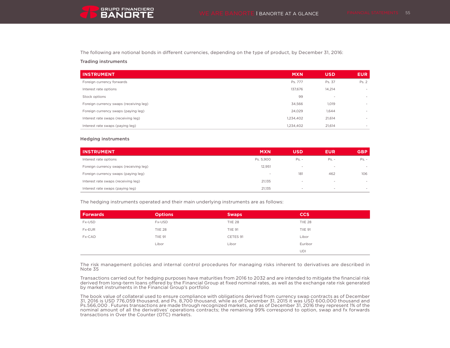The following are notional bonds in different currencies, depending on the type of product, by December 31, 2016:

#### Trading instruments

| <b>INSTRUMENT</b>                      | <b>MXN</b> | <b>USD</b> | <b>EUR</b>               |
|----------------------------------------|------------|------------|--------------------------|
| Foreign currency forwards              | Ps. 777    | Ps. 37     | Ps. 2                    |
| Interest rate options                  | 137,676    | 14,214     | $\overline{\phantom{a}}$ |
| Stock options                          | 99         | $\sim$     | $\overline{\phantom{a}}$ |
| Foreign currency swaps (receiving leg) | 34,566     | 1,019      | $\sim$                   |
| Foreign currency swaps (paying leg)    | 24.029     | 1.644      | $\,$                     |
| Interest rate swaps (receiving leg)    | 1,234,402  | 21,614     | $\sim$                   |
| Interest rate swaps (paying leg)       | 1,234,402  | 21,614     | $\sim$                   |

#### Hedging instruments

| <b>INSTRUMENT</b>                      | <b>MXN</b>               | <b>USD</b> | <b>EUR</b>               | <b>GBP</b>               |
|----------------------------------------|--------------------------|------------|--------------------------|--------------------------|
| Interest rate options                  | Ps. 5,900                | $Ps. -$    | $Ps. -$                  | $Ps. -$                  |
| Foreign currency swaps (receiving leg) | 12,951                   | $\sim$     | $\overline{\phantom{a}}$ | $\sim$                   |
| Foreign currency swaps (paying leg)    | $\overline{\phantom{0}}$ | 181        | 462                      | 106                      |
| Interest rate swaps (receiving leg)    | 21.135                   | $\sim$     | $\overline{\phantom{a}}$ | $\overline{\phantom{a}}$ |
| Interest rate swaps (paying leg)       | 21.135                   |            | $\overline{\phantom{a}}$ |                          |

The hedging instruments operated and their main underlying instruments are as follows:

| Forwards | <b>Options</b> | <b>Swaps</b>   | <b>CCS</b>     |
|----------|----------------|----------------|----------------|
| Fx-USD   | Fx-USD         | TIIE 28        | TIIE 28        |
| Fx-EUR   | TIIE 28        | <b>TIIE 91</b> | <b>TIIE 91</b> |
| Fx-CAD   | <b>TIIE 91</b> | CETES 91       | Libor          |
|          | Libor          | Libor          | Euribor        |
|          |                |                | <b>UDI</b>     |

The risk management policies and internal control procedures for managing risks inherent to derivatives are described in Note 35

Transactions carried out for hedging purposes have maturities from 2016 to 2032 and are intended to mitigate the financial risk derived from long-term loans offered by the Financial Group at fixed nominal rates, as well as the exchange rate risk generated by market instruments in the Financial Group's portfolio

The book value of collateral used to ensure compliance with obligations derived from currency swap contracts as of December 31, 2016 is USD 776,059 thousand, and Ps. 8,700 thousand, while as of December 31, 2015 it was USD 600,000 thousand and Ps.566,000 . Futures transactions are made through recognized markets, and as of December 31, 2016 they represent 1% of the nominal amount of all the derivatives' operations contracts; the remaining 99% correspond to option, swap and fx forwards transactions in Over the Counter (OTC) markets.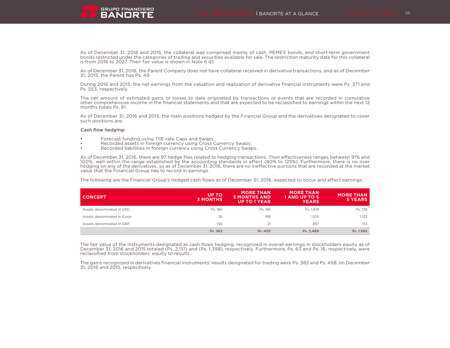As of December 31, 2016 and 2015, the collateral was comprised mainly of cash, PEMEX bonds, and short-term government bonds restricted under the categories of trading and securities available for sale. The restriction maturity date for this collateral is from 2016 to 2027. Their fair value is shown in Note 6 d).

As of December 31, 2016, the Parent Company does not have collateral received in derivative transactions, and as of December 31, 2015, the Parent has Ps. 49.

During 2016 and 2015, the net earnings from the valuation and realization of derivative financial instruments were Ps. 371 and Ps. 553, respectively.

The net amount of estimated gains or losses to date originated by transactions or events that are recorded in cumulative other comprehensive income in the financial statements and that are expected to be reclassified to earnings within the next 12 months totals Ps. 81.

As of December 31, 2016 and 2015, the main positions hedged by the Financial Group and the derivatives designated to cover such positions are:

#### Cash flow hedging:

- Forecast funding using TIIE rate Caps and Swaps.
- Recorded assets in foreign currency using Cross Currency Swaps.
- Recorded liabilities in foreign currency using Cross Currency Swaps.

As of December 31, 2016, there are 97 hedge files related to hedging transactions. Their effectiveness ranges between 91% and 100%, well within the range established by the accounting standards in effect (80% to 125%). Furthermore, there is no over hedging on any of the derivatives, so as of December 31, 2016, there are no ineffective portions that are recorded at the market value that the Financial Group has to record in earnings.

The following are the Financial Group's hedged cash flows as of December 31, 2016, expected to occur and affect earnings:

| I CONCEPT                   | <b>UP TO</b><br><b>3 MONTHS</b> | <b>MORE THAN</b><br><b>3 MONTHS AND</b><br><b>UP TO 1 YEAR</b> | <b>MORE THAN</b><br>1 AND UP TO 5<br><b>YEARS</b> | <b>MORE THAN</b><br>5 YEARS |
|-----------------------------|---------------------------------|----------------------------------------------------------------|---------------------------------------------------|-----------------------------|
| Assets denominated in USD   | Ps. 180                         | Ps. 185                                                        | Ps. 1.474                                         | Ps. 139                     |
| Assets denominated in Euros | 26                              | 199                                                            | 1.105                                             | 1.133                       |
| Assets denominated in GBP   | 156                             | 21                                                             | 887                                               | 313                         |
|                             | Ps. 362                         | Ps. 405                                                        | Ps. 3.466                                         | Ps. 1,585                   |

The fair value of the instruments designated as cash flows hedging, recognized in overall earnings in stockholders equity as of December 31, 2016 and 2015 totaled (Ps. 2,131) and (Ps. 1,398), respectively. Furthermore, Ps. 63 and Ps. 16, respectively, were reclassified from stockholders' equity to results.

The gains recognized in derivatives financial instruments' results designated for trading were Ps. 382 and Ps. 458, on December 31, 2016 and 2015, respectively.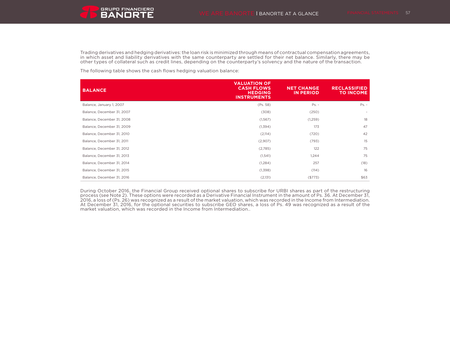

Trading derivatives and hedging derivatives: the loan risk is minimized through means of contractual compensation agreements, in which asset and liability derivatives with the same counterparty are settled for their net balance. Similarly, there may be other types of collateral such as credit lines, depending on the counterparty's solvency and the nature of the transaction.

The following table shows the cash flows hedging valuation balance:

| <b>BALANCE</b>             | <b>VALUATION OF</b><br><b>CASH FLOWS</b><br><b>HEDGING</b><br><b>INSTRUMENTS</b> | <b>NET CHANGE</b><br><b>IN PERIOD</b> | <b>RECLASSIFIED</b><br><b>TO INCOME</b> |
|----------------------------|----------------------------------------------------------------------------------|---------------------------------------|-----------------------------------------|
| Balance, January 1, 2007   | (Ps. 58)                                                                         | $Ps. -$                               | $Ps. -$                                 |
| Balance, December 31, 2007 | (308)                                                                            | (250)                                 |                                         |
| Balance, December 31, 2008 | (1, 567)                                                                         | (1,259)                               | 18                                      |
| Balance, December 31, 2009 | (1,394)                                                                          | 173                                   | 47                                      |
| Balance, December 31, 2010 | (2,114)                                                                          | (720)                                 | 42                                      |
| Balance, December 31, 2011 | (2,907)                                                                          | (793)                                 | 15                                      |
| Balance, December 31, 2012 | (2,785)                                                                          | 122                                   | 75                                      |
| Balance, December 31, 2013 | (1, 541)                                                                         | 1,244                                 | 75                                      |
| Balance, December 31, 2014 | (1,284)                                                                          | 257                                   | (18)                                    |
| Balance, December 31, 2015 | (1,398)                                                                          | (114)                                 | 16                                      |
| Balance, December 31, 2016 | (2,131)                                                                          | (\$773)                               | \$63                                    |

During October 2016, the Financial Group received optional shares to subscribe for URBI shares as part of the restructuring process (see Note 2). These options were recorded as a Derivative Financial Instrument in the amount of Ps. 36. At December 31, 2016, a loss of (Ps. 26) was recognized as a result of the market valuation, which was recorded in the Income from Intermediation.<br>At December 31, 2016, for the optional securities to subscribe GEO shares, a loss of Ps. 49 market valuation, which was recorded in the Income from Intermediation..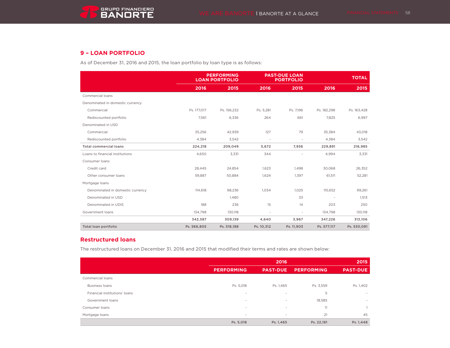# **9 – LOAN PORTFOLIO**

As of December 31, 2016 and 2015, the loan portfolio by loan type is as follows:

|                                  |             | <b>PERFORMING</b><br><b>LOAN PORTFOLIO</b> |                          | <b>PAST-DUE LOAN</b><br><b>PORTFOLIO</b> |                          | <b>TOTAL</b> |  |
|----------------------------------|-------------|--------------------------------------------|--------------------------|------------------------------------------|--------------------------|--------------|--|
|                                  | 2016        | 2015                                       | 2016                     | 2015                                     | 2016                     | 2015         |  |
| Commercial loans                 |             |                                            |                          |                                          |                          |              |  |
| Denominated in domestic currency |             |                                            |                          |                                          |                          |              |  |
| Commercial                       | Ps. 177,017 | Ps. 156,232                                | Ps. 5,281                | Ps. 7,196                                | Ps. 182,298              | Ps. 163,428  |  |
| Rediscounted portfolio           | 7,561       | 6,336                                      | 264                      | 661                                      | 7,825                    | 6,997        |  |
| Denominated in USD               |             |                                            |                          |                                          |                          |              |  |
| Commercial                       | 35,256      | 42,939                                     | 127                      | 79                                       | 35,384                   | 43,018       |  |
| Rediscounted portfolio           | 4,384       | 3,542                                      | $\overline{\phantom{a}}$ | $\overline{\phantom{a}}$                 | 4,384                    | 3,542        |  |
| <b>Total commercial loans</b>    | 224,218     | 209,049                                    | 5,672                    | 7,936                                    | 229,891                  | 216,985      |  |
| Loans to financial institutions  | 4,650       | 3,331                                      | 344                      |                                          | 4,994                    | 3,331        |  |
| Consumer loans                   |             |                                            |                          |                                          |                          |              |  |
| Credit card                      | 28,445      | 24,854                                     | 1,623                    | 1,498                                    | 30,068                   | 26,352       |  |
| Other consumer loans             | 59,887      | 50,884                                     | 1,624                    | 1,397                                    | 61,511                   | 52,281       |  |
| Mortgage loans                   |             |                                            |                          |                                          |                          |              |  |
| Denominated in domestic currency | 114,618     | 98,236                                     | 1,034                    | 1,025                                    | 115,652                  | 99,261       |  |
| Denominated in USD               |             | 1,480                                      |                          | 33                                       | $\overline{\phantom{a}}$ | 1,513        |  |
| Denominated in UDIS              | 188         | 236                                        | 15                       | 14                                       | 203                      | 250          |  |
| Government loans                 | 134,798     | 130,118                                    | ٠                        | $\sim$                                   | 134,798                  | 130,118      |  |
|                                  | 342,587     | 309,139                                    | 4,640                    | 3,967                                    | 347,226                  | 313,106      |  |
| Total loan portfolio             | Ps. 566,805 | Ps. 518,188                                | Ps. 10,312               | Ps. 11,903                               | Ps. 577,117              | Ps. 530,091  |  |

## **Restructured loans**

The restructured loans on December 31, 2016 and 2015 that modified their terms and rates are shown below:

|                               |                          | 2015                     |                   |                          |
|-------------------------------|--------------------------|--------------------------|-------------------|--------------------------|
|                               | <b>PERFORMING</b>        | <b>PAST-DUE</b>          | <b>PERFORMING</b> | <b>PAST-DUE</b>          |
| Commercial loans              |                          |                          |                   |                          |
| <b>Business loans</b>         | Ps. 5,018                | Ps. 1,465                | Ps. 3,559         | Ps. 1,402                |
| Financial institutions' loans | $\overline{\phantom{a}}$ | $\sim$                   | 5                 | $\,$                     |
| Government loans              | $\overline{\phantom{a}}$ | $\overline{\phantom{a}}$ | 18,585            | $\overline{\phantom{a}}$ |
| Consumer loans                | $\overline{\phantom{a}}$ | $\sim$                   | 11                |                          |
| Mortgage loans                | $\overline{\phantom{a}}$ | $\sim$                   | 21                | 45                       |
|                               | Ps. 5,018                | Ps. 1,465                | Ps. 22,181        | Ps. 1,448                |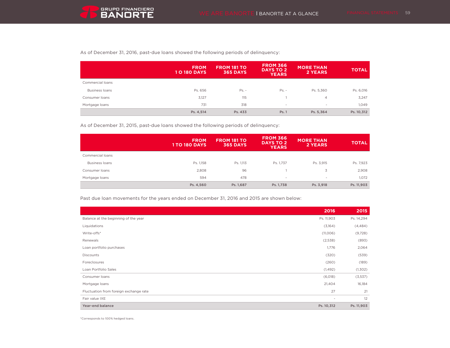As of December 31, 2016, past-due loans showed the following periods of delinquency:

|                  | <b>FROM</b><br><b>10 180 DAYS</b> | <b>FROM 181 TO</b><br><b>365 DAYS</b> | <b>FROM 366</b><br><b>DAYS TO 2</b><br><b>YEARS</b> | <b>MORE THAN</b><br>2 YEARS | <b>TOTAL</b> |
|------------------|-----------------------------------|---------------------------------------|-----------------------------------------------------|-----------------------------|--------------|
| Commercial loans |                                   |                                       |                                                     |                             |              |
| Business loans   | Ps. 656                           | $Ps. -$                               | $Ps. -$                                             | Ps. 5,360                   | Ps. 6,016    |
| Consumer loans   | 3,127                             | 115                                   |                                                     | $\overline{4}$              | 3,247        |
| Mortgage loans   | 731                               | 318                                   | $\sim$                                              | $\overline{\phantom{a}}$    | 1,049        |
|                  | Ps. 4,514                         | Ps. 433                               | Ps. 1                                               | Ps. 5,364                   | Ps. 10,312   |

As of December 31, 2015, past-due loans showed the following periods of delinquency:

|                  | <b>FROM</b><br><b>1 TO 180 DAYS</b> | <b>FROM 181 TO</b><br><b>365 DAYS</b> | <b>FROM 366</b><br><b>DAYS TO 2</b><br><b>YEARS</b> | <b>MORE THAN</b><br>2 YEARS | <b>TOTAL</b> |
|------------------|-------------------------------------|---------------------------------------|-----------------------------------------------------|-----------------------------|--------------|
| Commercial loans |                                     |                                       |                                                     |                             |              |
| Business loans   | Ps. 1,158                           | Ps. 1,113                             | Ps. 1,737                                           | Ps. 3,915                   | Ps. 7,923    |
| Consumer loans   | 2,808                               | 96                                    |                                                     | 3                           | 2,908        |
| Mortgage loans   | 594                                 | 478                                   | $\overline{\phantom{a}}$                            | $\sim$                      | 1,072        |
|                  | Ps. 4,560                           | Ps. 1,687                             | Ps. 1,738                                           | Ps. 3,918                   | Ps. 11,903   |

Past due loan movements for the years ended on December 31, 2016 and 2015 are shown below:

|                                        | 2016                     | 2015       |
|----------------------------------------|--------------------------|------------|
| Balance at the beginning of the year   | Ps. 11,903               | Ps. 14,294 |
| Liquidations                           | (3,164)                  | (4, 484)   |
| Write-offs*                            | (11,006)                 | (9,728)    |
| Renewals                               | (2,538)                  | (893)      |
| Loan portfolio purchases               | 1,776                    | 2,064      |
| <b>Discounts</b>                       | (320)                    | (539)      |
| Foreclosures                           | (260)                    | (189)      |
| Loan Portfolio Sales                   | (1, 492)                 | (1,302)    |
| Consumer loans                         | (6,018)                  | (3,537)    |
| Mortgage loans                         | 21,404                   | 16,184     |
| Fluctuation from foreign exchange rate | 27                       | 21         |
| Fair value IXE                         | $\overline{\phantom{a}}$ | 12         |
| Year-end balance                       | Ps. 10,312               | Ps. 11,903 |

\*Corresponds to 100% hedged loans.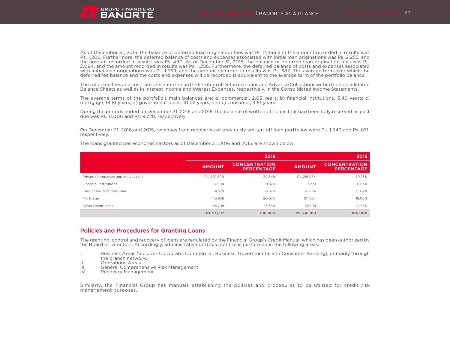As of December 31, 2015, the balance of deferred loan origination fees was Ps. 2,456 and the amount recorded in results was Ps. 1,206. Furthermore, the deferred balance of costs and expenses associated with initial loan originations was Ps. 2,255, and the amount recorded in results was Ps. 490. As of December 31, 2015, the balance of deferred loan origination fees was Ps. 2,094, and the amount recorded in results was Ps. 1,256. Furthermore, the deferred balance of costs and expenses associated with initial loan originations was Ps. 1,359, and the amount recorded in results was Ps. 382. The average term over which the deferred fee balance and the costs and expenses will be recorded is equivalent to the average term of the portfolio balance.

The collected fees and costs are presented net in the line item of Deferred Loans and Advance Collections within the Consolidated Balance Sheets as well as in Interest Income and Interest Expenses, respectively, in the Consolidated Income Statements.

The average terms of the portfolio's main balances are: a) commercial, 2.03 years; b) financial institutions, 3.49 years; c) mortgage, 18.81 years; d) government loans, 10.02 years; and e) consumer, 3.51 years.

During the periods ended on December 31, 2016 and 2015, the balance of written off loans that had been fully reserved as past due was Ps. 11,006 and Ps. 9,728, respectively.

On December 31, 2016 and 2015, revenues from recoveries of previously written-off loan portfolios were Ps. 1,549 and Ps. 871, respectively.

|                                     |               | 2016                                      |               | 2015                                      |  |
|-------------------------------------|---------------|-------------------------------------------|---------------|-------------------------------------------|--|
|                                     | <b>AMOUNT</b> | <b>CONCENTRATION</b><br><b>PERCENTAGE</b> | <b>AMOUNT</b> | <b>CONCENTRATION</b><br><b>PERCENTAGE</b> |  |
| Private (companies and individuals) | Ps. 229.890   | 39.84%                                    | Ps. 216.984   | 40.75%                                    |  |
| Financial institutions              | 4,994         | 0.87%                                     | 3,331         | 0.63%                                     |  |
| Credit card and consumer            | 91,579        | 15.87%                                    | 78.634        | 15.02%                                    |  |
| Mortgage                            | 115,856       | 20.07%                                    | 101.024       | 19.06%                                    |  |
| Government loans                    | 134.798       | 23.36%                                    | 130.118       | 24.55%                                    |  |
|                                     | Ps. 577.117   | 100.00%                                   | Ps. 530.091   | 100.00%                                   |  |

The loans granted per economic sectors as of December 31, 2016 and 2015, are shown below:

### Policies and Procedures for Granting Loans

The granting, control and recovery of loans are regulated by the Financial Group's Credit Manual, which has been authorized by the Board of Directors. Accordingly, administrative portfolio control is performed in the following areas:

- I. Business Areas (includes Corporate, Commercial, Business, Governmental and Consumer Banking), primarily through the branch network.
- II. Operations Areas<br>III. General Comprehe
- III. General Comprehensive Risk Management<br>IV. Recovery Management
- Recovery Management

Similarly, the Financial Group has manuals establishing the policies and procedures to be utilized for credit risk management purposes.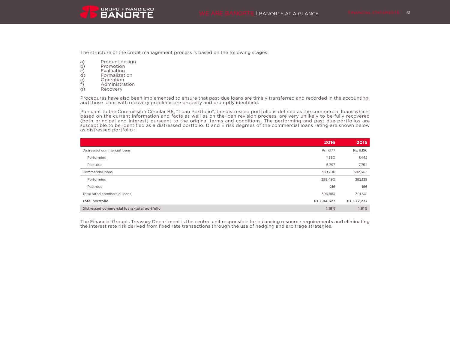The structure of the credit management process is based on the following stages:

- a) Product design<br>b) Promotion
- b) Promotion<br>c) Evaluation
- c) Evaluation<br>d) Formalizati
- d) Formalization
- e) Operation<br>f) Administra
- f) Administration<br>g) Recovery
- Recovery

Procedures have also been implemented to ensure that past-due loans are timely transferred and recorded in the accounting, and those loans with recovery problems are properly and promptly identified.

Pursuant to the Commission Circular B6, "Loan Portfolio", the distressed portfolio is defined as the commercial loans which, based on the current information and facts as well as on the loan revision process, are very unlikely to be fully recovered (both principal and interest) pursuant to the original terms and conditions. The performing and past due portfolios are susceptible to be identified as a distressed portfolio. D and E risk degrees of the commercial loans rating are shown below as distressed portfolio :

|                                             | 2016        | 2015        |
|---------------------------------------------|-------------|-------------|
| Distressed commercial loans                 | Ps. 7,177   | Ps. 9,196   |
| Performing                                  | 1,380       | 1,442       |
| Past-due                                    | 5,797       | 7,754       |
| Commercial loans                            | 389,706     | 382,305     |
| Performing                                  | 389,490     | 382,139     |
| Past-due                                    | 216         | 166         |
| Total rated commercial loans                | 396,883     | 391,501     |
| Total portfolio                             | Ps. 604,327 | Ps. 572,237 |
| Distressed commercial loans/total portfolio | 1.19%       | 1.61%       |

The Financial Group's Treasury Department is the central unit responsible for balancing resource requirements and eliminating the interest rate risk derived from fixed rate transactions through the use of hedging and arbitrage strategies.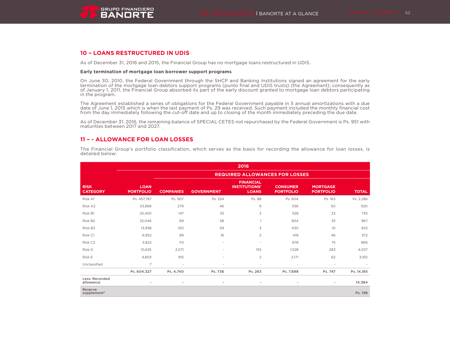

## **10 – LOANS RESTRUCTURED IN UDIS**

As of December 31, 2016 and 2015, the Financial Group has no mortgage loans restructured in UDIS.

#### **Early termination of mortgage loan borrower support programs**

On June 30, 2010, the Federal Government through the SHCP and Banking Institutions signed an agreement for the early termination of the mortgage loan debtors support programs (punto final and UDIS trusts) (the Agreement); consequently as of January 1, 2011, the Financial Group absorbed its part of the early discount granted to mortgage loan debtors participating in the program.

The Agreement established a series of obligations for the Federal Government payable in 5 annual amortizations with a due date of June 1, 2015 which is when the last payment of Ps. 29 was received. Such payment included the monthly financial cost from the day immediately following the cut-off date and up to closing of the month immediately preceding the due date.

As of December 31, 2016, the remaining balance of SPECIAL CETES not repurchased by the Federal Government is Ps. 951 with maturities between 2017 and 2027.

### **11 – - ALLOWANCE FOR LOAN LOSSES**

The Financial Group's portfolio classification, which serves as the basis for recording the allowance for loan losses, is detailed below:

|                                |                                 |                                       |                          | 2016                                                     |                                     |                                     |              |  |
|--------------------------------|---------------------------------|---------------------------------------|--------------------------|----------------------------------------------------------|-------------------------------------|-------------------------------------|--------------|--|
|                                |                                 | <b>REQUIRED ALLOWANCES FOR LOSSES</b> |                          |                                                          |                                     |                                     |              |  |
| <b>RISK</b><br><b>CATEGORY</b> | <b>LOAN</b><br><b>PORTFOLIO</b> | <b>COMPANIES</b>                      | <b>GOVERNMENT</b>        | <b>FINANCIAL</b><br><b>INSTITUTIONS'</b><br><b>LOANS</b> | <b>CONSUMER</b><br><b>PORTFOLIO</b> | <b>MORTGAGE</b><br><b>PORTFOLIO</b> | <b>TOTAL</b> |  |
| Risk A1                        | Ps. 457,787                     | Ps. 907                               | Ps. 524                  | Ps. 88                                                   | Ps. 604                             | Ps. 163                             | Ps. 2,286    |  |
| Risk A2                        | 53,868                          | 279                                   | 46                       | 9                                                        | 536                                 | 50                                  | 920          |  |
| Risk B1                        | 25,450                          | 147                                   | 33                       | 3                                                        | 528                                 | 23                                  | 735          |  |
| Risk B2                        | 25.046                          | 69                                    | 58                       | $\mathbf{1}$                                             | 804                                 | 35                                  | 967          |  |
| Risk B3                        | 13,958                          | 150                                   | 59                       | 3                                                        | 430                                 | 10                                  | 652          |  |
| Risk C1                        | 6,952                           | 89                                    | 16                       | $\overline{c}$                                           | 419                                 | 46                                  | 572          |  |
| Risk C2                        | 5,822                           | 113                                   | $\overline{\phantom{a}}$ | $\sim$                                                   | 678                                 | 75                                  | 866          |  |
| Risk D                         | 10,635                          | 2.071                                 | ٠                        | 155                                                      | 1.528                               | 283                                 | 4,037        |  |
| Risk E                         | 4,803                           | 915                                   | ٠                        | $\overline{c}$                                           | 2,171                               | 62                                  | 3,150        |  |
| Unclassified                   | $\overline{7}$                  | $\overline{\phantom{a}}$              | ٠                        | $\overline{\phantom{a}}$                                 | $\overline{\phantom{a}}$            | $\overline{\phantom{a}}$            |              |  |
|                                | Ps. 604,327                     | Ps. 4,740                             | Ps. 736                  | Ps. 263                                                  | Ps. 7,698                           | Ps. 747                             | Ps. 14,185   |  |
| Less: Recorded<br>allowance    |                                 |                                       |                          |                                                          |                                     | ٠                                   | 14,384       |  |
| Reserve<br>supplement*         |                                 |                                       |                          |                                                          |                                     |                                     | Ps. 198      |  |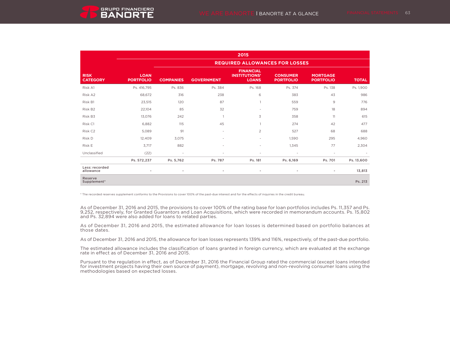

|                                |                                 |                                       |                          | 2015                                                     |                                     |                                     |                                                                                       |  |
|--------------------------------|---------------------------------|---------------------------------------|--------------------------|----------------------------------------------------------|-------------------------------------|-------------------------------------|---------------------------------------------------------------------------------------|--|
|                                |                                 | <b>REQUIRED ALLOWANCES FOR LOSSES</b> |                          |                                                          |                                     |                                     |                                                                                       |  |
| <b>RISK</b><br><b>CATEGORY</b> | <b>LOAN</b><br><b>PORTFOLIO</b> | <b>COMPANIES</b>                      | <b>GOVERNMENT</b>        | <b>FINANCIAL</b><br><b>INSTITUTIONS'</b><br><b>LOANS</b> | <b>CONSUMER</b><br><b>PORTFOLIO</b> | <b>MORTGAGE</b><br><b>PORTFOLIO</b> | <b>TOTAL</b><br>Ps. 1,900<br>986<br>776<br>894<br>615<br>477<br>688<br>4,960<br>2,304 |  |
| Risk A1                        | Ps. 416,795                     | Ps. 836                               | Ps. 384                  | Ps. 168                                                  | Ps. 374                             | Ps. 138                             |                                                                                       |  |
| Risk A2                        | 68,672                          | 316                                   | 238                      | 6                                                        | 383                                 | 43                                  |                                                                                       |  |
| Risk B1                        | 23,515                          | 120                                   | 87                       | $\mathbf{1}$                                             | 559                                 | 9                                   |                                                                                       |  |
| Risk B <sub>2</sub>            | 22,104                          | 85                                    | 32                       | ٠                                                        | 759                                 | 18                                  |                                                                                       |  |
| Risk B3                        | 13.076                          | 242                                   | $\overline{1}$           | 3                                                        | 358                                 | 11                                  |                                                                                       |  |
| Risk C1                        | 6,882                           | 115                                   | 45                       | $\mathbf{1}$                                             | 274                                 | 42                                  |                                                                                       |  |
| Risk C <sub>2</sub>            | 5.089                           | 91                                    | $\overline{\phantom{a}}$ | $\overline{2}$                                           | 527                                 | 68                                  |                                                                                       |  |
| Risk D                         | 12,409                          | 3,075                                 | $\blacksquare$           | ٠                                                        | 1,590                               | 295                                 |                                                                                       |  |
| Risk E                         | 3.717                           | 882                                   | $\blacksquare$           | ٠                                                        | 1,345                               | 77                                  |                                                                                       |  |
| Unclassified                   | (22)                            | $\overline{\phantom{a}}$              | $\overline{\phantom{a}}$ | ٠                                                        | $\sim$                              | $\sim$                              |                                                                                       |  |
|                                | Ps. 572,237                     | Ps. 5,762                             | Ps. 787                  | Ps. 181                                                  | Ps. 6,169                           | Ps. 701                             | Ps. 13,600                                                                            |  |
| Less: recorded<br>allowance    |                                 | ٠                                     | ٠                        | ٠                                                        | ٠                                   | $\sim$                              | 13,813                                                                                |  |
| Reserve<br>Supplement*         |                                 |                                       |                          |                                                          |                                     |                                     | Ps. 213                                                                               |  |

\* The recorded reserves supplement conforms to the Provisions to cover 100% of the past-due interest and for the effects of inquiries in the credit bureau.

As of December 31, 2016 and 2015, the provisions to cover 100% of the rating base for loan portfolios includes Ps. 11,357 and Ps. 9,252, respectively, for Granted Guarantors and Loan Acquisitions, which were recorded in memorandum accounts. Ps. 15,802 and Ps. 32,894 were also added for loans to related parties.

As of December 31, 2016 and 2015, the estimated allowance for loan losses is determined based on portfolio balances at those dates.

As of December 31, 2016 and 2015, the allowance for loan losses represents 139% and 116%, respectively, of the past-due portfolio.

The estimated allowance includes the classification of loans granted in foreign currency, which are evaluated at the exchange rate in effect as of December 31, 2016 and 2015.

Pursuant to the regulation in effect, as of December 31, 2016 the Financial Group rated the commercial (except loans intended for investment projects having their own source of payment), mortgage, revolving and non-revolving consumer loans using the methodologies based on expected losses.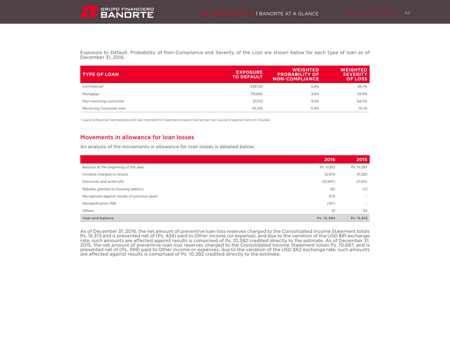

Exposure to Default, Probability of Non-Compliance and Severity of the Loss are shown below for each type of loan as of December 31, 2016.

| <b>TYPE OF LOAN</b>     | <b>EXPOSURE</b><br><b>TO DEFAULT</b> | <b>WEIGHTED</b><br><b>PROBABILITY OF</b><br><b>NON-COMPLIANCE</b> | <b>WEIGHTED</b><br><b>SEVERITY</b><br><b>OF LOSS</b> |
|-------------------------|--------------------------------------|-------------------------------------------------------------------|------------------------------------------------------|
| Commercial*             | 339,133                              | 5.6%                                                              | 26.7%                                                |
| Mortgage                | 115,856                              | 2.6%                                                              | 24.9%                                                |
| Non-revolving consumer  | 61.512                               | 9.5%                                                              | 64.3%                                                |
| Revolving Consumer Ioan | 45.315                               | 11.4%                                                             | 76.1%                                                |

\* Loans to financial intermediaries and loan intended for investment projects having their own source of payment are not included.

## Movements in allowance for loan losses

An analysis of the movements in allowance for loan losses is detailed below:

|                                              | 2016       | 2015                     |
|----------------------------------------------|------------|--------------------------|
| Balance at the beginning of the year         | Ps. 13,813 | Ps. 15,287               |
| Increase charged to results                  | 12,970     | 10,382                   |
| Discounts and write-offs                     | (12, 947)  | (11, 911)                |
| Rebates granted to housing debtors           | (8)        | (7)                      |
| Recognized against results of previous years | 672        | $\overline{\phantom{a}}$ |
| Reclassification INB                         | (197)      | $\sim$                   |
| Others                                       | 81         | 62                       |
| Year-end balance                             | Ps. 14,384 | Ps. 13,813               |

As of December 31, 2016, the net amount of preventive loan loss reserves charged to the Consolidated Income Statement totals Ps. 13,313 and is presented net of (Ps. 424) paid to Other income (or expense), and due to the variation of the USD \$81 exchange rate, such amounts are affected against results is comprised of Ps. 10,382 credited directly to the estimate. As of December 31, 2015, the net amount of preventive loan loss reserves charged to the Consolidated Income Statement totals Ps. 10,687, and is presented net of (Ps. 399) paid to Other income or expenses; due to the variation of the USD \$62 exchange rate, such amounts are affected against results is comprised of Ps. 10,382 credited directly to the estimate.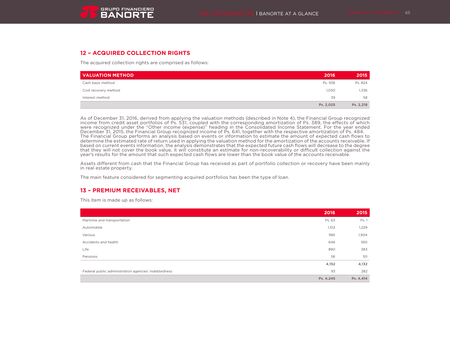

## **12 – ACQUIRED COLLECTION RIGHTS**

The acquired collection rights are comprised as follows:

| <b>VALUATION METHOD</b> | 2016      | 2015      |
|-------------------------|-----------|-----------|
| Cash basis method       | Ps. 936   | Ps. 824   |
| Cost recovery method    | 1,050     | 1,336     |
| Interest method         | 39        | 58        |
|                         | Ps. 2,025 | Ps. 2,218 |

As of December 31, 2016, derived from applying the valuation methods (described in Note 4), the Financial Group recognized income from credit asset portfolios of Ps. 531, coupled with the corresponding amortization of Ps. 389, the effects of which were recognized under the "Other income (expense)" heading in the Consolidated Income Statement. For the year ended December 31, 2015, the Financial Group recognized income of Ps. 641, together with the respective amortization of Ps. 484. The Financial Group performs an analysis based on events or information to estimate the amount of expected cash flows to determine the estimated rate of return used in applying the valuation method for the amortization of the accounts receivable. If based on current events information, the analysis demonstrates that the expected future cash flows will decrease to the degree that they will not cover the book value, it will constitute an estimate for non-recoverability or difficult collection against the year's results for the amount that such expected cash flows are lower than the book value of the accounts receivable.

Assets different from cash that the Financial Group has received as part of portfolio collection or recovery have been mainly in real estate property.

The main feature considered for segmenting acquired portfolios has been the type of loan.

## **13 – PREMIUM RECEIVABLES, NET**

This item is made up as follows:

|                                                      | 2016      | 2015      |
|------------------------------------------------------|-----------|-----------|
| Maritime and transportation                          | Ps. 63    | Ps. 1     |
| Automobile                                           | 1,512     | 1,229     |
| Various                                              | 985       | 1,904     |
| Accidents and health                                 | 646       | 565       |
| Life                                                 | 890       | 383       |
| Pensions                                             | 56        | 50        |
|                                                      | 4,152     | 4,132     |
| Federal public administration agencies' indebtedness | 93        | 282       |
|                                                      | Ps. 4,245 | Ps. 4,414 |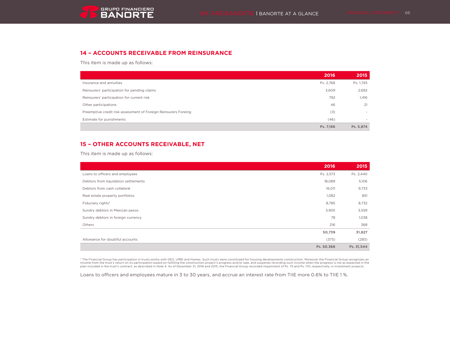

# **14 – ACCOUNTS RECEIVABLE FROM REINSURANCE**

This item is made up as follows:

|                                                                 | 2016      | 2015      |
|-----------------------------------------------------------------|-----------|-----------|
| Insurance and annuities                                         | Ps. 2,768 | Ps. 1,745 |
| Reinsurers' participation for pending claims                    | 3,609     | 2,692     |
| Reinsurers' participation for current risk                      | 792       | 1,416     |
| Other participations                                            | 46        | 21        |
| Preemptive credit risk assessment of Foreign Reinsurers Foreing | (3)       | $\sim$    |
| Estimate for punishments                                        | (46)      |           |
|                                                                 | Ps. 7,166 | Ps. 5,874 |

# **15 – OTHER ACCOUNTS RECEIVABLE, NET**

This item is made up as follows:

|                                      | 2016       | 2015       |
|--------------------------------------|------------|------------|
| Loans to officers and employees      | Ps. 2,573  | Ps. 2,440  |
| Debtors from liquidation settlements | 18,089     | 5,106      |
| Debtors from cash collateral         | 16,011     | 9,733      |
| Real estate property portfolios      | 1,082      | 851        |
| Fiduciary rights*                    | 8,785      | 8,732      |
| Sundry debtors in Mexican pesos      | 3,905      | 3,559      |
| Sundry debtors in foreign currency   | 78         | 1,038      |
| Others                               | 216        | 368        |
|                                      | 50,739     | 31,827     |
| Allowance for doubtful accounts      | (373)      | (283)      |
|                                      | Ps. 50,366 | Ps. 31,544 |

\* The Financial Group has participation in trusts jointly with GEO, URBI and Homex. Such trusts were constituted for housing developments construction. Moreover the Financial Group recognizes an<br>income from the trust's ret

Loans to officers and employees mature in 3 to 30 years, and accrue an interest rate from TIIE more 0.6% to TIIE 1%.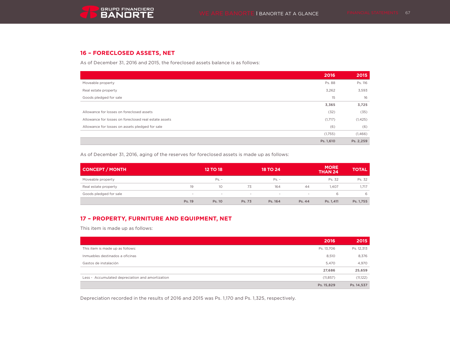# **16 – FORECLOSED ASSETS, NET**

As of December 31, 2016 and 2015, the foreclosed assets balance is as follows:

|                                                       | 2016      | 2015      |
|-------------------------------------------------------|-----------|-----------|
| Moveable property                                     | Ps. 88    | Ps. 116   |
| Real estate property                                  | 3,262     | 3,593     |
| Goods pledged for sale                                | 15        | 16        |
|                                                       | 3,365     | 3,725     |
| Allowance for losses on foreclosed assets             | (32)      | (35)      |
| Allowance for losses on foreclosed real estate assets | (1,717)   | (1, 425)  |
| Allowance for losses on assets pledged for sale       | (6)       | (6)       |
|                                                       | (1,755)   | (1,466)   |
|                                                       | Ps. 1,610 | Ps. 2,259 |

As of December 31, 2016, aging of the reserves for foreclosed assets is made up as follows:

| CONCEPT / MONTH        |        | <b>12 TO 18</b>          |        | <b>18 TO 24</b>          |        | <b>MORE</b><br>THAN <sub>24</sub> | <b>TOTAL</b> |
|------------------------|--------|--------------------------|--------|--------------------------|--------|-----------------------------------|--------------|
| Moveable property      |        | $Ps. -$                  |        | $Ps. -$                  |        | Ps. 32                            | Ps. 32       |
| Real estate property   | 19     | 10 <sup>°</sup>          | 73     | 164                      | 44     | 1.407                             | 1,717        |
| Goods pledged for sale |        | $\overline{\phantom{a}}$ | $\sim$ | $\overline{\phantom{a}}$ |        | 6                                 | 6            |
|                        | Ps. 19 | Ps. 10                   | Ps. 73 | Ps. 164                  | Ps. 44 | Ps. 1.411                         | Ps. 1,755    |

# **17 – PROPERTY, FURNITURE AND EQUIPMENT, NET**

This item is made up as follows:

|                                                  | 2016       | 2015       |
|--------------------------------------------------|------------|------------|
| This item is made up as follows:                 | Ps. 13,706 | Ps. 12,313 |
| Inmuebles destinados a oficinas                  | 8,510      | 8,376      |
| Gastos de instalación                            | 5,470      | 4,970      |
|                                                  | 27,686     | 25,659     |
| Less - Accumulated depreciation and amortization | (11, 857)  | (11, 122)  |
|                                                  | Ps. 15,829 | Ps. 14,537 |

Depreciation recorded in the results of 2016 and 2015 was Ps. 1,170 and Ps. 1,325, respectively.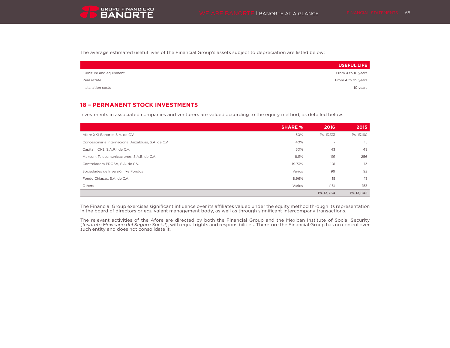The average estimated useful lives of the Financial Group's assets subject to depreciation are listed below:

|                         | <b>USEFUL LIFE</b> |
|-------------------------|--------------------|
| Furniture and equipment | From 4 to 10 years |
| Real estate             | From 4 to 99 years |
| Installation costs      | 10 years           |

# **18 – PERMANENT STOCK INVESTMENTS**

Investments in associated companies and venturers are valued according to the equity method, as detailed below:

|                                                     | <b>SHARE %</b> | 2016                     | 2015       |
|-----------------------------------------------------|----------------|--------------------------|------------|
| Afore XXI-Banorte, S.A. de C.V.                     | 50%            | Ps. 13,331               | Ps. 13,160 |
| Concesionaria Internacional Anzaldúas, S.A. de C.V. | 40%            | $\overline{\phantom{a}}$ | 15         |
| Capital I CI-3, S.A.P.I. de C.V.                    | 50%            | 43                       | 43         |
| Maxcom Telecomunicaciones, S.A.B. de C.V.           | 8.11%          | 191                      | 256        |
| Controladora PROSA, S.A. de C.V.                    | 19.73%         | 101                      | 73         |
| Sociedades de Inversión Ixe Fondos                  | Varios         | 99                       | 92         |
| Fondo Chiapas, S.A. de C.V.                         | 8.96%          | 15                       | 13         |
| Others                                              | Varios         | (16)                     | 153        |
|                                                     |                | Ps. 13.764               | Ps. 13,805 |

The Financial Group exercises significant influence over its affiliates valued under the equity method through its representation in the board of directors or equivalent management body, as well as through significant intercompany transactions.

The relevant activities of the Afore are directed by both the Financial Group and the Mexican Institute of Social Security [Instituto Mexicano del Seguro Social], with equal rights and responsibilities. Therefore the Financial Group has no control over such entity and does not consolidate it.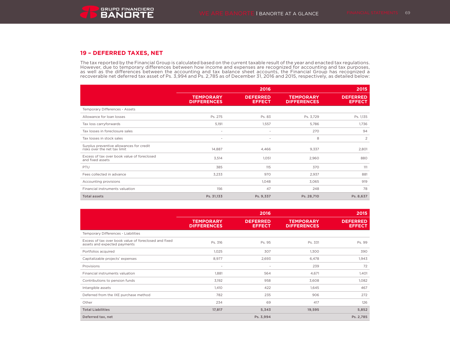# **19 – DEFERRED TAXES, NET**

The tax reported by the Financial Group is calculated based on the current taxable result of the year and enacted tax regulations. However, due to temporary differences between how income and expenses are recognized for accounting and tax purposes, as well as the differences between the accounting and tax balance sheet accounts, the Financial Group has recognized a recoverable net deferred tax asset of Ps. 3,994 and Ps. 2,785 as of December 31, 2016 and 2015, respectively, as detailed below:

|                                                                          |                                        | 2016                             |                                        | 2015                             |
|--------------------------------------------------------------------------|----------------------------------------|----------------------------------|----------------------------------------|----------------------------------|
|                                                                          | <b>TEMPORARY</b><br><b>DIFFERENCES</b> | <b>DEFERRED</b><br><b>EFFECT</b> | <b>TEMPORARY</b><br><b>DIFFERENCES</b> | <b>DEFERRED</b><br><b>EFFECT</b> |
| Temporary Differences - Assets                                           |                                        |                                  |                                        |                                  |
| Allowance for loan losses                                                | Ps. 275                                | Ps. 83                           | Ps. 3,729                              | Ps. 1,135                        |
| Tax loss carryforwards                                                   | 5,191                                  | 1,557                            | 5,786                                  | 1,736                            |
| Tax losses in foreclosure sales                                          | $\sim$                                 | ٠                                | 270                                    | 94                               |
| Tax losses in stock sales                                                | $\sim$                                 | ٠                                | 8                                      | 2                                |
| Surplus preventive allowances for credit<br>risks over the net tax limit | 14,887                                 | 4,466                            | 9,337                                  | 2,801                            |
| Excess of tax over book value of foreclosed<br>and fixed assets          | 3,514                                  | 1,051                            | 2,960                                  | 880                              |
| PTU                                                                      | 385                                    | 115                              | 370                                    | 111                              |
| Fees collected in advance                                                | 3,233                                  | 970                              | 2,937                                  | 881                              |
| Accounting provisions                                                    |                                        | 1,048                            | 3,065                                  | 919                              |
| Financial instruments valuation                                          | 156                                    | 47                               | 248                                    | 78                               |
| <b>Total assets</b>                                                      | Ps. 31,133                             | Ps. 9,337                        | Ps. 28,710                             | Ps. 8,637                        |

|                                                                                       |                                        | 2016                             |                                        | 2015                             |
|---------------------------------------------------------------------------------------|----------------------------------------|----------------------------------|----------------------------------------|----------------------------------|
|                                                                                       | <b>TEMPORARY</b><br><b>DIFFERENCES</b> | <b>DEFERRED</b><br><b>EFFECT</b> | <b>TEMPORARY</b><br><b>DIFFERENCES</b> | <b>DEFERRED</b><br><b>EFFECT</b> |
| Temporary Differences - Liabilities                                                   |                                        |                                  |                                        |                                  |
| Excess of tax over book value of foreclosed and fixed<br>assets and expected payments | Ps. 316                                | Ps. 95                           | Ps. 331                                | Ps. 99                           |
| Portfolios acquired                                                                   | 1,025                                  | 307                              | 1,300                                  | 390                              |
| Capitalizable projects' expenses                                                      | 8,977                                  | 2,693                            | 6,478                                  | 1,943                            |
| Provisions                                                                            | ٠                                      | ۰                                | 239                                    | 72                               |
| Financial instruments valuation                                                       | 1,881                                  | 564                              | 4,671                                  | 1,401                            |
| Contributions to pension funds                                                        | 3,192                                  | 958                              | 3,608                                  | 1,082                            |
| Intangible assets                                                                     | 1,410                                  | 422                              | 1,645                                  | 467                              |
| Deferred from the IXE purchase method                                                 | 782                                    | 235                              | 906                                    | 272                              |
| Other                                                                                 | 234                                    | 69                               | 417                                    | 126                              |
| <b>Total Liabilities</b>                                                              | 17,817                                 | 5,343                            | 19,595                                 | 5,852                            |
| Deferred tax, net                                                                     |                                        | Ps. 3,994                        |                                        | Ps. 2,785                        |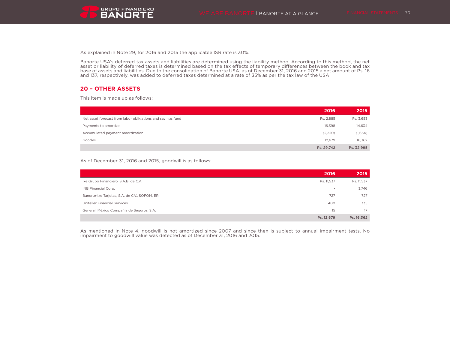As explained in Note 29, for 2016 and 2015 the applicable ISR rate is 30%.

Banorte USA's deferred tax assets and liabilities are determined using the liability method. According to this method, the net asset or liability of deferred taxes is determined based on the tax effects of temporary differences between the book and tax base of assets and liabilities. Due to the consolidation of Banorte USA, as of December 31, 2016 and 2015 a net amount of Ps. 16 and 137, respectively, was added to deferred taxes determined at a rate of 35% as per the tax law of the USA.

# **20 – OTHER ASSETS**

This item is made up as follows:

|                                                            | 2016       | 2015       |
|------------------------------------------------------------|------------|------------|
| Net asset forecast from labor obligations and savings fund | Ps. 2,885  | Ps. 3,653  |
| Payments to amortize                                       | 16.398     | 14,634     |
| Accumulated payment amortization                           | (2,220)    | (1,654)    |
| Goodwill                                                   | 12.679     | 16.362     |
|                                                            | Ps. 29,742 | Ps. 32,995 |

#### As of December 31, 2016 and 2015, goodwill is as follows:

|                                               | 2016       | 2015       |
|-----------------------------------------------|------------|------------|
| Ixe Grupo Financiero, S.A.B. de C.V.          | Ps. 11,537 | Ps. 11,537 |
| INB Financial Corp.                           | $\;$       | 3,746      |
| Banorte-Ixe Tarjetas, S.A. de C.V., SOFOM, ER | 727        | 727        |
| <b>Uniteller Financial Services</b>           | 400        | 335        |
| Generali México Compañía de Seguros, S.A.     | 15         | 17         |
|                                               | Ps. 12,679 | Ps. 16,362 |

As mentioned in Note 4, goodwill is not amortized since 2007 and since then is subject to annual impairment tests. No impairment to goodwill value was detected as of December 31, 2016 and 2015.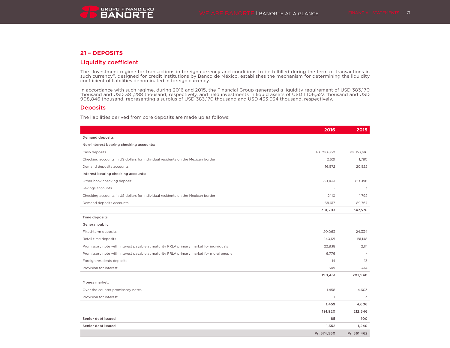## **21 – DEPOSITS**

## Liquidity coefficient

The "Investment regime for transactions in foreign currency and conditions to be fulfilled during the term of transactions in such currency", designed for credit institutions by Banco de México, establishes the mechanism for determining the liquidity coefficient of liabilities denominated in foreign currency.

In accordance with such regime, during 2016 and 2015, the Financial Group generated a liquidity requirement of USD 383,170 thousand and USD 381,288 thousand, respectively, and held investments in liquid assets of USD 1,106,523 thousand and USD 908,846 thousand, representing a surplus of USD 383,170 thousand and USD 433,934 thousand, respectively.

### **Deposits**

The liabilities derived from core deposits are made up as follows:

|                                                                                        | 2016           | 2015        |
|----------------------------------------------------------------------------------------|----------------|-------------|
| <b>Demand deposits</b>                                                                 |                |             |
| Non-interest bearing checking accounts:                                                |                |             |
| Cash deposits                                                                          | Ps. 210,850    | Ps. 153,616 |
| Checking accounts in US dollars for individual residents on the Mexican border         | 2,621          | 1,780       |
| Demand deposits accounts                                                               | 16,572         | 20,522      |
| Interest bearing checking accounts:                                                    |                |             |
| Other bank checking deposit                                                            | 80,433         | 80,096      |
| Savings accounts                                                                       |                | 3           |
| Checking accounts in US dollars for individual residents on the Mexican border         | 2,110          | 1,792       |
| Demand deposits accounts                                                               | 68,617         | 89,767      |
|                                                                                        | 381,203        | 347,576     |
| Time deposits                                                                          |                |             |
| General public:                                                                        |                |             |
| Fixed-term deposits                                                                    | 20,063         | 24,334      |
| Retail time deposits                                                                   | 140,121        | 181,148     |
| Promissory note with interest payable at maturity PRLV primary market for individuals  | 22.838         | 2,111       |
| Promissory note with interest payable at maturity PRLV primary market for moral people | 6.776          |             |
| Foreign residents deposits                                                             | 14             | 13          |
| Provision for interest                                                                 | 649            | 334         |
|                                                                                        | 190,461        | 207,940     |
| Money market:                                                                          |                |             |
| Over the counter promissory notes                                                      | 1,458          | 4,603       |
| Provision for interest                                                                 | $\overline{1}$ | 3           |
|                                                                                        | 1,459          | 4,606       |
|                                                                                        | 191,920        | 212,546     |
| Senior debt issued                                                                     | 85             | 100         |
| Senior debt issued                                                                     | 1,352          | 1,240       |
|                                                                                        | Ps. 574,560    | Ps. 561,462 |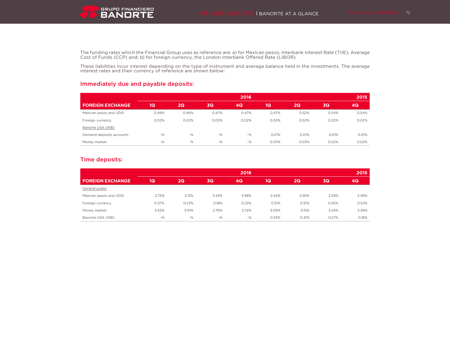

The funding rates which the Financial Group uses as reference are: a) for Mexican pesos, Interbank Interest Rate (TIIE), Average Cost of Funds (CCP) and; b) for foreign currency, the London Interbank Offered Rate (LIBOR).

These liabilities incur interest depending on the type of instrument and average balance held in the investments. The average interest rates and their currency of reference are shown below:

# Immediately due and payable deposits:

|                          |       |       |       | 2016  |       |       |       | 2015  |
|--------------------------|-------|-------|-------|-------|-------|-------|-------|-------|
| <b>FOREIGN EXCHANGE</b>  | 1Q    | 2Q    | 3Q    | 4Q    | 1Q    | 2Q    | 3Q    | 4Q    |
| Mexican pesos and UDIS   | 0.49% | 0.46% | 0.47% | 0.47% | 0.47% | 0.52% | 0.54% | 0.54% |
| Foreign currency         | 0.02% | 0.02% | 0.02% | 0.02% | 0.02% | 0.02% | 0.02% | 0.02% |
| Banorte USA (INB)        |       |       |       |       |       |       |       |       |
| Demand deposits accounts | $-$ % | $-$ % | $-$ % | $-$ % | 0.01% | 0.01% | 0.01% | 0.01% |
| Money market             | $-$ % | $-$ % | $-$ % | $-$ % | 0.03% | 0.03% | 0.02% | 0.02% |

# Time deposits:

|                         | 2016  |       |           |       |       | 2015  |       |       |
|-------------------------|-------|-------|-----------|-------|-------|-------|-------|-------|
| <b>FOREIGN EXCHANGE</b> | 1Q    | 2Q    | <b>3Q</b> | 4Q    | 1Q    | 2Q    | 3Q    | 4Q    |
| General public          |       |       |           |       |       |       |       |       |
| Mexican pesos and UDIS  | 2.75% | 3.12% | 3.43%     | 3.98% | 2.42% | 2.56% | 2.59% | 2.59% |
| Foreign currency        | 0.37% | 0.23% | 0.18%     | 0.22% | 0.51% | 0.51% | 0.55% | 0.53% |
| Money market            | 3.52% | 3.10% | 2.76%     | 3.72% | 3.09% | 3.15% | 3.24% | 3.29% |
| Banorte USA (INB)       | $-$ % | $-$ % | $-$ %     | -%    | 0.33% | 0.31% | 0.27% | 0.18% |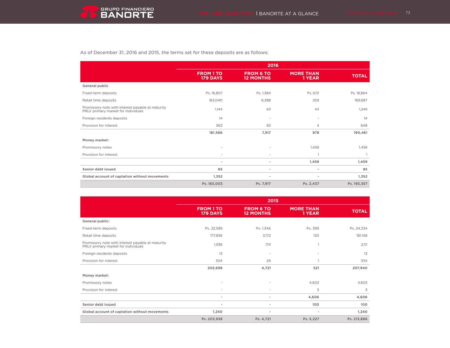

As of December 31, 2016 and 2015, the terms set for these deposits are as follows:

|                                                                                          | 2016                                |                                      |                            |              |  |
|------------------------------------------------------------------------------------------|-------------------------------------|--------------------------------------|----------------------------|--------------|--|
|                                                                                          | <b>FROM 1 TO</b><br><b>179 DAYS</b> | <b>FROM 6 TO</b><br><b>12 MONTHS</b> | <b>MORE THAN</b><br>1 YEAR | <b>TOTAL</b> |  |
| General public                                                                           |                                     |                                      |                            |              |  |
| Fixed-term deposits                                                                      | Ps. 16,807                          | Ps. 1,384                            | Ps. 672                    | Ps. 18,864   |  |
| Retail time deposits                                                                     | 163,040                             | 6,388                                | 259                        | 169,687      |  |
| Promissory note with interest payable at maturity<br>PRLV primary market for individuals | 1,143                               | 63                                   | 43                         | 1,249        |  |
| Foreign residents deposits                                                               | 14                                  | ٠                                    | ٠                          | 14           |  |
| Provision for interest                                                                   | 562                                 | 82                                   | $\overline{4}$             | 648          |  |
|                                                                                          | 181,566                             | 7,917                                | 978                        | 190,461      |  |
| Money market:                                                                            |                                     |                                      |                            |              |  |
| Promissory notes                                                                         | ٠                                   |                                      | 1,458                      | 1,458        |  |
| Provision for interest                                                                   | ٠                                   | ٠                                    |                            |              |  |
|                                                                                          | ٠                                   | ٠                                    | 1,459                      | 1,459        |  |
| Senior debt issued                                                                       | 85                                  | ٠                                    | $\overline{\phantom{a}}$   | 85           |  |
| Global account of captation without movements                                            | 1,352                               | $\overline{\phantom{a}}$             | $\overline{\phantom{a}}$   | 1,352        |  |
|                                                                                          | Ps. 183,003                         | Ps. 7,917                            | Ps. 2,437                  | Ps. 193,357  |  |

|                                                                                          | 2015                                |                                      |                            |              |  |
|------------------------------------------------------------------------------------------|-------------------------------------|--------------------------------------|----------------------------|--------------|--|
|                                                                                          | <b>FROM 1 TO</b><br><b>179 DAYS</b> | <b>FROM 6 TO</b><br><b>12 MONTHS</b> | <b>MORE THAN</b><br>1 YEAR | <b>TOTAL</b> |  |
| General public:                                                                          |                                     |                                      |                            |              |  |
| Fixed-term deposits                                                                      | Ps. 22,589                          | Ps. 1,346                            | Ps. 399                    | Ps. 24,334   |  |
| Retail time deposits                                                                     | 177,856                             | 3,172                                | 120                        | 181,148      |  |
| Promissory note with interest payable at maturity<br>PRLV primary market for individuals | 1,936                               | 174                                  |                            | 2,111        |  |
| Foreign residents deposits                                                               | 13                                  | $\overline{\phantom{a}}$             |                            | 13           |  |
| Provision for interest                                                                   | 304                                 | 29                                   |                            | 334          |  |
|                                                                                          | 202,698                             | 4,721                                | 521                        | 207,940      |  |
| Money market:                                                                            |                                     |                                      |                            |              |  |
| Promissory notes                                                                         |                                     |                                      | 4,603                      | 4,603        |  |
| Provision for interest                                                                   | ٠                                   |                                      | 3                          | 3            |  |
|                                                                                          | ٠                                   | ٠                                    | 4,606                      | 4,606        |  |
| Senior debt issued                                                                       | ٠                                   | ٠                                    | 100                        | 100          |  |
| Global account of captation without movements                                            | 1,240                               | ٠                                    | $\blacksquare$             | 1,240        |  |
|                                                                                          | Ps. 203,938                         | Ps. 4,721                            | Ps. 5,227                  | Ps. 213,886  |  |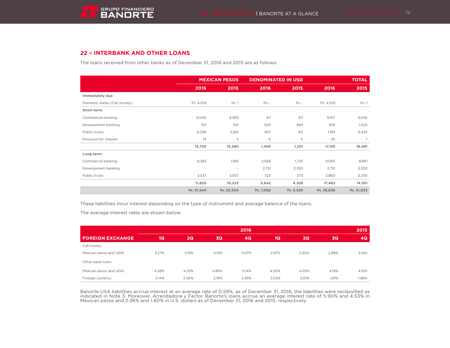# **22 – INTERBANK AND OTHER LOANS**

The loans received from other banks as of December 31, 2016 and 2015 are as follows:

|                             | <b>MEXICAN PESOS</b> |                | <b>DENOMINATED IN USD</b> |           |            | <b>TOTAL</b>   |
|-----------------------------|----------------------|----------------|---------------------------|-----------|------------|----------------|
|                             | 2016                 | 2015           | 2016                      | 2015      | 2016       | 2015           |
| Immediately due:            |                      |                |                           |           |            |                |
| Domestic banks (Call money) | Ps. 4,019            | Ps. 1          | $Ps. -$                   | $Ps. -$   | Ps. 4,019  | Ps. 1          |
| Short-term:                 |                      |                |                           |           |            |                |
| Commercial banking          | 9,040                | 8,925          | 67                        | 101       | 9,107      | 9,026          |
| Development banking         | 315                  | 541            | 520                       | 484       | 835        | 1,025          |
| Public trusts               | 6,336                | 5,812          | 857                       | 611       | 7,193      | 6,423          |
| Provision for interest      | 14                   | $\overline{2}$ | 6                         | 5         | 20         | $\overline{7}$ |
|                             | 15,705               | 15,280         | 1,450                     | 1,201     | 17,155     | 16,481         |
| Long-term:                  |                      |                |                           |           |            |                |
| Commercial banking          | 8,283                | 7,166          | 2,568                     | 1,725     | 10,851     | 8,891          |
| Development banking         | $\sim$               | $\sim$         | 2,751                     | 2,330     | 2,751      | 2,330          |
| Public trusts               | 3,537                | 3,057          | 323                       | 273       | 3,860      | 3,330          |
|                             | 11,820               | 10,223         | 5,642                     | 4,328     | 17,462     | 14,551         |
|                             | Ps. 31,544           | Ps. 25,504     | Ps. 7,092                 | Ps. 5,529 | Ps. 38,636 | Ps. 31,033     |

These liabilities incur interest depending on the type of instrument and average balance of the loans.

The average interest rates are shown below:

|                         | 2016  |       |           |       |       |       | 2015  |       |
|-------------------------|-------|-------|-----------|-------|-------|-------|-------|-------|
| <b>FOREIGN EXCHANGE</b> | 1Q    | 2Q    | <b>3Q</b> | 4Q    | 1Q    | 2Q    | 3Q    | 4Q    |
| Call money              |       |       |           |       |       |       |       |       |
| Mexican pesos and UDIS  | 3.27% | 3.15% | 4.15%     | 5.07% | 2.87% | 2.90% | 2.88% | 3.14% |
| Other bank loans        |       |       |           |       |       |       |       |       |
| Mexican pesos and UDIS  | 4.28% | 4.33% | 4.85%     | 5.14% | 4.20% | 4.03% | 4.19% | 4.15% |
| Foreign currency        | 2.14% | 2.06% | 2.16%     | 2.39% | 2.03% | 2.01% | 1.81% | 1.88% |

Banorte USA liabilities accrue interest at an average rate of 0.59%, as of December 31, 2016, the liabilities were reclassified as indicated in Note 3. Moreover, Arrendadora y Factor Banorte's loans accrue an average interest rate of 5.90% and 4.53% in Mexican pesos and 2.36% and 1.60% in U.S. dollars as of December 31, 2016 and 2015, respectively.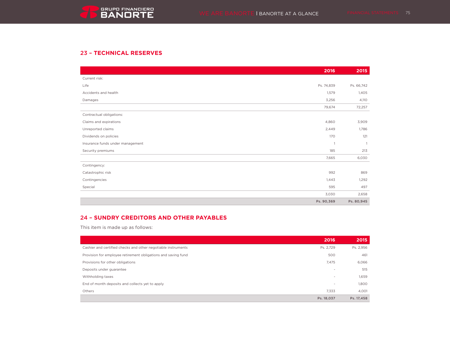# 23 – **TECHNICAL RESERVES**

|                                  | 2016         | 2015           |
|----------------------------------|--------------|----------------|
| Current risk:                    |              |                |
| Life                             | Ps. 74,839   | Ps. 66,742     |
| Accidents and health             | 1,579        | 1,405          |
| Damages                          | 3,256        | 4,110          |
|                                  | 79,674       | 72,257         |
| Contractual obligations:         |              |                |
| Claims and expirations           | 4,860        | 3,909          |
| Unreported claims                | 2,449        | 1,786          |
| Dividends on policies            | 170          | 121            |
| Insurance funds under management | $\mathbf{1}$ | $\overline{1}$ |
| Security premiums                | 185          | 213            |
|                                  | 7,665        | 6,030          |
| Contingency:                     |              |                |
| Catastrophic risk                | 992          | 869            |
| Contingencies                    | 1,443        | 1,292          |
| Special                          | 595          | 497            |
|                                  | 3,030        | 2,658          |
|                                  | Ps. 90,369   | Ps. 80,945     |

# 24 – **SUNDRY CREDITORS AND OTHER PAYABLES**

This item is made up as follows:

|                                                               | 2016       | 2015       |
|---------------------------------------------------------------|------------|------------|
| Cashier and certified checks and other negotiable instruments | Ps. 2.729  | Ps. 2,956  |
| Provision for employee retirement obligations and saving fund | 500        | 461        |
| Provisions for other obligations                              | 7,475      | 6,066      |
| Deposits under guarantee                                      | $\sim$     | 515        |
| Withholding taxes                                             | $\sim$     | 1,659      |
| End of month deposits and collects yet to apply               | $\sim$     | 1,800      |
| Others                                                        | 7,333      | 4,001      |
|                                                               | Ps. 18.037 | Ps. 17,458 |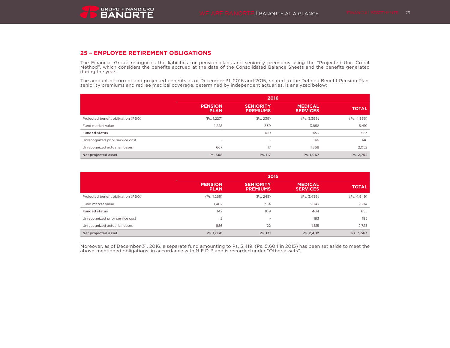

## **25 – EMPLOYEE RETIREMENT OBLIGATIONS**

The Financial Group recognizes the liabilities for pension plans and seniority premiums using the "Projected Unit Credit Method", which considers the benefits accrued at the date of the Consolidated Balance Sheets and the benefits generated during the year.

The amount of current and projected benefits as of December 31, 2016 and 2015, related to the Defined Benefit Pension Plan, seniority premiums and retiree medical coverage, determined by independent actuaries, is analyzed below:

|                                    | 2016                          |                                     |                                   |              |  |  |  |
|------------------------------------|-------------------------------|-------------------------------------|-----------------------------------|--------------|--|--|--|
|                                    | <b>PENSION</b><br><b>PLAN</b> | <b>SENIORITY</b><br><b>PREMIUMS</b> | <b>MEDICAL</b><br><b>SERVICES</b> | <b>TOTAL</b> |  |  |  |
| Projected benefit obligation (PBO) | (Ps. 1,227)                   | (Ps. 239)                           | (Ps. 3,399)                       | (Ps. 4, 866) |  |  |  |
| Fund market value                  | 1,228                         | 339                                 | 3,852                             | 5,419        |  |  |  |
| <b>Funded status</b>               |                               | 100                                 | 453                               | 553          |  |  |  |
| Unrecognized prior service cost    | $\sim$                        | $\overline{\phantom{a}}$            | 146                               | 146          |  |  |  |
| Unrecognized actuarial losses      | 667                           | 17                                  | 1,368                             | 2,052        |  |  |  |
| Net projected asset                | Ps. 668                       | Ps. 117                             | Ps. 1,967                         | Ps. 2,752    |  |  |  |

|                                    | 2015                          |                                     |                                   |              |  |  |  |
|------------------------------------|-------------------------------|-------------------------------------|-----------------------------------|--------------|--|--|--|
|                                    | <b>PENSION</b><br><b>PLAN</b> | <b>SENIORITY</b><br><b>PREMIUMS</b> | <b>MEDICAL</b><br><b>SERVICES</b> | <b>TOTAL</b> |  |  |  |
| Projected benefit obligation (PBO) | (Ps. 1,265)                   | (Ps. 245)                           | (Ps. 3,439)                       | (Ps. 4,949)  |  |  |  |
| Fund market value                  | 1,407                         | 354                                 | 3,843                             | 5,604        |  |  |  |
| <b>Funded status</b>               | 142                           | 109                                 | 404                               | 655          |  |  |  |
| Unrecognized prior service cost    | 2                             | $\sim$                              | 183                               | 185          |  |  |  |
| Unrecognized actuarial losses      | 886                           | 22                                  | 1.815                             | 2,723        |  |  |  |
| Net projected asset                | Ps. 1,030                     | Ps. 131                             | Ps. 2,402                         | Ps. 3,563    |  |  |  |

Moreover, as of December 31, 2016, a separate fund amounting to Ps. 5,419, (Ps. 5,604 in 2015) has been set aside to meet the above-mentioned obligations, in accordance with NIF D-3 and is recorded under "Other assets".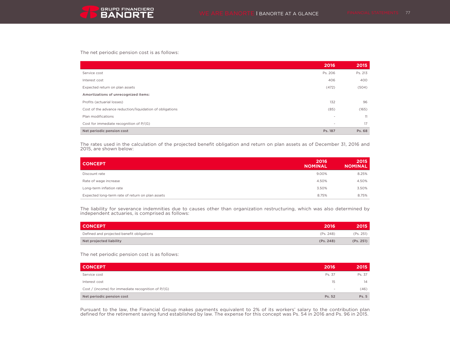The net periodic pension cost is as follows:

|                                                          | 2016                     | 2015    |
|----------------------------------------------------------|--------------------------|---------|
| Service cost                                             | Ps. 206                  | Ps. 213 |
| Interest cost                                            | 406                      | 400     |
| Expected return on plan assets                           | (472)                    | (504)   |
| Amortizations of unrecognized items:                     |                          |         |
| Profits (actuarial losses)                               | 132                      | 96      |
| Cost of the advance reduction/liquidation of obligations | (85)                     | (165)   |
| Plan modifications                                       | $\overline{\phantom{a}}$ | 11      |
| Cost for immediate recognition of P/(G)                  | $\overline{\phantom{a}}$ | 17      |
| Net periodic pension cost                                | Ps. 187                  | Ps. 68  |

The rates used in the calculation of the projected benefit obligation and return on plan assets as of December 31, 2016 and 2015, are shown below:

| <b>CONCEPT</b>                                   | 2016<br><b>NOMINAL</b> | 2015<br><b>NOMINAL</b> |
|--------------------------------------------------|------------------------|------------------------|
| Discount rate                                    | 9.00%                  | 8.25%                  |
| Rate of wage increase                            | 4.50%                  | 4.50%                  |
| Long-term inflation rate                         | 3.50%                  | 3.50%                  |
| Expected long-term rate of return on plan assets | 8.75%                  | 8.75%                  |

The liability for severance indemnities due to causes other than organization restructuring, which was also determined by independent actuaries, is comprised as follows:

| <b>CONCEPT</b>                            | 2016      | 2015'     |
|-------------------------------------------|-----------|-----------|
| Defined and projected benefit obligations | (Ps. 248) | (Ps. 251) |
| Net projected liability                   | (Ps. 248) | (Ps. 251) |

The net periodic pension cost is as follows:

| <b>CONCEPT</b>                                       | 2016   | 2015   |
|------------------------------------------------------|--------|--------|
| Service cost                                         | Ps. 37 | Ps. 37 |
| Interest cost                                        | 15     | 14     |
| Cost / (income) for immediate recognition of $P/(G)$ | $\sim$ | (46)   |
| Net periodic pension cost                            | Ps. 52 | Ps. 5  |

Pursuant to the law, the Financial Group makes payments equivalent to 2% of its workers' salary to the contribution plan defined for the retirement saving fund established by law. The expense for this concept was Ps. 54 in 2016 and Ps. 96 in 2015.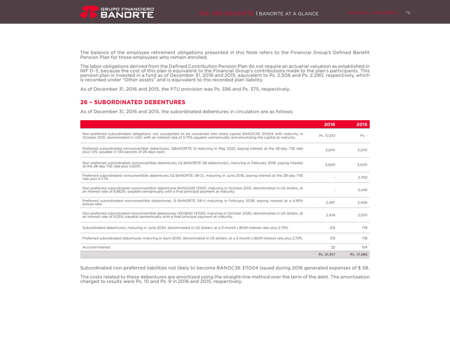The balance of the employee retirement obligations presented in this Note refers to the Financial Group's Defined Benefit

The labor obligations derived from the Defined Contribution Pension Plan do not require an actuarial valuation as established in NIF D-3, because the cost of this plan is equivalent to the Financial Group's contributions made to the plan's participants. This pension plan is invested in a fund as of December 31, 2016 and 2015, equivalent to Ps. 2,506 and Ps. 2,290, respectively, which is recorded under "Other assets" and is equivalent to the recorded plan liability.

As of December 31, 2016 and 2015, the PTU provision was Ps. 396 and Ps. 375, respectively.

## **26 – SUBORDINATED DEBENTURES**

Pension Plan for those employees who remain enrolled.

As of December 31, 2016 and 2015, the subordinated debentures in circulation are as follows:

|                                                                                                                                                                                                                                                            | 2016       | 2015       |
|------------------------------------------------------------------------------------------------------------------------------------------------------------------------------------------------------------------------------------------------------------|------------|------------|
| Non-preferred subordinated obligations not susceptible to be converted into share capital BANOC36 311004 with maturity in<br>October 2031, denominated in USD, with an interest rate of 5.75% pavable semiannually and amortizing the capital at maturity. | Ps. 10.310 | $Ps. -$    |
| Preferred subordinated nonconvertible debentures, QBANORTE 12 maturing in May 2022, paying interest at the 28-day TIIE rate<br>plus 1.5%, payable in 130 periods of 28 days each.                                                                          | 3.200      | 3.200      |
| Non preferred subordinated nonconvertible debentures (Q BANORTE 08 debentures), maturing in February 2018, paving interest<br>at the 28-day TIIE rate plus 0.60%.                                                                                          | 3.000      | 3.000      |
| Preferred subordinated nonconvertible debentures (Q BANORTE 08-2), maturing in June 2018, paying interest at the 28-day TIIE<br>rate plus 0.77%.                                                                                                           |            | 2.750      |
| Non preferred subordinated nonconvertible debentures BANOA28 131021, maturing in October 2021, denominated in US dollars, at<br>an interest rate of 6.862%, payable semiannually with a final principal payment at maturity.                               |            | 3.449      |
| Preferred subordinated nonconvertible debentures, Q BANORTE 08-U maturing in February 2028, paying interest at a 4.95%<br>annual rate.                                                                                                                     | 2.487      | 2.406      |
| Non preferred subordinated nonconvertible debentures IXEGB40 141020, maturing in October 2020, denominated in US dollars, at<br>an interest rate of 9.25%, payable semiannually with a final principal payment at maturity.                                | 2.474      | 2.070      |
| Subordinated debentures, maturing in June 2034, denominated in US dollars, at a 3-month LIBOR interest rate plus 2.75%.                                                                                                                                    | 212        | 178        |
| Preferred subordinated debentures maturing in April 2034, denominated in US dollars, at a 3-month LIBOR interest rate plus 2.72%.                                                                                                                          | 212        | 178        |
| Accrued interest                                                                                                                                                                                                                                           | 22         | 154        |
|                                                                                                                                                                                                                                                            | Ps. 21,917 | Ps. 17,385 |

Subordinated non-preferred liabilities not likely to become BANOC36 311004 issued during 2016 generated expenses of \$ 58.

The costs related to these debentures are amortized using the straight-line method over the term of the debt. The amortization charged to results were Ps. 10 and Ps. 9 in 2016 and 2015, respectively.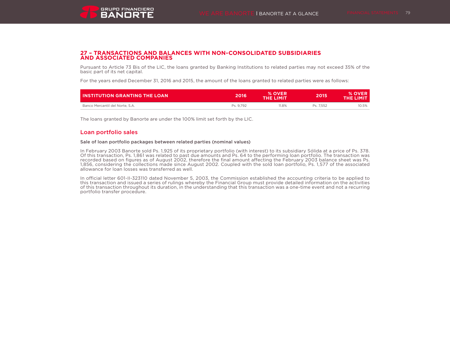

### **27 – TRANSACTIONS AND BALANCES WITH NON-CONSOLIDATED SUBSIDIARIES AND ASSOCIATED COMPANIES**

Pursuant to Article 73 Bis of the LIC, the loans granted by Banking Institutions to related parties may not exceed 35% of the basic part of its net capital.

For the years ended December 31, 2016 and 2015, the amount of the loans granted to related parties were as follows:

| <b>INSTITUTION GRANTING THE LOAN</b> | 2016      | % OVER<br>THE LIMIT | 2015      | <b>% OVER</b><br>THE LIMIT |
|--------------------------------------|-----------|---------------------|-----------|----------------------------|
| Banco Mercantil del Norte, S.A.      | Ps. 9.792 | $1.8\%$             | Ps. 7.552 | 10.5%                      |

The loans granted by Banorte are under the 100% limit set forth by the LIC.

### Loan portfolio sales

#### Sale of loan portfolio packages between related parties (nominal values)

In February 2003 Banorte sold Ps. 1,925 of its proprietary portfolio (with interest) to its subsidiary Sólida at a price of Ps. 378. Of this transaction, Ps. 1,861 was related to past due amounts and Ps. 64 to the performing loan portfolio. The transaction was recorded based on figures as of August 2002, therefore the final amount affecting the February 2003 balance sheet was Ps. 1,856, considering the collections made since August 2002. Coupled with the sold loan portfolio, Ps. 1,577 of the associated allowance for loan losses was transferred as well.

In official letter 601-II-323110 dated November 5, 2003, the Commission established the accounting criteria to be applied to this transaction and issued a series of rulings whereby the Financial Group must provide detailed information on the activities of this transaction throughout its duration, in the understanding that this transaction was a one-time event and not a recurring portfolio transfer procedure.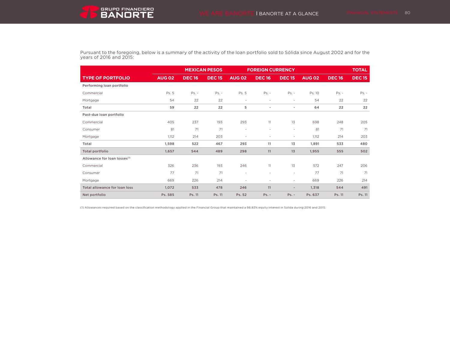Pursuant to the foregoing, below is a summary of the activity of the loan portfolio sold to Sólida since August 2002 and for the years of 2016 and 2015:

|                                          |               |              | <b>MEXICAN PESOS</b> | <b>FOREIGN CURRENCY</b>  |                          |                              |               |              | <b>TOTAL</b>  |
|------------------------------------------|---------------|--------------|----------------------|--------------------------|--------------------------|------------------------------|---------------|--------------|---------------|
| <b>TYPE OF PORTFOLIO</b>                 | <b>AUG 02</b> | <b>DEC16</b> | <b>DEC15</b>         | <b>AUG 02</b>            | <b>DEC16</b>             | <b>DEC15</b>                 | <b>AUG 02</b> | <b>DEC16</b> | <b>DEC 15</b> |
| Performing loan portfolio                |               |              |                      |                          |                          |                              |               |              |               |
| Commercial                               | Ps. 5         | $Ps. -$      | $Ps. -$              | Ps. 5                    | $Ps. -$                  | $Ps. -$                      | Ps. 10        | $Ps. -$      | $Ps. -$       |
| Mortgage                                 | 54            | 22           | 22                   | $\blacksquare$           | ٠                        | $\overline{\phantom{a}}$     | 54            | 22           | 22            |
| Total                                    | 59            | 22           | 22                   | 5                        | ٠                        | $\overline{\phantom{a}}$     | 64            | 22           | 22            |
| Past-due loan portfolio                  |               |              |                      |                          |                          |                              |               |              |               |
| Commercial                               | 405           | 237          | 193                  | 293                      | 11                       | 13                           | 698           | 248          | 205           |
| Consumer                                 | 81            | 71           | 71                   | $\overline{\phantom{a}}$ | $\sim$                   | ٠                            | 81            | 71           | 71            |
| Mortgage                                 | 1,112         | 214          | 203                  | $\blacksquare$           | $\sim$                   | ٠                            | 1,112         | 214          | 203           |
| Total                                    | 1,598         | 522          | 467                  | 293                      | 11                       | 13                           | 1.891         | 533          | 480           |
| <b>Total portfolio</b>                   | 1,657         | 544          | 489                  | 298                      | 11                       | 13                           | 1,955         | 555          | 502           |
| Allowance for loan losses <sup>(1)</sup> |               |              |                      |                          |                          |                              |               |              |               |
| Commercial                               | 326           | 236          | 193                  | 246                      | 11                       | 13                           | 572           | 247          | 206           |
| Consumer                                 | 77            | 71           | 71                   | $\overline{\phantom{a}}$ | $\sim$                   | $\overline{\phantom{a}}$     | 77            | 71           | 71            |
| Mortgage                                 | 669           | 226          | 214                  | $\overline{\phantom{a}}$ | $\overline{\phantom{a}}$ | ٠                            | 669           | 226          | 214           |
| <b>Total allowance for loan loss</b>     | 1.072         | 533          | 478                  | 246                      | 11                       | $\qquad \qquad \blacksquare$ | 1.318         | 544          | 491           |
| Net portfolio                            | Ps. 585       | Ps. 11       | Ps. 11               | Ps. 52                   | $Ps. -$                  | $Ps. -$                      | Ps. 637       | Ps. 11       | Ps. 11        |

(1) Allowances required based on the classification methodology applied in the Financial Group that maintained a 98.83% equity interest in Sólida during 2016 and 2015.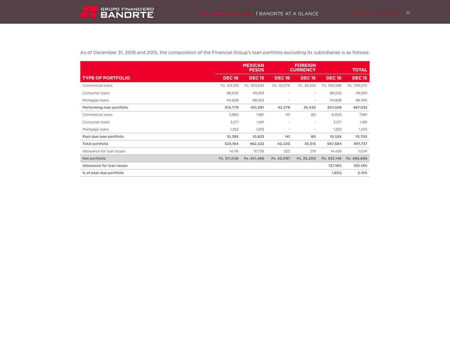

As of December 31, 2016 and 2015, the composition of the Financial Group's loan portfolio excluding its subsidiaries is as follows:

|                           |              | <b>MEXICAN</b><br><b>PESOS</b> |                          | <b>FOREIGN</b><br><b>CURRENCY</b> |              | <b>TOTAL</b>  |
|---------------------------|--------------|--------------------------------|--------------------------|-----------------------------------|--------------|---------------|
| <b>TYPE OF PORTFOLIO</b>  | <b>DEC16</b> | <b>DEC15</b>                   | <b>DEC16</b>             | <b>DEC15</b>                      | <b>DEC16</b> | <b>DEC 15</b> |
| Commercial loans          | Ps. 313,319  | Ps. 303,835                    | Ps. 42,279               | Ps. 35,435                        | Ps. 355,598  | Ps. 339,270   |
| Consumer loans            | 86,632       | 49,269                         | $\overline{\phantom{a}}$ | $\overline{\phantom{a}}$          | 86,632       | 49,269        |
| Mortgage loans            | 114,828      | 98,493                         | $\blacksquare$           | $\overline{\phantom{a}}$          | 114,828      | 98,493        |
| Performing loan portfolio | 514,779      | 451,597                        | 42,279                   | 35,435                            | 557,058      | 487,032       |
| Commercial loans          | 5,862        | 7,881                          | 141                      | 80                                | 6,003        | 7,961         |
| Consumer loans            | 3,271        | 1,491                          | $\overline{\phantom{a}}$ | $\overline{\phantom{a}}$          | 3,271        | 1,491         |
| Mortgage loans            | 1,252        | 1,253                          | $\overline{\phantom{a}}$ | $\overline{\phantom{a}}$          | 1,252        | 1,253         |
| Past-due loan portfolio   | 10,385       | 10,625                         | 141                      | 80                                | 10,526       | 10,705        |
| Total portfolio           | 525,164      | 462,222                        | 42,220                   | 35,515                            | 567,584      | 497,737       |
| Allowance for loan losses | 14,116       | 10,726                         | 323                      | 315                               | 14,439       | 11,041        |
| Net portfolio             | Ps. 511,048  | Ps. 451.496                    | Ps. 42,097               | Ps. 35,200                        | Ps. 553,146  | Ps. 486,696   |
| Allowance for loan losses |              |                                |                          |                                   | 137.18%      | 103.14%       |
| % of past-due portfolio   |              |                                |                          |                                   | 1.85%        | 2.15%         |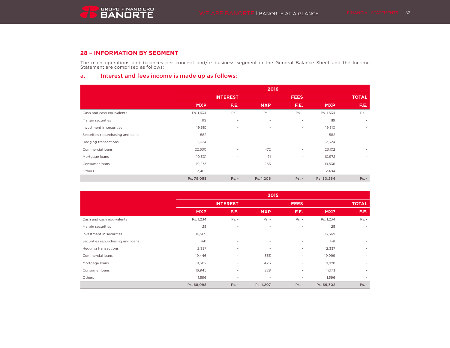## **28 – INFORMATION BY SEGMENT**

The main operations and balances per concept and/or business segment in the General Balance Sheet and the Income Statement are comprised as follows:

## a. Interest and fees income is made up as follows:

|                                   | 2016       |                          |            |                          |             |         |  |  |
|-----------------------------------|------------|--------------------------|------------|--------------------------|-------------|---------|--|--|
|                                   |            | <b>INTEREST</b>          |            |                          | <b>FEES</b> |         |  |  |
|                                   | <b>MXP</b> | F.E.                     | <b>MXP</b> | F.E.                     | <b>MXP</b>  | F.E.    |  |  |
| Cash and cash equivalents         | Ps. 1,634  | $Ps. -$                  | $Ps. -$    | $Ps. -$                  | Ps. 1,634   | $Ps. -$ |  |  |
| Margin securities                 | 119        | $\sim$                   | $\sim$     | $\sim$                   | 119         | $\sim$  |  |  |
| Investment in securities          | 19,510     | $\sim$                   | $\sim$     | $\sim$                   | 19,510      | $\sim$  |  |  |
| Securities repurchasing and loans | 582        | $\sim$                   | $\sim$     | $\overline{\phantom{a}}$ | 582         | $\sim$  |  |  |
| Hedging transactions              | 2,324      | $\sim$                   | ٠          | $\overline{\phantom{a}}$ | 2,324       | $\sim$  |  |  |
| Commercial loans                  | 22,630     | $\overline{\phantom{a}}$ | 472        | $\overline{\phantom{a}}$ | 23,102      | $\sim$  |  |  |
| Mortgage loans                    | 10,501     | $\sim$                   | 471        | $\overline{\phantom{a}}$ | 10,972      | $\sim$  |  |  |
| Consumer loans                    | 19,273     | $\sim$                   | 263        | $\overline{\phantom{a}}$ | 19,536      | $\sim$  |  |  |
| Others                            | 2,485      | $\sim$                   | $\sim$     | $\overline{\phantom{a}}$ | 2,484       | $\sim$  |  |  |
|                                   | Ps. 79,058 | $Ps. -$                  | Ps. 1,206  | $Ps. -$                  | Ps. 80,264  | $Ps. -$ |  |  |

|                                   | 2015       |                 |            |                          |              |         |  |
|-----------------------------------|------------|-----------------|------------|--------------------------|--------------|---------|--|
|                                   |            | <b>INTEREST</b> |            | <b>FEES</b>              | <b>TOTAL</b> |         |  |
|                                   | <b>MXP</b> | F.E.            | <b>MXP</b> | F.E.                     | <b>MXP</b>   | F.E.    |  |
| Cash and cash equivalents         | Ps. 1,234  | $Ps. -$         | $Ps. -$    | $Ps. -$                  | Ps. 1,234    | $Ps. -$ |  |
| Margin securities                 | 25         | $\sim$          | ٠          | $\overline{\phantom{a}}$ | 25           | $\sim$  |  |
| Investment in securities          | 16,569     | $\sim$          | $\sim$     | $\sim$                   | 16,569       | $\sim$  |  |
| Securities repurchasing and loans | 441        | $\sim$          | $\sim$     | $\overline{\phantom{a}}$ | 441          | $\sim$  |  |
| Hedging transactions              | 2,337      | $\sim$          | $\sim$     | $\overline{\phantom{a}}$ | 2,337        | $\sim$  |  |
| Commercial loans                  | 19,446     | $\sim$          | 553        | $\overline{\phantom{a}}$ | 19,999       | $\sim$  |  |
| Mortgage loans                    | 9,502      | $\sim$          | 426        | $\overline{\phantom{a}}$ | 9,928        | $\sim$  |  |
| Consumer loans                    | 16,945     | $\sim$          | 228        | $\overline{\phantom{a}}$ | 17,173       | $\sim$  |  |
| Others                            | 1,596      | $\sim$          | $\sim$     | $\overline{\phantom{a}}$ | 1,596        | $\sim$  |  |
|                                   | Ps. 68,098 | $Ps. -$         | Ps. 1,207  | $Ps. -$                  | Ps. 69,302   | $Ps. -$ |  |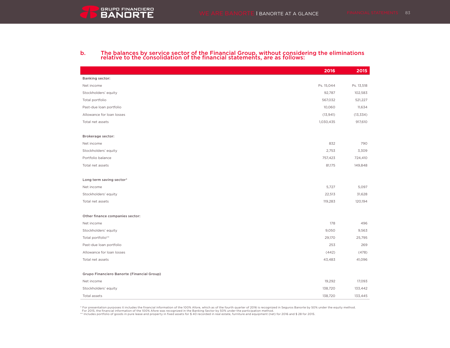# b. The balances by service sector of the Financial Group, without considering the eliminations relative to the consolidation of the financial statements, are as follows:

|                                            | 2016       | 2015       |
|--------------------------------------------|------------|------------|
| <b>Banking sector:</b>                     |            |            |
| Net income                                 | Ps. 15,044 | Ps. 13,518 |
| Stockholders' equity                       | 92,787     | 102,583    |
| Total portfolio                            | 567,032    | 521,227    |
| Past-due loan portfolio                    | 10,060     | 11,634     |
| Allowance for loan losses                  | (13, 941)  | (13, 334)  |
| Total net assets                           | 1,030,435  | 917,610    |
|                                            |            |            |
| Brokerage sector:                          |            |            |
| Net income                                 | 832        | 790        |
| Stockholders' equity                       | 2,753      | 3,309      |
| Portfolio balance                          | 757,423    | 724,410    |
| Total net assets                           | 81,175     | 149,848    |
|                                            |            |            |
| Long term saving sector*                   |            |            |
| Net income                                 | 5,727      | 5,097      |
| Stockholders' equity                       | 22,513     | 31,628     |
| Total net assets                           | 119,283    | 120,194    |
|                                            |            |            |
| Other finance companies sector:            |            |            |
| Net income                                 | 178        | 496        |
| Stockholders' equity                       | 9,050      | 9,563      |
| Total portfolio**                          | 29,170     | 25,795     |
| Past-due loan portfolio                    | 253        | 269        |
| Allowance for loan losses                  | (442)      | (478)      |
| Total net assets                           | 43,483     | 41,096     |
|                                            |            |            |
| Grupo Financiero Banorte (Financial Group) |            |            |
| Net income                                 | 19,292     | 17,093     |
| Stockholders' equity                       | 138,720    | 133,442    |
| Total assets                               | 138,720    | 133,445    |

\* For presentation purposes it includes the financial information of the 100% Afore, which as of the fourth quarter of 2016 is recognized in Seguros Banorte by 50% under the equity method.

For 2015, the financial information of the 100% Afore was recognized in the Banking Sector by 50% under the participation method.<br>\*\* Includes portfolio of goods in pure lease and property in fixed assets for \$ 40 recorded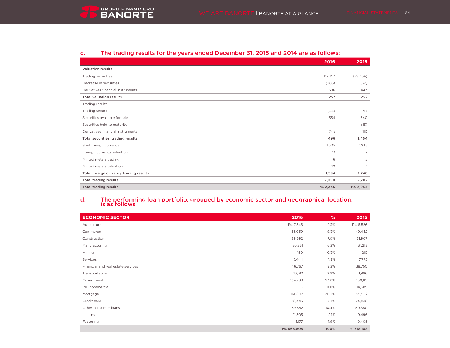## c. The trading results for the years ended December 31, 2015 and 2014 are as follows:

|                                        | 2016            | 2015           |
|----------------------------------------|-----------------|----------------|
| <b>Valuation results</b>               |                 |                |
| Trading securities                     | Ps. 157         | (Ps. 154)      |
| Decrease in securities                 | (286)           | (37)           |
| Derivatives financial instruments      | 386             | 443            |
| <b>Total valuation results</b>         | 257             | 252            |
| Trading results                        |                 |                |
| Trading securities                     | (44)            | 717            |
| Securities available for sale          | 554             | 640            |
| Securities held to maturity            | ٠               | (13)           |
| Derivatives financial instruments      | (14)            | 110            |
| Total securities' trading results      | 496             | 1,454          |
| Spot foreign currency                  | 1,505           | 1,235          |
| Foreign currency valuation             | 73              | $\overline{7}$ |
| Minted metals trading                  | 6               | 5              |
| Minted metals valuation                | 10 <sup>°</sup> |                |
| Total foreign currency trading results | 1,594           | 1,248          |
| <b>Total trading results</b>           | 2,090           | 2,702          |
| <b>Total trading results</b>           | Ps. 2,346       | Ps. 2,954      |

## d. The performing loan portfolio, grouped by economic sector and geographical location, is as follows

| <b>ECONOMIC SECTOR</b>             | 2016        | %     | 2015        |
|------------------------------------|-------------|-------|-------------|
| Agriculture                        | Ps. 7,546   | 1.3%  | Ps. 6,526   |
| Commerce                           | 53,059      | 9.3%  | 49,442      |
| Construction                       | 39,692      | 7.0%  | 31,907      |
| Manufacturing                      | 35,351      | 6.2%  | 31,213      |
| Mining                             | 150         | 0.3%  | 210         |
| Services                           | 7,444       | 1.3%  | 7,775       |
| Financial and real estate services | 46,767      | 8.2%  | 38,750      |
| Transportation                     | 16,182      | 2.9%  | 11,986      |
| Government                         | 134,798     | 23.8% | 130,119     |
| INB commercial                     | ٠           | 0.0%  | 14,689      |
| Mortgage                           | 114,807     | 20.2% | 99,952      |
| Credit card                        | 28,445      | 5.1%  | 25,838      |
| Other consumer loans               | 59,882      | 10.4% | 50,880      |
| Leasing                            | 11,505      | 2.1%  | 9,496       |
| Factoring                          | 11,177      | 1.9%  | 9,405       |
|                                    | Ps. 566,805 | 100%  | Ps. 518,188 |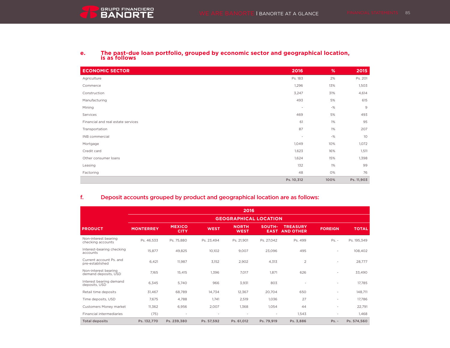

|  | The past-due loan portfolio, grouped by economic sector and geographical location,<br>is as follows |
|--|-----------------------------------------------------------------------------------------------------|
|--|-----------------------------------------------------------------------------------------------------|

| <b>ECONOMIC SECTOR</b>             | 2016                     | %     | 2015            |
|------------------------------------|--------------------------|-------|-----------------|
| Agriculture                        | Ps. 183                  | 2%    | Ps. 201         |
| Commerce                           | 1,296                    | 13%   | 1,503           |
| Construction                       | 3,247                    | 31%   | 4,614           |
| Manufacturing                      | 493                      | 5%    | 615             |
| Mining                             | $\overline{\phantom{a}}$ | $-$ % | $\mathsf g$     |
| Services                           | 469                      | 5%    | 493             |
| Financial and real estate services | 61                       | $1\%$ | 95              |
| Transportation                     | 87                       | 1%    | 207             |
| INB commercial                     | ٠                        | $-$ % | 10 <sup>°</sup> |
| Mortgage                           | 1,049                    | 10%   | 1,072           |
| Credit card                        | 1,623                    | 16%   | 1,511           |
| Other consumer loans               | 1,624                    | 15%   | 1,398           |
| Leasing                            | 132                      | 1%    | 99              |
| Factoring                          | 48                       | 0%    | 76              |
|                                    | Ps. 10,312               | 100%  | Ps. 11,903      |

## f. Deposit accounts grouped by product and geographical location are as follows:

|                                              |                  |                              |                | 2016                         |                          |                                     |                |              |
|----------------------------------------------|------------------|------------------------------|----------------|------------------------------|--------------------------|-------------------------------------|----------------|--------------|
|                                              |                  |                              |                | <b>GEOGRAPHICAL LOCATION</b> |                          |                                     |                |              |
| <b>PRODUCT</b>                               | <b>MONTERREY</b> | <b>MEXICO</b><br><b>CITY</b> | <b>WEST</b>    | <b>NORTH</b><br><b>WEST</b>  | SOUTH-<br><b>EAST</b>    | <b>TREASURY</b><br><b>AND OTHER</b> | <b>FOREIGN</b> | <b>TOTAL</b> |
| Non-interest bearing<br>checking accounts    | Ps. 46.533       | Ps. 75,880                   | Ps. 23,494     | Ps. 21,901                   | Ps. 27,042               | Ps. 499                             | $Ps. -$        | Ps. 195,349  |
| Interest-bearing checking<br>accounts        | 15,877           | 49,825                       | 10,102         | 9,007                        | 23,096                   | 495                                 | $\blacksquare$ | 108,402      |
| Current account Ps. and<br>pre-established   | 6,421            | 11,987                       | 3,152          | 2,902                        | 4,313                    | $\overline{2}$                      | $\blacksquare$ | 28,777       |
| Non-interest bearing<br>demand deposits, USD | 7,165            | 15,415                       | 1,396          | 7,017                        | 1,871                    | 626                                 | $\blacksquare$ | 33,490       |
| Interest bearing demand<br>deposits, USD     | 6,345            | 5.740                        | 966            | 3,931                        | 803                      | $\blacksquare$                      | $\blacksquare$ | 17.785       |
| Retail time deposits                         | 31.467           | 68.789                       | 14.734         | 12.367                       | 20.704                   | 650                                 | ٠              | 148.711      |
| Time deposits, USD                           | 7.675            | 4.788                        | 1.741          | 2,519                        | 1,036                    | 27                                  | ٠              | 17,786       |
| Customers Money market                       | 11,362           | 6,956                        | 2,007          | 1,368                        | 1,054                    | 44                                  | $\sim$         | 22,791       |
| <b>Financial intermediaries</b>              | (75)             | $\overline{\phantom{a}}$     | $\blacksquare$ | $\overline{\phantom{a}}$     | $\overline{\phantom{a}}$ | 1,543                               | ٠              | 1,468        |
| <b>Total deposits</b>                        | Ps. 132,770      | Ps. 239.380                  | Ps. 57,592     | Ps. 61.012                   | Ps. 79,919               | Ps. 3,886                           | $Ps. -$        | Ps. 574,560  |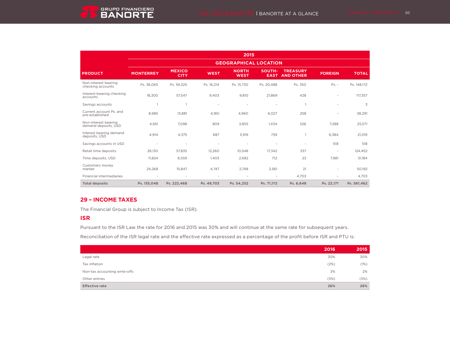

|                                              |                              |                              |             | 2015                        |                              |                                     |                          |              |
|----------------------------------------------|------------------------------|------------------------------|-------------|-----------------------------|------------------------------|-------------------------------------|--------------------------|--------------|
|                                              | <b>GEOGRAPHICAL LOCATION</b> |                              |             |                             |                              |                                     |                          |              |
| <b>PRODUCT</b>                               | <b>MONTERREY</b>             | <b>MEXICO</b><br><b>CITY</b> | <b>WEST</b> | <b>NORTH</b><br><b>WEST</b> | <b>SOUTH-</b><br><b>EAST</b> | <b>TREASURY</b><br><b>AND OTHER</b> | <b>FOREIGN</b>           | <b>TOTAL</b> |
| Non-interest bearing<br>checking accounts    | Ps. 36,065                   | Ps. 59,325                   | Ps. 16,214  | Ps. 15,730                  | Ps. 20,488                   | Ps. 350                             | $Ps. -$                  | Ps. 148,172  |
| Interest-bearing checking<br>accounts        | 18,300                       | 57,547                       | 9,403       | 9,810                       | 21,869                       | 428                                 | $\overline{\phantom{a}}$ | 117,357      |
| Savings accounts                             |                              |                              |             |                             | ٠                            |                                     | $\blacksquare$           | 3            |
| Current account Ps. and<br>pre-established   | 8,985                        | 13,881                       | 4,180       | 4,960                       | 6,027                        | 258                                 | $\overline{\phantom{a}}$ | 38,291       |
| Non-interest bearing<br>demand deposits, USD | 4,561                        | 7,098                        | 809         | 3,855                       | 1,434                        | 526                                 | 7,288                    | 25,571       |
| Interest bearing demand<br>deposits, USD     | 4,914                        | 4.375                        | 687         | 3,919                       | 739                          |                                     | 6,384                    | 21,019       |
| Savings accounts in USD                      | ٠                            | ٠                            | ٠           |                             | $\overline{\phantom{a}}$     | ٠                                   | 518                      | 518          |
| Retail time deposits                         | 26,130                       | 57,835                       | 12,260      | 10,548                      | 17,342                       | 337                                 | $\overline{\phantom{a}}$ | 124,452      |
| Time deposits, USD                           | 11,824                       | 6,559                        | 1,403       | 2,682                       | 712                          | 23                                  | 7,981                    | 31,184       |
| Customers money<br>market                    | 24,268                       | 15,847                       | 4,747       | 2,748                       | 2,561                        | 21                                  | $\overline{\phantom{a}}$ | 50,192       |
| <b>Financial intermediaries</b>              |                              |                              |             |                             | $\overline{\phantom{a}}$     | 4.703                               |                          | 4,703        |
| <b>Total deposits</b>                        | Ps. 135,048                  | Ps. 222,468                  | Ps. 49,703  | Ps. 54,252                  | Ps. 71,172                   | Ps. 6,648                           | Ps. 22,171               | Ps. 561,462  |

## **29 – INCOME TAXES**

The Financial Group is subject to Income Tax (ISR).

## **ISR**

Pursuant to the ISR Law the rate for 2016 and 2015 was 30% and will continue at the same rate for subsequent years.

Reconciliation of the ISR legal rate and the effective rate expressed as a percentage of the profit before ISR and PTU is:

|                               | 2016 | 2015 |
|-------------------------------|------|------|
| Legal rate                    | 30%  | 30%  |
| Tax inflation                 | (2%) | (1%) |
| Non-tax accounting write-offs | 3%   | 2%   |
| Other entries                 | (5%) | (5%) |
| <b>Effective rate</b>         | 26%  | 26%  |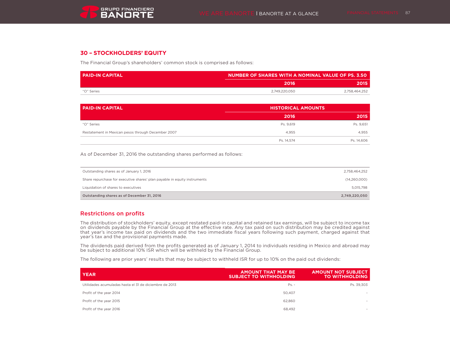## **30 – STOCKHOLDERS' EQUITY**

The Financial Group's shareholders' common stock is comprised as follows:

| I PAID-IN CAPITAL | NUMBER OF SHARES WITH A NOMINAL VALUE OF PS. 3.50 |               |  |
|-------------------|---------------------------------------------------|---------------|--|
|                   | 2016                                              | 2015          |  |
| "O" Series        | 2.749.220.050                                     | 2.758.464.252 |  |

| <b>PAID-IN CAPITAL</b>                             | <b>HISTORICAL AMOUNTS</b> |            |  |
|----------------------------------------------------|---------------------------|------------|--|
|                                                    | 2016                      | 2015       |  |
| "O" Series                                         | Ps. 9.619                 | Ps. 9,651  |  |
| Restatement in Mexican pesos through December 2007 | 4,955                     | 4.955      |  |
|                                                    | Ps. 14.574                | Ps. 14.606 |  |

As of December 31, 2016 the outstanding shares performed as follows:

| Outstanding shares as of December 31, 2016                                | 2,749,220,050 |
|---------------------------------------------------------------------------|---------------|
| Liquidation of shares to executives                                       | 5.015.798     |
| Share repurchase for executive shares' plan payable in equity instruments | (14.260.000)  |
| Outstanding shares as of January 1, 2016                                  | 2.758.464.252 |

## Restrictions on profits

The distribution of stockholders' equity, except restated paid-in capital and retained tax earnings, will be subject to income tax on dividends payable by the Financial Group at the effective rate. Any tax paid on such distribution may be credited against that year's income tax paid on dividends and the two immediate fiscal years following such payment, charged against that year's tax and the provisional payments made.

The dividends paid derived from the profits generated as of January 1, 2014 to individuals residing in Mexico and abroad may be subject to additional 10% ISR which will be withheld by the Financial Group.

The following are prior years' results that may be subject to withheld ISR for up to 10% on the paid out dividends:

| <b>YEAR</b>                                            | <b>AMOUNT THAT MAY BE</b><br><b>SUBJECT TO WITHHOLDING</b> | <b>AMOUNT NOT SUBJECT</b><br><b>TO WITHHOLDING</b> |
|--------------------------------------------------------|------------------------------------------------------------|----------------------------------------------------|
| Utilidades acumuladas hasta el 31 de diciembre de 2013 | $Ps. -$                                                    | Ps. 39.303                                         |
| Profit of the year 2014                                | 50.407                                                     |                                                    |
| Profit of the year 2015                                | 62,860                                                     |                                                    |
| Profit of the year 2016                                | 68.492                                                     | $\sim$                                             |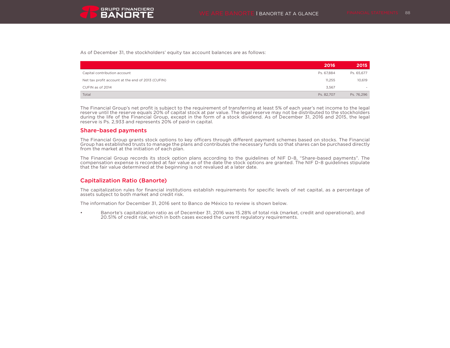As of December 31, the stockholders' equity tax account balances are as follows:

|                                                   | 2016       | 2015       |
|---------------------------------------------------|------------|------------|
| Capital contribution account                      | Ps. 67.884 | Ps. 65,677 |
| Net tax profit account at the end of 2013 (CUFIN) | 11,255     | 10,619     |
| CUFIN as of 2014                                  | 3.567      | $\sim$     |
| Total                                             | Ps. 82.707 | Ps. 76,296 |

The Financial Group's net profit is subject to the requirement of transferring at least 5% of each year's net income to the legal reserve until the reserve equals 20% of capital stock at par value. The legal reserve may not be distributed to the stockholders during the life of the Financial Group, except in the form of a stock dividend. As of December 31, 2016 and 2015, the legal reserve is Ps. 2,933 and represents 20% of paid-in capital.

### Share-based payments

The Financial Group grants stock options to key officers through different payment schemes based on stocks. The Financial Group has established trusts to manage the plans and contributes the necessary funds so that shares can be purchased directly from the market at the initiation of each plan.

The Financial Group records its stock option plans according to the guidelines of NIF D-8, "Share-based payments". The compensation expense is recorded at fair value as of the date the stock options are granted. The NIF D-8 guidelines stipulate that the fair value determined at the beginning is not revalued at a later date.

## Capitalization Ratio (Banorte)

The capitalization rules for financial institutions establish requirements for specific levels of net capital, as a percentage of assets subject to both market and credit risk.

The information for December 31, 2016 sent to Banco de México to review is shown below.

• Banorte's capitalization ratio as of December 31, 2016 was 15.28% of total risk (market, credit and operational), and 20.51% of credit risk, which in both cases exceed the current regulatory requirements.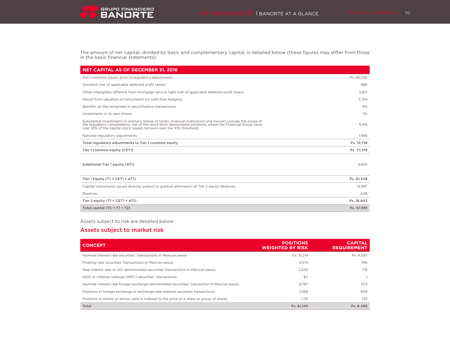The amount of net capital, divided by basic and complementary capital, is detailed below (these figures may differ from those in the basic financial statements):

| <b>NET CAPITAL AS OF DECEMBER 31, 2016</b>                                                                                                                                                                                                                                                        |            |
|---------------------------------------------------------------------------------------------------------------------------------------------------------------------------------------------------------------------------------------------------------------------------------------------------|------------|
| Tier 1 common equity prior to regulatory adjustments.                                                                                                                                                                                                                                             | Ps. 90,236 |
| Goodwill (net of applicable deferred profit taxes)                                                                                                                                                                                                                                                | 986        |
| Other intangibles different from mortgage service right (net of applicable deferred profit taxes)                                                                                                                                                                                                 | 5.851      |
| Result from valuation of instruments for cash flow hedging                                                                                                                                                                                                                                        | 2,754      |
| Benefits on the remainder in securitization transactions                                                                                                                                                                                                                                          | 155        |
| Investments in its own shares                                                                                                                                                                                                                                                                     | 110        |
| Substantial investments in ordinary shares of banks, financial institutions and insurers outside the scope of<br>the regulatory consolidation, net of the short-term demandable positions, where the Financial Group owns<br>over 10% of the capital stock issued (amount over the 10% threshold) | 5,616      |
| National regulatory adjustments                                                                                                                                                                                                                                                                   | 1.985      |
| Total regulatory adjustments to Tier 1 common equity                                                                                                                                                                                                                                              | Ps. 12,718 |
| Tier 1 common equity (CET1)                                                                                                                                                                                                                                                                       | Ps. 77.518 |
| Additional Tier 1 equity (AT1)                                                                                                                                                                                                                                                                    | 3.830      |
| Tier 1 Equity (T1 = $CET1 + AT1$ )                                                                                                                                                                                                                                                                | Ps. 81,348 |
| Capital instruments issued directly, subject to gradual elimination of Tier 2 equity Reserves                                                                                                                                                                                                     | 15,997     |
| Reserves                                                                                                                                                                                                                                                                                          | 646        |
| Tier 2 equity (T1 = $CET1 + AT1$ )                                                                                                                                                                                                                                                                | Ps. 16,643 |
| Total capital $(TC = T1 + T2)$                                                                                                                                                                                                                                                                    | Ps. 97,991 |

## Assets subject to risk are detailed below:

GRUPO FINANCIERO

## Assets subject to market risk

| <b>CONCEPT</b>                                                                              | <b>POSITIONS</b><br><b>WEIGHTED BY RISK</b> | <b>CAPITAL</b><br><b>REQUIREMENT</b> |
|---------------------------------------------------------------------------------------------|---------------------------------------------|--------------------------------------|
| Nominal interest rate securities' transactions in Mexican pesos                             | Ps. 51,214                                  | Ps. 4.097                            |
| Floating rate securities' transactions in Mexican pesos                                     | 9,575                                       | 766                                  |
| Real interest rate or UDI denominated securities' transactions in Mexican pesos             | 2.230                                       | 178                                  |
| UDIS or inflation indexed (INPC) securities' transactions                                   | \$0                                         |                                      |
| Nominal interest rate foreign exchange denominated securities' transaction in Mexican pesos | 8.787                                       | 703                                  |
| Positions in foreign exchange or exchange rate indexed securities transactions.             | 7.598                                       | 608                                  |
| Positions in shares or whose yield is indexed to the price of a share or group of shares    | 1.741                                       | 139                                  |
| Total                                                                                       | Ps. 81.145                                  | Ps. 6.492                            |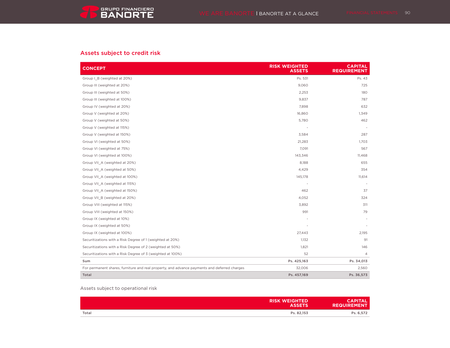## Assets subject to credit risk

| <b>CONCEPT</b>                                                                               | <b>RISK WEIGHTED</b><br><b>ASSETS</b> | <b>CAPITAL</b><br><b>REQUIREMENT</b> |
|----------------------------------------------------------------------------------------------|---------------------------------------|--------------------------------------|
| Group I B (weighted at 20%)                                                                  | Ps. 531                               | Ps. 43                               |
| Group III (weighted at 20%)                                                                  | 9,060                                 | 725                                  |
| Group III (weighted at 50%)                                                                  | 2,253                                 | 180                                  |
| Group III (weighted at 100%)                                                                 | 9,837                                 | 787                                  |
| Group IV (weighted at 20%)                                                                   | 7,898                                 | 632                                  |
| Group V (weighted at 20%)                                                                    | 16,860                                | 1,349                                |
| Group V (weighted at 50%)                                                                    | 5,780                                 | 462                                  |
| Group V (weighted at 115%)                                                                   |                                       |                                      |
| Group V (weighted at 150%)                                                                   | 3,584                                 | 287                                  |
| Group VI (weighted at 50%)                                                                   | 21,283                                | 1,703                                |
| Group VI (weighted at 75%)                                                                   | 7,091                                 | 567                                  |
| Group VI (weighted at 100%)                                                                  | 143,346                               | 11,468                               |
| Group VII_A (weighted at 20%)                                                                | 8,188                                 | 655                                  |
| Group VII A (weighted at 50%)                                                                | 4,429                                 | 354                                  |
| Group VII_A (weighted at 100%)                                                               | 145,178                               | 11,614                               |
| Group VII_A (weighted at 115%)                                                               |                                       |                                      |
| Group VII_A (weighted at 150%)                                                               | 462                                   | 37                                   |
| Group VII_B (weighted at 20%)                                                                | 4,052                                 | 324                                  |
| Group VIII (weighted at 115%)                                                                | 3,892                                 | 311                                  |
| Group VIII (weighted at 150%)                                                                | 991                                   | 79                                   |
| Group IX (weighted at 10%)                                                                   |                                       |                                      |
| Group IX (weighted at 50%)                                                                   |                                       |                                      |
| Group IX (weighted at 100%)                                                                  | 27,443                                | 2,195                                |
| Securitizations with a Risk Degree of 1 (weighted at 20%)                                    | 1,132                                 | 91                                   |
| Securitizations with a Risk Degree of 2 (weighted at 50%)                                    | 1,821                                 | 146                                  |
| Securitizations with a Risk Degree of 3 (weighted at 100%)                                   | 52                                    | 4                                    |
| Sum                                                                                          | Ps. 425,163                           | Ps. 34,013                           |
| For permanent shares, furniture and real property, and advance payments and deferred charges | 32,006                                | 2,560                                |
| Total                                                                                        | Ps. 457,169                           | Ps. 36,573                           |

## Assets subject to operational risk

|       | <b>RISK WEIGHTED</b><br><b>ASSETS</b> | <b>CAPITAL</b><br><b>REQUIREMENT</b> |
|-------|---------------------------------------|--------------------------------------|
| Total | Ps. 82.153                            | Ps. 6,572                            |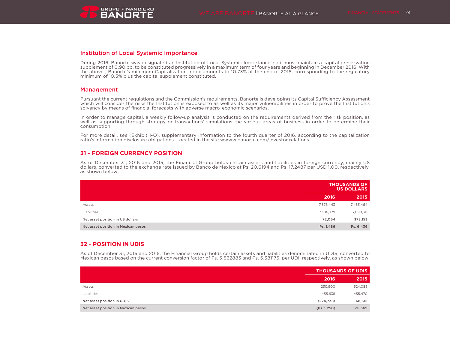## Institution of Local Systemic Importance

During 2016, Banorte was designated an Institution of Local Systemic Importance, so it must maintain a capital preservation supplement of 0.90 pp, to be constituted progressively in a maximum term of four years and beginning in December 2016. With the above , Banorte's minimum Capitalization Index amounts to 10.73% at the end of 2016, corresponding to the regulatory minimum of 10.5% plus the capital supplement constituted.

### Management

Pursuant the current regulations and the Commission's requirements, Banorte is developing its Capital Sufficiency Assessment which will consider the risks the Institution is exposed to as well as its major vulnerabilities in order to prove the Institution's solvency by means of financial forecasts with adverse macro-economic scenarios.

In order to manage capital, a weekly follow-up analysis is conducted on the requirements derived from the risk position, as well as supporting through strategy or transactions' simulations the various areas of business in order to determine their consumption.

For more detail, see (Exhibit 1-O), supplementary information to the fourth quarter of 2016, according to the capitalization ratio's information disclosure obligations. Located in the site wwww.banorte.com/investor relations.

## **31 – FOREIGN CURRENCY POSITION**

As of December 31, 2016 and 2015, the Financial Group holds certain assets and liabilities in foreign currency, mainly US dollars, converted to the exchange rate issued by Banco de México at Ps. 20.6194 and Ps. 17.2487 per USD 1.00, respectively, as shown below:

|                                     | <b>THOUSANDS OF</b><br><b>US DOLLARS</b> |           |
|-------------------------------------|------------------------------------------|-----------|
|                                     | 2016                                     | 2015      |
| Assets                              | 7,378,443                                | 7,463,464 |
| Liabilities                         | 7,306,379                                | 7,090,311 |
| Net asset position in US dollars    | 72,064                                   | 373,153   |
| Net asset position in Mexican pesos | Ps. 1,486                                | Ps. 6,436 |

## **32 – POSITION IN UDIS**

As of December 31, 2016 and 2015, the Financial Group holds certain assets and liabilities denominated in UDIS, converted to Mexican pesos based on the current conversion factor of Ps. 5.562883 and Ps. 5.381175, per UDI, respectively, as shown below:

|                                     | <b>THOUSANDS OF UDIS</b> |         |
|-------------------------------------|--------------------------|---------|
|                                     | 2016                     | 2015    |
| Assets                              | 230,900                  | 524,085 |
| Liabilities                         | 455,638                  | 455,470 |
| Net asset position in UDIS          | (224, 738)               | 68,615  |
| Net asset position in Mexican pesos | (Ps. 1, 250)             | Ps. 369 |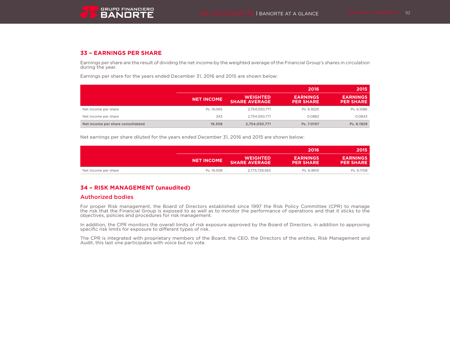## **33 – EARNINGS PER SHARE**

Earnings per share are the result of dividing the net income by the weighted average of the Financial Group's shares in circulation during the year.

Earnings per share for the years ended December 31, 2016 and 2015 are shown below:

|                                   |                   |                                         | 2016                                | 2015                                |
|-----------------------------------|-------------------|-----------------------------------------|-------------------------------------|-------------------------------------|
|                                   | <b>NET INCOME</b> | <b>WEIGHTED</b><br><b>SHARE AVERAGE</b> | <b>EARNINGS</b><br><b>PER SHARE</b> | <b>EARNINGS</b><br><b>PER SHARE</b> |
| Net income per share              | Ps. 19.065        | 2.754.050.771                           | Ps. 6.9225                          | Ps. 6.1086                          |
| Net income per share              | 243               | 2,754,050,771                           | 0.0882                              | 0.0843                              |
| Net income per share consolidated | 19.308            | 2,754,050,771                           | Ps. 7.0107                          | Ps. 6.1929                          |

Net earnings per share diluted for the years ended December 31, 2016 and 2015 are shown below:

|                      |                   |                                         | .2016                               | 2015                                |
|----------------------|-------------------|-----------------------------------------|-------------------------------------|-------------------------------------|
|                      | <b>NET INCOME</b> | <b>WEIGHTED</b><br><b>SHARE AVERAGE</b> | <b>EARNINGS</b><br><b>PER SHARE</b> | <b>EARNINGS</b><br><b>PER SHARE</b> |
| Net income per share | Ps. 19.308        | 2,773,729,563                           | Ps. 6.9610                          | Ps. 6.1708                          |

## **34 – RISK MANAGEMENT (unaudited)**

## Authorized bodies

For proper Risk management, the Board of Directors established since 1997 the Risk Policy Committee (CPR) to manage the risk that the Financial Group is exposed to as well as to monitor the performance of operations and that it sticks to the objectives, policies and procedures for risk management.

In addition, the CPR monitors the overall limits of risk exposure approved by the Board of Directors, in addition to approving specific risk limits for exposure to different types of risk.

The CPR is integrated with proprietary members of the Board, the CEO, the Directors of the entities, Risk Management and Audit, this last one participates with voice but no vote.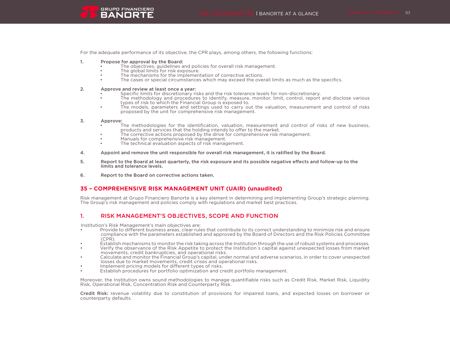

For the adequate performance of its objective, the CPR plays, among others, the following functions:

- 1. Propose for approval by the Board:
	- The objectives, guidelines and policies for overall risk management.
	- The global limits for risk exposure.
	- The mechanisms for the implementation of corrective actions.
	- The cases or special circumstances which may exceed the overall limits as much as the specifics.

#### 2. Approve and review at least once a year:

- Specific limits for discretionary risks and the risk tolerance levels for non-discretionary.
- The methodology and procedures to identify, measure, monitor, limit, control, report and disclose various types of risk to which the Financial Group is exposed to.
- The models, parameters and settings used to carry out the valuation, measurement and control of risks proposed by the unit for comprehensive risk management.

#### 3. Approve:

- The methodologies for the identification, valuation, measurement and control of risks of new business, products and services that the holding intends to offer to the market.
- The corrective actions proposed by the drive for comprehensive risk management.
- Manuals for comprehensive risk management.
- The technical evaluation aspects of risk management.
- 4. Appoint and remove the unit responsible for overall risk management, it is ratified by the Board.
- 5. Report to the Board at least quarterly, the risk exposure and its possible negative effects and follow-up to the limits and tolerance levels.
- 6. Report to the Board on corrective actions taken.

## **35 – COMPREHENSIVE RISK MANAGEMENT UNIT (UAIR) (unaudited)**

Risk management at Grupo Financiero Banorte is a key element in determining and implementing Group's strategic planning. The Group's risk management and policies comply with regulations and market best practices.

## 1. RISK MANAGEMENT'S OBJECTIVES, SCOPE AND FUNCTION

Institution's Risk Management's main objectives are:

- Provide to different business areas, clear rules that contribute to its correct understanding to minimize risk and ensure compliance with the parameters established and approved by the Board of Directors and the Risk Policies Committee (CPR).
- Establish mechanisms to monitor the risk taking across the Institution through the use of robust systems and processes.
- Verify the observance of the Risk Appetite to protect the Institution´s capital against unexpected losses from market movements, credit bankruptcies, and operational risks.
- Calculate and monitor the Financial Group's capital, under normal and adverse scenarios, in order to cover unexpected losses due to market movements, credit crises and operational risks.
- Implement pricing models for different types of risks.
- Establish procedures for portfolio optimization and credit portfolio management.

Moreover, the Institution owns sound methodologies to manage quantifiable risks such as Credit Risk, Market Risk, Liquidity Risk, Operational Risk, Concentration Risk and Counterparty Risk.

Credit Risk: revenue volatility due to constitution of provisions for impaired loans, and expected losses on borrower or counterparty defaults.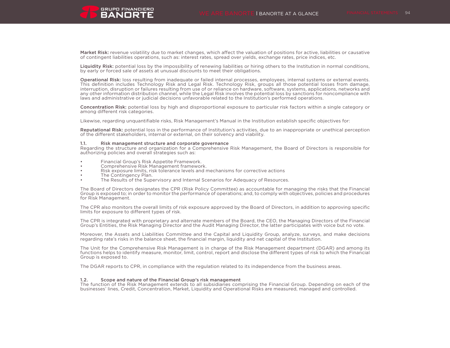Market Risk: revenue volatility due to market changes, which affect the valuation of positions for active, liabilities or causative of contingent liabilities operations, such as: interest rates, spread over yields, exchange rates, price indices, etc.

Liquidity Risk: potential loss by the impossibility of renewing liabilities or hiring others to the Institution in normal conditions. by early or forced sale of assets at unusual discounts to meet their obligations.

Operational Risk: loss resulting from inadequate or failed internal processes, employees, internal systems or external events. This definition includes Technology Risk and Legal Risk. Technology Risk, groups all those potential losses from damage, interruption, disruption or failures resulting from use of or reliance on hardware, software, systems, applications, networks and any other information distribution channel, while the Legal Risk involves the potential loss by sanctions for noncompliance with laws and administrative or judicial decisions unfavorable related to the Institution's performed operations.

Concentration Risk: potential loss by high and disproportional exposure to particular risk factors within a single category or among different risk categories.

Likewise, regarding unquantifiable risks, Risk Management's Manual in the Institution establish specific objectives for:

Reputational Risk: potential loss in the performance of Institution's activities, due to an inappropriate or unethical perception of the different stakeholders, internal or external, on their solvency and viability.

#### 1.1. Risk management structure and corporate governance

Regarding the structure and organization for a Comprehensive Risk Management, the Board of Directors is responsible for authorizing policies and overall strategies such as:

- Financial Group's Risk Appetite Framework.
- Comprehensive Risk Management framework.
- Risk exposure limits, risk tolerance levels and mechanisms for corrective actions
- The Contingency Plan.
- The Results of the Supervisory and Internal Scenarios for Adequacy of Resources.

The Board of Directors designates the CPR (Risk Policy Committee) as accountable for managing the risks that the Financial Group is exposed to; in order to monitor the performance of operations; and, to comply with objectives, policies and procedures for Risk Management.

The CPR also monitors the overall limits of risk exposure approved by the Board of Directors, in addition to approving specific limits for exposure to different types of risk.

The CPR is integrated with proprietary and alternate members of the Board, the CEO, the Managing Directors of the Financial Group's Entities, the Risk Managing Director and the Audit Managing Director, the latter participates with voice but no vote.

Moreover, the Assets and Liabilities Committee and the Capital and Liquidity Group, analyze, surveys, and make decisions regarding rate's risks in the balance sheet, the financial margin, liquidity and net capital of the Institution.

The Unit for the Comprehensive Risk Management is in charge of the Risk Management department (DGAR) and among its functions helps to identify measure, monitor, limit, control, report and disclose the different types of risk to which the Financial Group is exposed to.

The DGAR reports to CPR, in compliance with the regulation related to its independence from the business areas.

#### 1.2. Scope and nature of the Financial Group's risk management

The function of the Risk Management extends to all subsidiaries comprising the Financial Group. Depending on each of the businesses' lines, Credit, Concentration, Market, Liquidity and Operational Risks are measured, managed and controlled.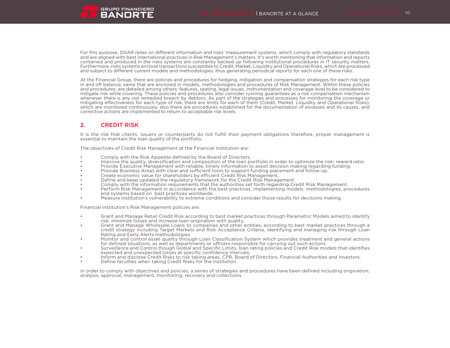For this purpose, DGAR relies on different information and risks' measurement systems, which comply with regulatory standards and are aligned with best international practices in Risk Management's matters. It's worth mentioning that information and reports contained and produced in the risks systems are constantly backed up following institutional procedures in IT security matters. Furthermore, risks systems enclose transactions susceptible to Credit, Market, Liquidity and Operational Risks, which are processed and subject to different current models and methodologies, thus generating periodical reports for each one of these risks.

At the Financial Group, there are policies and procedures for hedging, mitigation and compensation strategies for each risk type in and off balance, same that are enclosed in models, methodologies and procedures of Risk Management. Within these policies and procedures, are detailed among others: features, seating, legal issues, instrumentation and coverage level to be considered to mitigate risk while covering. These policies and procedures also consider running guarantees as a risk compensation mechanism whenever there is any not remedied breach by debtors. As part of the strategies and processes for monitoring the coverage or mitigating effectiveness for each type of risk, there are limits for each of them (Credit, Market, Liquidity and Operational Risks), which are monitored continuously, also there are procedures established for the documentation of excesses and its causes, and corrective actions are implemented to return to acceptable risk levels.

## 2. CREDIT RISK

It is the risk that clients, issuers or counterparts do not fulfill their payment obligations therefore, proper management is essential to maintain the loan quality of the portfolio.

The objectives of Credit Risk Management at the Financial Institution are:

- Comply with the Risk Appetite defined by the Board of Directors.
- Improve the quality, diversification and composition of the loan portfolio in order to optimize the risk- reward ratio
- Provide Executive Management with reliable, timely information to assist decision making regarding funding.
- Provide Business Areas with clear and sufficient tools to support funding placement and follow-up.
- Create economic value for shareholders by efficient Credit Risk Management.
- Define and keep updated the regulatory framework for the Credit Risk Management.
- Comply with the information requirements that the authorities set forth regarding Credit Risk Management.
- Perform Risk Management in accordance with the best practices, implementing models, methodologies, procedures and systems based on best practices worldwide.
- Measure institution's vulnerability to extreme conditions and consider those results for decisions making.

Financial Institution's Risk Management policies are:

- Grant and Manage Retail Credit Risk according to best market practices through Parametric Models aimed to identify risk, minimize losses and increase loan origination with quality.
- Grant and Manage Wholesale Loans to companies and other entities, according to best market practices through a credit strategy including Target Markets and Risk Acceptance Criteria, identifying and managing risk through Loan Rating and Early Alerts methodologies.
- Monitor and control asset quality through Loan Classification System which provides treatment and general actions for defined situations, as well as departments or officers responsible for carrying out such actions.
- Surveillance and Control though Global and Specific Limits, loan rating policies and Credit Risk models that identifies expected and unexpected losses at specific confidence intervals.
- Inform and disclose Credit Risks to risk taking areas, CPR, Board of Directors, Financial Authorities and Investors.
- Define faculties when taking Credit Risks for the institution.

In order to comply with objectives and policies, a series of strategies and procedures have been defined including origination, analysis, approval, management, monitoring, recovery and collections.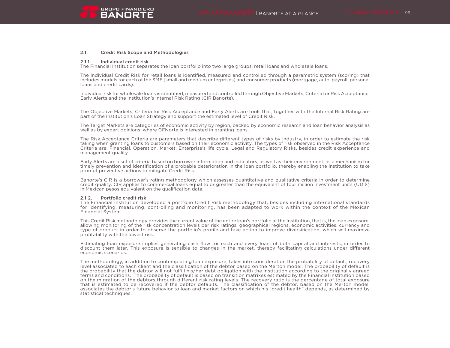

#### 2.1. Credit Risk Scope and Methodologies

#### 2.1.1. Individual credit risk

The Financial Institution separates the loan portfolio into two large groups: retail loans and wholesale loans.

The individual Credit Risk for retail loans is identified, measured and controlled through a parametric system (scoring) that includes models for each of the SME (small and medium enterprises) and consumer products (mortgage, auto, payroll, personal loans and credit cards).

Individual risk for wholesale loans is identified, measured and controlled through Objective Markets, Criteria for Risk Acceptance, Early Alerts and the Institution's Internal Risk Rating (CIR Banorte).

The Objective Markets, Criteria for Risk Acceptance and Early Alerts are tools that, together with the Internal Risk Rating are part of the Institution's Loan Strategy and support the estimated level of Credit Risk.

The Target Markets are categories of economic activity by region, backed by economic research and loan behavior analysis as well as by expert opinions, where GFNorte is interested in granting loans.

The Risk Acceptance Criteria are parameters that describe different types of risks by industry, in order to estimate the risk taking when granting loans to customers based on their economic activity. The types of risk observed in the Risk Acceptance Criteria are: Financial, Operation, Market, Enterprise's life cycle, Legal and Regulatory Risks, besides credit experience and management quality.

Early Alerts are a set of criteria based on borrower information and indicators, as well as their environment, as a mechanism for timely prevention and identification of a probable deterioration in the loan portfolio, thereby enabling the institution to take prompt preventive actions to mitigate Credit Risk.

Banorte's CIR is a borrower's rating methodology which assesses quantitative and qualitative criteria in order to determine credit quality. CIR applies to commercial loans equal to or greater than the equivalent of four million investment units (UDIS) in Mexican pesos equivalent on the qualification date.

#### 2.1.2. Portfolio credit risk

The Financial Institution developed a portfolio Credit Risk methodology that, besides including international standards for identifying, measuring, controlling and monitoring, has been adapted to work within the context of the Mexican Financial System.

This Credit Risk methodology provides the current value of the entire loan's portfolio at the Institution, that is, the loan exposure, allowing monitoring of the risk concentration levels per risk ratings, geographical regions, economic activities, currency and type of product in order to observe the portfolio's profile and take action to improve diversification, which will maximize profitability with the lowest risk.

Estimating loan exposure implies generating cash flow for each and every loan, of both capital and interests, in order to discount them later. This exposure is sensible to changes in the market, thereby facilitating calculations under different economic scenarios.

The methodology, in addition to contemplating loan exposure, takes into consideration the probability of default, recovery level associated to each client and the classification of the debtor based on the Merton model. The probability of default is the probability that the debtor will not fulfill his/her debt obligation with the institution according to the originally agreed terms and conditions. The probability of default is based on transition matrixes estimated by the Financial Institution based on the migration of the debtors through different risk rating levels. The recovery ratio is the percentage of total exposure that is estimated to be recovered if the debtor defaults. The classification of the debtor, based on the Merton model, associates the debtor's future behavior to loan and market factors on which his "credit health" depends, as determined by statistical techniques.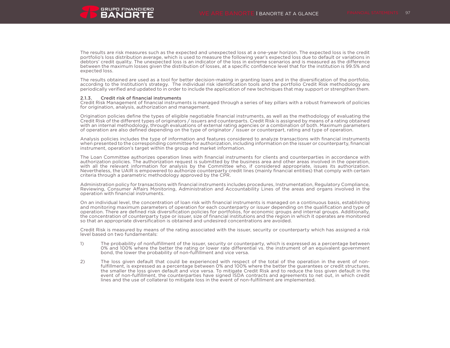

The results are risk measures such as the expected and unexpected loss at a one-year horizon. The expected loss is the credit portfolio's loss distribution average, which is used to measure the following year's expected loss due to default or variations in debtors' credit quality. The unexpected loss is an indicator of the loss in extreme scenarios and is measured as the difference between the maximum losses given the distribution of losses, at a specific confidence level that for the institution is 99.5% and expected loss.

The results obtained are used as a tool for better decision-making in granting loans and in the diversification of the portfolio, according to the Institution's strategy. The individual risk identification tools and the portfolio Credit Risk methodology are periodically verified and updated to in order to include the application of new techniques that may support or strengthen them.

#### 2.1.3. Credit risk of financial instruments

Credit Risk Management of financial instruments is managed through a series of key pillars with a robust framework of policies for origination, analysis, authorization and management.

Origination policies define the types of eligible negotiable financial instruments, as well as the methodology of evaluating the Credit Risk of the different types of originators / issuers and counterparts. Credit Risk is assigned by means of a rating obtained with an internal methodology, through evaluations of external rating agencies or a combination of both. Maximum parameters of operation are also defined depending on the type of originator / issuer or counterpart, rating and type of operation.

Analysis policies includes the type of information and features considered to analyze transactions with financial instruments when presented to the corresponding committee for authorization, including information on the issuer or counterparty, financial instrument, operation's target within the group and market information.

The Loan Committee authorizes operation lines with financial instruments for clients and counterparties in accordance with authorization policies. The authorization request is submitted by the business area and other areas involved in the operation, with all the relevant information for analysis by the Committee who, if considered appropriate, issues its authorization. Nevertheless, the UAIR is empowered to authorize counterparty credit lines (mainly financial entities) that comply with certain criteria through a parametric methodology approved by the CPR.

Administration policy for transactions with financial instruments includes procedures, Instrumentation, Regulatory Compliance, Reviewing, Consumer Affairs Monitoring, Administration and Accountability Lines of the areas and organs involved in the operation with financial instruments.

On an individual level, the concentration of loan risk with financial instruments is managed on a continuous basis, establishing and monitoring maximum parameters of operation for each counterparty or issuer depending on the qualification and type of operation. There are defined risk diversification policies for portfolios, for economic groups and internal groups. Additionally, the concentration of counterparty type or issuer, size of financial institutions and the region in which it operates are monitored so that an appropriate diversification is obtained and undesired concentrations are avoided.

Credit Risk is measured by means of the rating associated with the issuer, security or counterparty which has assigned a risk level based on two fundamentals:

- 1) The probability of nonfulfillment of the issuer, security or counterparty, which is expressed as a percentage between 0% and 100% where the better the rating or lower rate differential vs. the instrument of an equivalent government bond, the lower the probability of non-fulfillment and vice versa.
- 2) The loss given default that could be experienced with respect of the total of the operation in the event of nonfulfillment, is expressed as a percentage between 0% and 100% where the better the guarantees or credit structures, the smaller the loss given default and vice versa. To mitigate Credit Risk and to reduce the loss given default in the event of non-fulfillment, the counterparties have signed ISDA contracts and agreements to net out, in which credit lines and the use of collateral to mitigate loss in the event of non-fulfillment are implemented.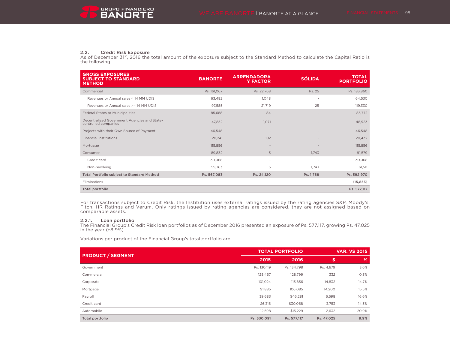#### 2.2. Credit Risk Exposure

As of December 31<sup>st</sup>, 2016 the total amount of the exposure subject to the Standard Method to calculate the Capital Ratio is the following:

| <b>GROSS EXPOSURES</b><br><b>SUBJECT TO STANDARD</b><br><b>METHOD</b> | <b>BANORTE</b> | <b>ARRENDADORA</b><br><b>Y FACTOR</b> | <b>SÓLIDA</b>            | <b>TOTAL</b><br><b>PORTFOLIO</b> |
|-----------------------------------------------------------------------|----------------|---------------------------------------|--------------------------|----------------------------------|
| Commercial                                                            | Ps. 161,067    | Ps. 22,768                            | Ps. 25                   | Ps. 183,860                      |
| Revenues or Annual sales < 14 MM UDIS                                 | 63,482         | 1.048                                 | $\overline{\phantom{a}}$ | 64,530                           |
| Revenues or Annual sales >= 14 MM UDIS                                | 97,585         | 21,719                                | 25                       | 119,330                          |
| Federal States or Municipalities                                      | 85,688         | 84                                    | $\overline{\phantom{a}}$ | 85,772                           |
| Decentralized Government Agencies and State-<br>controlled companies  | 47,852         | 1.071                                 |                          | 48,923                           |
| Projects with their Own Source of Payment                             | 46,548         |                                       | $\overline{\phantom{a}}$ | 46,548                           |
| <b>Financial institutions</b>                                         | 20,241         | 192                                   |                          | 20,432                           |
| Mortgage                                                              | 115,856        | $\overline{\phantom{a}}$              |                          | 115,856                          |
| Consumer                                                              | 89,832         | 5                                     | 1.743                    | 91,579                           |
| Credit card                                                           | 30,068         | ۰                                     |                          | 30,068                           |
| Non-revolving                                                         | 59,763         | 5                                     | 1.743                    | 61,511                           |
| Total Portfolio subject to Standard Method                            | Ps. 567,083    | Ps. 24,120                            | Ps. 1,768                | Ps. 592,970                      |
| Eliminations                                                          |                |                                       |                          | (15, 853)                        |
| Total portfolio                                                       |                |                                       |                          | Ps. 577,117                      |

For transactions subject to Credit Risk, the Institution uses external ratings issued by the rating agencies S&P, Moody's, Fitch, HR Ratings and Verum. Only ratings issued by rating agencies are considered, they are not assigned based on comparable assets.

**2.2.1. Loan portfolio**<br>The Financial Group's Credit Risk loan portfolios as of December 2016 presented an exposure of Ps. 577,117, growing Ps. 47,025 in the year (+8.9%).

Variations per product of the Financial Group's total portfolio are:

| <b>PRODUCT / SEGMENT</b> | <b>TOTAL PORTFOLIO</b> |             | <b>VAR. VS 2015</b> |       |
|--------------------------|------------------------|-------------|---------------------|-------|
|                          | 2015                   | 2016        | \$                  | %     |
| Government               | Ps. 130,119            | Ps. 134,798 | Ps. 4,679           | 3.6%  |
| Commercial               | 128.467                | 128,799     | 332                 | 0.3%  |
| Corporate                | 101.024                | 115,856     | 14,832              | 14.7% |
| Mortgage                 | 91,885                 | 106,085     | 14,200              | 15.5% |
| Payroll                  | 39,683                 | \$46,281    | 6,598               | 16.6% |
| Credit card              | 26,316                 | \$30,068    | 3,753               | 14.3% |
| Automobile               | 12,598                 | \$15,229    | 2,632               | 20.9% |
| Total portfolio          | Ps. 530,091            | Ps. 577,117 | Ps. 47,025          | 8.9%  |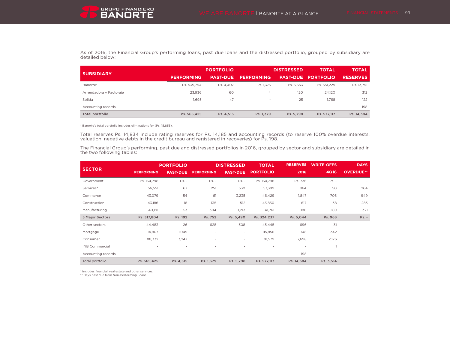

As of 2016, the Financial Group's performing loans, past due loans and the distressed portfolio, grouped by subsidiary are detailed below:

| <b>SUBSIDIARY</b>       |                   | <b>PORTFOLIO</b> |                          | <b>DISTRESSED</b> | <b>TOTAL</b>     | <b>TOTAL</b>    |  |
|-------------------------|-------------------|------------------|--------------------------|-------------------|------------------|-----------------|--|
|                         | <b>PERFORMING</b> | <b>PAST-DUE</b>  | <b>PERFORMING</b>        | <b>PAST-DUE</b>   | <b>PORTFOLIO</b> | <b>RESERVES</b> |  |
| Banorte*                | Ps. 539.794       | Ps. 4.407        | Ps. 1.375                | Ps. 5.653         | Ps. 551.229      | Ps. 13.751      |  |
| Arrendadora y Factoraje | 23.936            | 60               | 4                        | 120               | 24.120           | 312             |  |
| Sólida                  | 1.695             | 47               | $\overline{\phantom{a}}$ | 25                | 1.768            | 122             |  |
| Accounting records      |                   |                  |                          |                   |                  | 198             |  |
| Total portfolio         | Ps. 565.425       | Ps. 4.515        | Ps. 1.379                | Ps. 5.798         | Ps. 577.117      | Ps. 14,384      |  |

\* Banorte's total portfolio includes eliminations for (Ps. 15,853).

Total reserves Ps. 14,834 include rating reserves for Ps. 14,185 and accounting records (to reserve 100% overdue interests, valuation, negative debts in the credit bureau and registered in recoveries) for Ps. 198.

The Financial Group's performing, past due and distressed portfolios in 2016, grouped by sector and subsidiary are detailed in the two following tables:

|                        |                   | <b>PORTFOLIO</b> |                   | <b>DISTRESSED</b>        | <b>TOTAL</b>     | <b>RESERVES</b> | <b>WRITE-OFFS</b> | <b>DAYS</b>      |
|------------------------|-------------------|------------------|-------------------|--------------------------|------------------|-----------------|-------------------|------------------|
| <b>SECTOR</b>          | <b>PERFORMING</b> | <b>PAST-DUE</b>  | <b>PERFORMING</b> | <b>PAST-DUE</b>          | <b>PORTFOLIO</b> | 2016            | <b>4Q16</b>       | <b>OVERDUE**</b> |
| Government             | Ps. 134,798       | $Ps. -$          | $Ps. -$           | $Ps. -$                  | Ps. 134,798      | Ps. 736         | $Ps. -$           |                  |
| Services*              | 56,551            | 67               | 251               | 530                      | 57,399           | 864             | 50                | 264              |
| Commerce               | 43,079            | 54               | 61                | 3,235                    | 46,429           | 1,847           | 706               | 949              |
| Construction           | 43,186            | 18               | 135               | 512                      | 43,850           | 617             | 38                | 283              |
| Manufacturing          | 40,191            | 53               | 304               | 1,213                    | 41,761           | 980             | 169               | 321              |
| <b>5 Major Sectors</b> | Ps. 317,804       | Ps. 192          | Ps. 752           | Ps. 5,490                | Ps. 324,237      | Ps. 5,044       | Ps. 963           | $Ps. -$          |
| Other sectors          | 44,483            | 26               | 628               | 308                      | 45,445           | 696             | 31                |                  |
| Mortgage               | 114,807           | 1,049            | $\sim$            | $\sim$                   | 115,856          | 748             | 342               |                  |
| Consumer               | 88,332            | 3,247            | $\sim$            | $\overline{\phantom{a}}$ | 91,579           | 7,698           | 2,176             |                  |
| <b>INB Commercial</b>  |                   |                  |                   | $\overline{\phantom{a}}$ | $\mathbf{r}$     | ٠               |                   |                  |
| Accounting records     |                   |                  |                   |                          |                  | 198             |                   |                  |
| Total portfolio        | Ps. 565,425       | Ps. 4,515        | Ps. 1,379         | Ps. 5,798                | Ps. 577,117      | Ps. 14,384      | Ps. 3,514         |                  |

\* Includes financial, real estate and other services.

\*\* Days past due from Non-Performing Loans.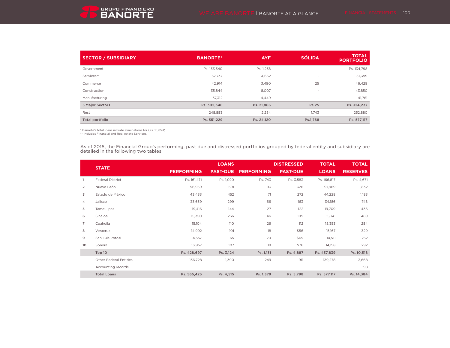

| <b>SECTOR / SUBSIDIARY</b> | <b>BANORTE*</b> | <b>AYF</b> | <b>SÓLIDA</b> | <b>TOTAL</b><br><b>PORTFOLIO</b> |
|----------------------------|-----------------|------------|---------------|----------------------------------|
| Government                 | Ps. 133,540     | Ps. 1,258  | $\sim$        | Ps. 134,798                      |
| Services**                 | 52,737          | 4,662      | $\sim$        | 57,399                           |
| Commerce                   | 42,914          | 3,490      | 25            | 46,429                           |
| Construction               | 35.844          | 8,007      | $\sim$        | 43,850                           |
| Manufacturing              | 37,312          | 4,449      |               | 41,761                           |
| <b>5 Major Sectors</b>     | Ps. 302,346     | Ps. 21,866 | Ps.25         | Ps. 324,237                      |
| Rest                       | 248.883         | 2,254      | 1.743         | 252,880                          |
| Total portfolio            | Ps. 551,229     | Ps. 24,120 | Ps.1,768      | Ps. 577,117                      |

\* Banorte's total loans include eliminations for (Ps. 15,853).

\*\* Includes Financial and Real estate Services.

As of 2016, the Financial Group's performing, past due and distressed portfolios grouped by federal entity and subsidiary are detailed in the following two tables:

|                |                               |                   | <b>LOANS</b>    | <b>DISTRESSED</b> |                 | <b>TOTAL</b> | <b>TOTAL</b>    |
|----------------|-------------------------------|-------------------|-----------------|-------------------|-----------------|--------------|-----------------|
|                | <b>STATE</b>                  | <b>PERFORMING</b> | <b>PAST-DUE</b> | <b>PERFORMING</b> | <b>PAST-DUE</b> | <b>LOANS</b> | <b>RESERVES</b> |
|                | <b>Federal District</b>       | Ps. 161,471       | Ps. 1,020       | Ps. 743           | Ps. 3,583       | Ps. 166,817  | Ps. 4,671       |
| $\overline{2}$ | Nuevo León                    | 96,959            | 591             | 93                | 326             | 97,969       | 1,832           |
| 3              | Estado de México              | 43,433            | 452             | 71                | 272             | 44,228       | 1,183           |
| 4              | Jalisco                       | 33,659            | 299             | 66                | 163             | 34,186       | 748             |
| 5              | Tamaulipas                    | 19,416            | 144             | 27                | 122             | 19,709       | 436             |
| 6              | Sinaloa                       | 15,350            | 236             | 46                | 109             | 15,741       | 489             |
| $\overline{7}$ | Coahuila                      | 15,104            | 110             | 26                | 112             | 15,353       | 284             |
| 8              | Veracruz                      | 14,992            | 101             | 18                | \$56            | 15,167       | 329             |
| 9              | San Luis Potosí               | 14,357            | 65              | 20                | \$69            | 14,511       | 252             |
| 10             | Sonora                        | 13,957            | 107             | 19                | \$76            | 14,158       | 292             |
|                | Top 10                        | Ps. 428,697       | Ps. 3,124       | Ps. 1,131         | Ps. 4,887       | Ps. 437,839  | Ps. 10,518      |
|                | <b>Other Federal Entities</b> | 136,728           | 1,390           | 249               | 911             | 139,278      | 3,668           |
|                | Accounting records            |                   |                 |                   |                 |              | 198             |
|                | <b>Total Loans</b>            | Ps. 565,425       | Ps. 4,515       | Ps. 1,379         | Ps. 5,798       | Ps. 577,117  | Ps. 14,384      |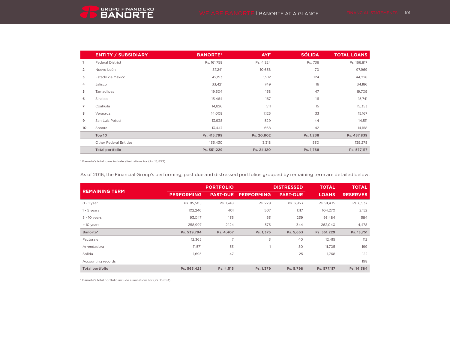|                | <b>ENTITY / SUBSIDIARY</b>    | <b>BANORTE*</b> | <b>AYF</b> | <b>SÓLIDA</b> | <b>TOTAL LOANS</b> |
|----------------|-------------------------------|-----------------|------------|---------------|--------------------|
|                | <b>Federal District</b>       | Ps. 161,758     | Ps. 4,324  | Ps. 736       | Ps. 166,817        |
| $\overline{2}$ | Nuevo León                    | 87,241          | 10,658     | 70            | 97,969             |
| 3              | Estado de México              | 42,193          | 1,912      | 124           | 44,228             |
| 4              | Jalisco                       | 33,421          | 749        | 16            | 34,186             |
| 5              | Tamaulipas                    | 19,504          | 158        | 47            | 19,709             |
| 6              | Sinaloa                       | 15,464          | 167        | 111           | 15,741             |
| $\overline{7}$ | Coahuila                      | 14,826          | 511        | 15            | 15,353             |
| 8              | Veracruz                      | 14,008          | 1,125      | 33            | 15,167             |
| 9              | San Luis Potosí               | 13,938          | 529        | 44            | 14,511             |
| 10             | Sonora                        | 13,447          | 668        | 42            | 14,158             |
|                | Top 10                        | Ps. 415,799     | Ps. 20,802 | Ps. 1,238     | Ps. 437,839        |
|                | <b>Other Federal Entities</b> | 135,430         | 3,318      | 530           | 139,278            |
|                | Total portfolio               | Ps. 551,229     | Ps. 24,120 | Ps. 1,768     | Ps. 577,117        |

\* Banorte's total loans include eliminations for (Ps. 15,853).

As of 2016, the Financial Group's performing, past due and distressed portfolios grouped by remaining term are detailed below:

|                       |                   | <b>PORTFOLIO</b> | <b>DISTRESSED</b> |                 | <b>TOTAL</b> | <b>TOTAL</b>    |
|-----------------------|-------------------|------------------|-------------------|-----------------|--------------|-----------------|
| <b>REMAINING TERM</b> | <b>PERFORMING</b> | <b>PAST-DUE</b>  | <b>PERFORMING</b> | <b>PAST-DUE</b> | <b>LOANS</b> | <b>RESERVES</b> |
| $0 - 1$ year          | Ps. 85,505        | Ps. 1,748        | Ps. 229           | Ps. 3,953       | Ps. 91,435   | Ps. 6,537       |
| $1 - 5$ years         | 102,246           | 401              | 507               | 1,117           | 104,270      | 2,152           |
| $5 - 10$ years        | 93,047            | 135              | 63                | 239             | 93,484       | 584             |
| > 10 years            | 258,997           | 2,124            | 576               | 344             | 262,040      | 4,478           |
| Banorte*              | Ps. 539,794       | Ps. 4,407        | Ps. 1,375         | Ps. 5,653       | Ps. 551,229  | Ps. 13,751      |
| Factoraje             | 12,365            | 7                | 3                 | 40              | 12,415       | 112             |
| Arrendadora           | 11,571            | 53               |                   | 80              | 11,705       | 199             |
| Sólida                | 1,695             | 47               | $\sim$            | 25              | 1,768        | 122             |
| Accounting records    |                   |                  |                   |                 |              | 198             |
| Total portfolio       | Ps. 565,425       | Ps. 4,515        | Ps. 1,379         | Ps. 5,798       | Ps. 577,117  | Ps. 14,384      |

\* Banorte's total portfolio include eliminations for (Ps. 15,853).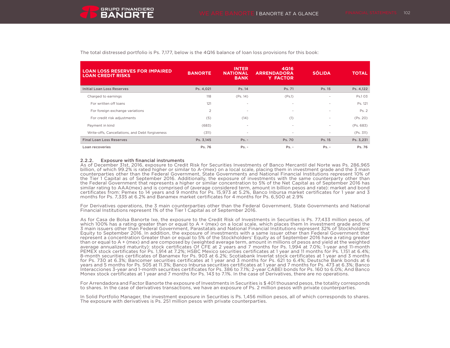

| <b>LOAN LOSS RESERVES FOR IMPAIRED</b><br><b>LOAN CREDIT RISKS</b> | <b>BANORTE</b> | <b>INTER</b><br><b>NATIONAL</b><br><b>BANK</b> | <b>4Q16</b><br><b>ARRENDADORA</b><br><b>Y FACTOR</b> | <b>SÓLIDA</b> | <b>TOTAL</b> |
|--------------------------------------------------------------------|----------------|------------------------------------------------|------------------------------------------------------|---------------|--------------|
| Initial Loan Loss Reserves                                         | Ps. 4,021      | Ps. 14                                         | Ps. 71                                               | Ps. 15        | Ps. 4,122    |
| Charged to earnings                                                | 118            | (Ps. 14)                                       | (Ps.1)                                               | ۰             | Ps.103       |
| For written off loans                                              | 121            | ×.                                             | ٠                                                    | $\sim$        | Ps. 121      |
| For foreign exchange variations                                    | $\overline{2}$ | $\sim$                                         | ٠                                                    | $\sim$        | Ps. 2        |
| For credit risk adjustments                                        | (5)            | (14)                                           | (1)                                                  | $\sim$        | (Ps. 20)     |
| Payment in kind                                                    | (683)          | $\sim$                                         | $\overline{\phantom{a}}$                             | ۰.            | (Ps. 683)    |
| Write-offs, Cancellations, and Debt forgiveness                    | (311)          | $\sim$                                         | ٠                                                    | $\sim$        | (Ps. 311)    |
| <b>Final Loan Loss Reserves</b>                                    | Ps. 3,145      | $Ps. -$                                        | Ps. 70                                               | Ps. 15        | Ps. 3,231    |
| Loan recoveries                                                    | Ps. 76         | $Ps. -$                                        | $Ps. -$                                              | $Ps. -$       | Ps. 76       |

The total distressed portfolio is Ps. 7,177, below is the 4Q16 balance of loan loss provisions for this book:

#### 2.2.2. Exposure with financial instruments

As of December 31st, 2016, exposure to Credit Risk for Securities Investments of Banco Mercantil del Norte was Ps. 286,965 billion, of which 99.2% is rated higher or similar to A-(mex) on a local scale, placing them in investment grade and the 3 main counterparties other than the Federal Government, State Governments and National Financial Institutions represent 10% of the Tier 1 Capital as of September 2016. Additionally, the exposure of investments with the same counterparty other than the Federal Government that represents a higher or similar concentration to 5% of the Net Capital as of September 2016 has similar rating to AAA(mex) and is comprised of (average considered term, amount in billion pesos and rate): market and bond certificates from: Pemex to 14 years and 9 months for Ps. 15,973 at 5.2%, Banco Inbursa market certificates for 1 year and 3 months for Ps. 7,335 at 6.2% and Banamex market certificates for 4 months for Ps. 6,500 at 2.9%

For Derivatives operations, the 3 main counterparties other than the Federal Government, State Governments and National Financial Institutions represent 1% of the Tier 1 Capital as of September 2016.

As for Casa de Bolsa Banorte Ixe, the exposure to the Credit Risk of Investments in Securities is Ps. 77,433 million pesos, of which 100% has a rating greater than or equal to A + (mex) on a local scale, which places them In investment grade and the 3 main issuers other than Federal Government, Parastatals and National Financial Institutions represent 32% of Stockholders' Equity to September 2016. In addition, the exposure of investments with a same issuer other than Federal Government that represent a concentration Greater than or equal to 5% of the Stockholders' Equity as of September 2016 have a rating greater than or equal to A + (mex) and are composed by (weighted average term, amount in millions of pesos and yield at the weighted average annualized maturity): stock certificates Of CFE at 2 years and 7 months for Ps. 1,994 at 7.0%; 1-year and 11-month PEMEX stock certificates for Ps. 1,914 at 7.2%; HSBC Mexico securities certificates at 1 year and 11 months for Ps. 1,151 at 6.4%; 8-month securities certificates of Banamex for Ps. 903 at 6.2%; Scotiabank Inverlat stock certificates at 1 year and 3 months for Ps. 730 at 6.3%; Bancomer securities certificates at 1 year and 3 months for Ps. 621 to 6.4%; Deutsche Bank bonds at 6 years and 5 months for Ps. 505 at 11.3%; Banco Inbursa securities certificates at 1 year and 7 months for Ps. 473 at 6.3%; Banco Interacciones 3-year and 1-month securities certificates for Ps. 386 to 7.1%; 2-year CABEI bonds for Ps. 160 to 6.0%; And Banco Monex stock certificates at 1 year and 7 months for Ps. 143 to 7.1%. In the case of Derivatives, there are no operations.

For Arrendadora and Factor Banorte the exposure of Investments in Securities is \$ 401 thousand pesos, the totality corresponds to shares. In the case of derivatives transactions, we have an exposure of Ps. 2 million pesos with private counterparties.

In Solid Portfolio Manager, the investment exposure in Securities is Ps. 1,456 million pesos, all of which corresponds to shares. The exposure with derivatives is Ps. 251 million pesos with private counterparties.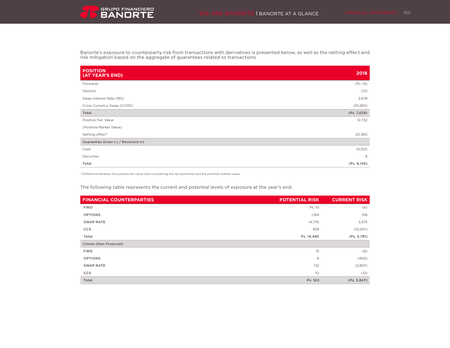Banorte's exposure to counterparty risk from transactions with derivatives is presented below, as well as the netting effect and risk mitigation based on the aggregate of guarantees related to transactions

| <b>POSITION</b><br>(AT YEAR'S END)  | 2016         |
|-------------------------------------|--------------|
| Forwards                            | (Ps. 14)     |
| Options                             | (12)         |
| Swap Interest Rate (IRS)            | 2,678        |
| Cross Currency Swap (CCIRS)         | (10, 280)    |
| Total                               | (Ps. 7,628)  |
| Positive Fair Value                 | 12,732       |
| (Positive Market Value)             |              |
| Netting effect*                     | 20,360       |
| Guaranties Given (-) / Received (+) |              |
| Cash                                | (6,153)      |
| Securities                          | 8            |
| Total                               | (Ps. 6, 145) |

\* Difference between the positive fair value (not considering the net positions) and the portfolio market value.

The following table represents the current and potential levels of exposure at the year's end.

| <b>FINANCIAL COUNTERPARTIES</b> | <b>POTENTIAL RISK</b> | <b>CURRENT RISK</b> |
|---------------------------------|-----------------------|---------------------|
| <b>FWD</b>                      | Ps. 10                | (6)                 |
| <b>OPTIONS</b>                  | 1,164                 | 918                 |
| <b>SWAP RATE</b>                | 14,776                | 5,575               |
| <b>CCS</b>                      | 939                   | (10, 267)           |
| Total                           | Ps. 14, 485           | (Ps. 3, 781)        |
| <b>Clients (Non Financial)</b>  |                       |                     |
| <b>FWD</b>                      | 15                    | (8)                 |
| <b>OPTIONS</b>                  | 6                     | (930)               |
| <b>SWAP RATE</b>                | 132                   | (2,897)             |
| <b>CCS</b>                      | 10                    | (12)                |
| Total                           | Ps. 163               | (Ps. 3, 847)        |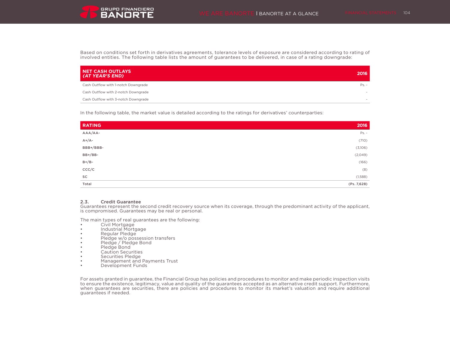Based on conditions set forth in derivatives agreements, tolerance levels of exposure are considered according to rating of involved entities. The following table lists the amount of guarantees to be delivered, in case of a rating downgrade:

| NET CASH OUTLAYS<br>(AT YEAR'S END) | 2016   |
|-------------------------------------|--------|
| Cash Outflow with 1-notch Downgrade | Ps. -  |
| Cash Outflow with 2-notch Downgrade | $-$    |
| Cash Outflow with 3-notch Downgrade | $\sim$ |

In the following table, the market value is detailed according to the ratings for derivatives' counterparties:

| <b>RATING</b> | 2016        |
|---------------|-------------|
| AAA/AA-       | $Ps. -$     |
| $A+/A-$       | (710)       |
| BBB+/BBB-     | (3,106)     |
| BB+/BB-       | (2,049)     |
| $B+/B-$       | (166)       |
| CCC/C         | (8)         |
| $\mathsf{SC}$ | (1,588)     |
| Total         | (Ps. 7,628) |

#### 2.3. Credit Guarantee

Guarantees represent the second credit recovery source when its coverage, through the predominant activity of the applicant, is compromised. Guarantees may be real or personal.

The main types of real guarantees are the following:

- Civil Mortgage
- Industrial Mortgage
- Regular Pledge
- Pledge w/o possession transfers
- Pledge / Pledge Bond
- Pledge Bond
- Caution Securities
- Securities Pledge
- Management and Payments Trust
- Development Funds

For assets granted in guarantee, the Financial Group has policies and procedures to monitor and make periodic inspection visits to ensure the existence, legitimacy, value and quality of the guarantees accepted as an alternative credit support. Furthermore, when guarantees are securities, there are policies and procedures to monitor its market's valuation and require additional guarantees if needed.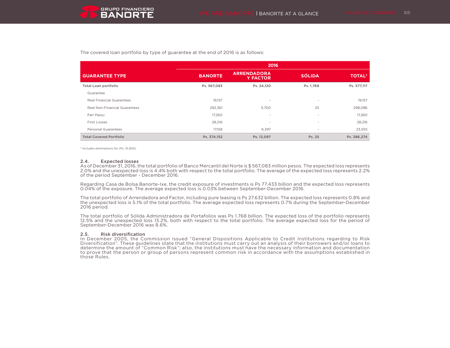The covered loan portfolio by type of guarantee at the end of 2016 is as follows:

|                                  | 2016           |                                       |                          |               |  |  |
|----------------------------------|----------------|---------------------------------------|--------------------------|---------------|--|--|
| <b>GUARANTEE TYPE</b>            | <b>BANORTE</b> | <b>ARRENDADORA</b><br><b>Y FACTOR</b> | <b>SÓLIDA</b>            | <b>TOTAL*</b> |  |  |
| <b>Total Loan portfolio</b>      | Ps. 567,083    | Ps. 24,120                            | Ps. 1,768                | Ps. 577,117   |  |  |
| Guarantee                        |                |                                       |                          |               |  |  |
| <b>Real Financial Guarantees</b> | 19,157         | ٠                                     | $\sim$                   | 19,157        |  |  |
| Real Non-Financial Guarantees    | 292,361        | 5,700                                 | 25                       | 298,086       |  |  |
| Pari Passu                       | 17,260         | $\overline{\phantom{a}}$              | $\sim$                   | 17,260        |  |  |
| <b>First Losses</b>              | 28,216         | $\overline{\phantom{a}}$              | $\sim$                   | 28,216        |  |  |
| <b>Personal Guarantees</b>       | 17,158         | 6,397                                 | $\overline{\phantom{a}}$ | 23,555        |  |  |
| <b>Total Covered Portfolio</b>   | Ps. 374.152    | Ps. 12.097                            | Ps. 25                   | Ps. 386.274   |  |  |

\* Includes eliminations for (Ps. 15,853).

#### 2.4. Expected losses

As of December 31, 2016, the total portfolio of Banco Mercantil del Norte is \$ 567,083 million pesos. The expected loss represents 2.0% and the unexpected loss is 4.4% both with respect to the total portfolio. The average of the expected loss represents 2.2% of the period September - December 2016.

Regarding Casa de Bolsa Banorte-Ixe, the credit exposure of investments is Ps 77.433 billion and the expected loss represents 0.04% of the exposure. The average expected loss is 0.03% between September-December 2016.

The total portfolio of Arrendadora and Factor, including pure leasing is Ps 27.632 billion. The expected loss represents 0.8% and the unexpected loss is 5.1% of the total portfolio. The average expected loss represents 0.7% during the September-December 2016 period.

The total portfolio of Sólida Administradora de Portafolios was Ps 1.768 billion. The expected loss of the portfolio represents 12.5% and the unexpected loss 13.2%, both with respect to the total portfolio. The average expected loss for the period of September-December 2016 was 8.6%.

#### 2.5. Risk diversification

In December 2005, the Commission issued "General Dispositions Applicable to Credit Institutions regarding to Risk Diversification". These guidelines state that the institutions must carry out an analysis of their borrowers and/or loans to determine the amount of "Common Risk"; also, the institutions must have the necessary information and documentation to prove that the person or group of persons represent common risk in accordance with the assumptions established in those Rules.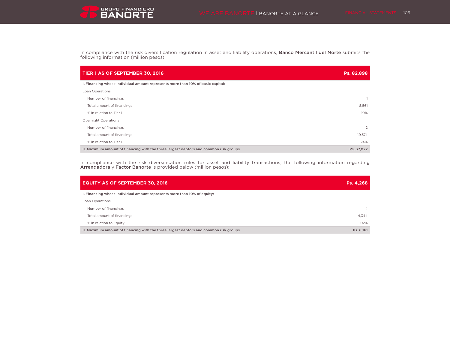In compliance with the risk diversification regulation in asset and liability operations, **Banco Mercantil del Norte** submits the<br>following information (million pesos):

| TIER 1 AS OF SEPTEMBER 30, 2016                                                       | Ps. 82,898     |
|---------------------------------------------------------------------------------------|----------------|
| I. Financing whose individual amount represents more than 10% of basic capital:       |                |
| Loan Operations                                                                       |                |
| Number of financings                                                                  |                |
| Total amount of financings                                                            | 8,561          |
| % in relation to Tier 1                                                               | 10%            |
| Overnight Operations                                                                  |                |
| Number of financings                                                                  | $\overline{2}$ |
| Total amount of financings                                                            | 19,574         |
| % in relation to Tier 1                                                               | 24%            |
| II. Maximum amount of financing with the three largest debtors and common risk groups | Ps. 37,022     |

In compliance with the risk diversification rules for asset and liability transactions, the following information regarding Arrendadora y Factor Banorte is provided below (million pesos):

| <b>EQUITY AS OF SEPTEMBER 30, 2016</b>                                                | Ps. 4,268      |
|---------------------------------------------------------------------------------------|----------------|
| I. Financing whose individual amount represents more than 10% of equity:              |                |
| Loan Operations                                                                       |                |
| Number of financings                                                                  | $\overline{4}$ |
| Total amount of financings                                                            | 4.344          |
| % in relation to Equity                                                               | 102%           |
| II. Maximum amount of financing with the three largest debtors and common risk groups | Ps. 6.161      |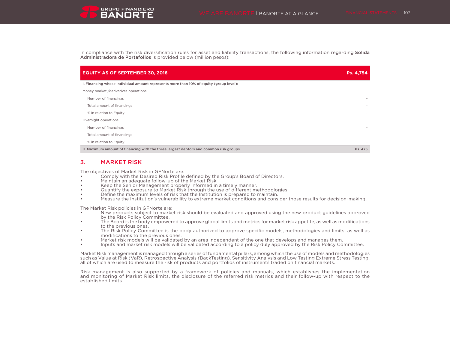In compliance with the risk diversification rules for asset and liability transactions, the following information regarding Sólida Administradora de Portafolios is provided below (million pesos):

| <b>EQUITY AS OF SEPTEMBER 30, 2016</b>                                                 | Ps. 4,754                |
|----------------------------------------------------------------------------------------|--------------------------|
| I. Financing whose individual amount represents more than 10% of equity (group level): |                          |
| Money market /derivatives operations                                                   |                          |
| Number of financings                                                                   |                          |
| Total amount of financings                                                             |                          |
| % in relation to Equity                                                                |                          |
| Overnight operations                                                                   |                          |
| Number of financings                                                                   |                          |
| Total amount of financings                                                             | $\overline{\phantom{a}}$ |
| % in relation to Equity                                                                |                          |
| II. Maximum amount of financing with the three largest debtors and common risk groups  | Ps. 475                  |

## 3. MARKET RISK

The objectives of Market Risk in GFNorte are:

- Comply with the Desired Risk Profile defined by the Group's Board of Directors.
- Maintain an adequate follow-up of the Market Risk.
- Keep the Senior Management properly informed in a timely manner.
- Quantify the exposure to Market Risk through the use of different methodologies.
- Define the maximum levels of risk that the Institution is prepared to maintain.
- Measure the Institution's vulnerability to extreme market conditions and consider those results for decision-making.

The Market Risk policies in GFNorte are:

- New products subject to market risk should be evaluated and approved using the new product guidelines approved by the Risk Policy Committee.
- The Board is the body empowered to approve global limits and metrics for market risk appetite, as well as modifications to the previous ones.
- The Risk Policy Committee is the body authorized to approve specific models, methodologies and limits, as well as modifications to the previous ones.
- Market risk models will be validated by an area independent of the one that develops and manages them.
- Inputs and market risk models will be validated according to a policy duly approved by the Risk Policy Committee.

Market Risk management is managed through a series of fundamental pillars, among which the use of models and methodologies such as Value at Risk (VaR), Retrospective Analysis (BackTesting), Sensitivity Analysis and Low Testing Extreme Stress Testing, all of which are used to measure the risk of products and portfolios of instruments traded on financial markets.

Risk management is also supported by a framework of policies and manuals, which establishes the implementation and monitoring of Market Risk limits, the disclosure of the referred risk metrics and their follow-up with respect to the established limits.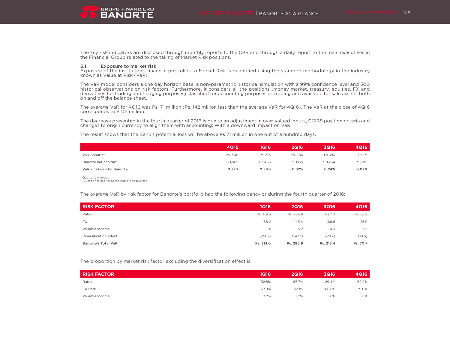The key risk indicators are disclosed through monthly reports to the CPR and through a daily report to the main executives in the Financial Group related to the taking of Market Risk positions.

#### 3.1. Exposure to market risk

Exposure of the institution's financial portfolios to Market Risk is quantified using the standard methodology in the industry known as Value at Risk (VaR).

The VaR model considers a one day horizon base, a non-parametric historical simulation with a 99% confidence level and 500 historical observations on risk factors. Furthermore, it considers all the positions (money market, treasury, equities, FX and derivatives for trading and hedging purposes) classified for accounting purposes as trading and available for sale assets, both on and off the balance sheet.

The average VaR for 4Q16 was Ps. 71 million (Ps. 142 million less than the average VaR for 4Q16). The VaR at the close of 4Q16 corresponds to \$ 101 million.

The decrease presented in the fourth quarter of 2016 is due to an adjustment in over-valued inputs, CCIRS position criteria and changes to origin currency to align them with accounting; With a downward impact on VaR.

The result shows that the Bank's potential loss will be above Ps 71 million in one out of a hundred days.

|                           | <b>4Q15</b> | 1Q16    | <b>2Q16</b> | 3Q16    | 4Q16   |
|---------------------------|-------------|---------|-------------|---------|--------|
| VaR Banorte*              | Ps. 300     | Ps. 313 | Ps. 286     | Ps. 213 | Ps. 71 |
| Banorte net capital**     | 80.509      | 83,453  | 90.155      | 90,264  | 97,991 |
| VaR / net capital Banorte | 0.37%       | 0.38%   | 0.32%       | 0.24%   | 0.07%  |

\* Quarterly Average

\*\* Sum of net capital at the end of the quarter

The average VaR by risk factor for Banorte's portfolio had the following behavior during the fourth quarter of 2016:

| <b>RISK FACTOR</b>         | <b>1Q16</b> | <b>2Q16</b> | <b>3Q16</b> | <b>4Q16</b> |
|----------------------------|-------------|-------------|-------------|-------------|
| Rates                      | Ps. 319.6   | Ps. 284.6   | Ps.71.1     | Ps. 56.2    |
| <b>FX</b>                  | 188.2       | 143.4       | 166.6       | 25.9        |
| Variable Income            | 1.4         | 5.2         | 4.3         | 7.2         |
| Diversification effect     | (196.1)     | (147.3)     | (28.7)      | (18.6)      |
| <b>Banorte's Total VaR</b> | Ps. 313.0   | Ps. 285.9   | Ps. 213.4   | Ps. 70.7    |

The proportion by market risk factor excluding the diversification effect is:

| <b>RISK FACTOR</b> | 1Q16  | <b>2Q16</b> | 3Q16  | 4Q16  |
|--------------------|-------|-------------|-------|-------|
| Rates              | 62.8% | 65.7%       | 29.4% | 62.9% |
| FX Rate            | 37.0% | 33.1%       | 68.8% | 29.0% |
| Variable Income    | 0.2%  | 1.2%        | 1.8%  | 8.1%  |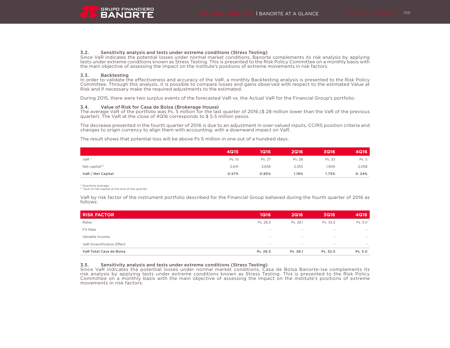#### 3.2. Sensitivity analysis and tests under extreme conditions (Stress Testing)

Since VaR indicates the potential losses under normal market conditions, Banorte complements its risk analysis by applying tests under extreme conditions known as Stress Testing. This is presented to the Risk Policy Committee on a monthly basis with the main objective of assessing the impact on the institute's positions of extreme movements in risk factors.

#### 3.3. Backtesting

In order to validate the effectiveness and accuracy of the VaR, a monthly Backtesting analysis is presented to the Risk Policy Committee. Through this analysis, it is possible to compare losses and gains observed with respect to the estimated Value at Risk and if necessary make the required adjustments to the estimated.

During 2015, there were two surplus events of the forecasted VaR vs. the Actual VaR for the Financial Group's portfolio.

#### 3.4. Value of Risk for Casa de Bolsa (Brokerage House)

The average VaR of the portfolio was Ps. 5 million for the last quarter of 2016.(\$ 28 million lower than the VaR of the previous quarter). The VaR at the close of 4Q16 corresponds to \$ 5.5 million pesos.

The decrease presented in the fourth quarter of 2016 is due to an adjustment in over-valued inputs, CCIRS position criteria and changes to origin currency to align them with accounting; with a downward impact on VaR.

The result shows that potential loss will be above Ps 5 million in one out of a hundred days.

|                   | <b>4Q15</b> | 1Q16   | <b>2Q16</b> | <b>3Q16</b> | <b>4Q16</b> |
|-------------------|-------------|--------|-------------|-------------|-------------|
| $VaR*$            | Ps. 15      | Ps. 27 | Ps. 28      | Ps. 33      | Ps. 5       |
| Net capital**     | 2,641       | 2,836  | 2,355       | 1.906       | 2,058       |
| VaR / Net Capital | 0.57%       | 0.95%  | 1.19%       | 1.73%       | 0.24%       |

\* Quarterly average

\*\* Sum of net capital at the end of the quarter.

VaR by risk factor of the instrument portfolio described for the Financial Group behaved during the fourth quarter of 2016 as follows:

| <b>RISK FACTOR</b>                | <b>1Q16</b>              | <b>2Q16</b> | <b>3Q16</b>              | <b>4Q16</b>              |
|-----------------------------------|--------------------------|-------------|--------------------------|--------------------------|
| Rates                             | Ps. 26.5                 | Ps. 28.1    | Ps. 32.5                 | Ps. 5.0                  |
| <b>FX Rate</b>                    | . .                      |             | $\sim$                   | $\sim$                   |
| Variable Income                   | . .                      |             | $\overline{\phantom{a}}$ | $\;$                     |
| <b>VaR Diversification Effect</b> | $\overline{\phantom{a}}$ | $\sim$      | $\overline{\phantom{a}}$ | $\overline{\phantom{a}}$ |
| VaR Total Casa de Bolsa           | Ps. 26.5                 | Ps. 28.1    | Ps. 32.5                 | Ps. 5.0                  |

#### 3.5. Sensitivity analysis and tests under extreme conditions (Stress Testing)

Since VaR indicates the potential losses under normal market conditions, Casa de Bolsa Banorte-Ixe complements its risk analysis by applying tests under extreme conditions known as Stress Testing. This is presented to the Risk Policy Committee on a monthly basis with the main objective of assessing the impact on the institute's positions of extreme movements in risk factors.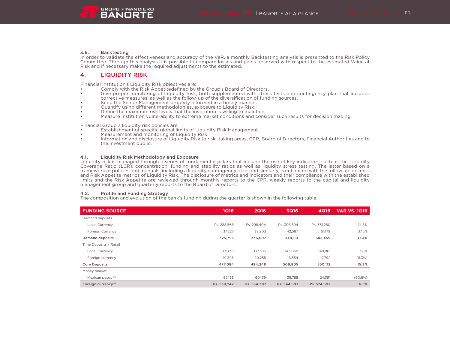#### 3.6. Backtesting

In order to validate the effectiveness and accuracy of the VaR, a monthly Backtesting analysis is presented to the Risk Policy Committee. Through this analysis it is possible to compare losses and gains observed with respect to the estimated Value at Risk and if necessary make the required adjustments to the estimated.

## 4. LIQUIDITY RISK

Financial Institution's Liquidity Risk objectives are:

- Comply with the Risk Appetitedefined by the Group's Board of Directors.
- Give proper monitoring of Liquidity Risk, both supplemented with stress tests and contingency plan that includes corrective measures, as well as the follow-up of the diversification of funding sources.
- Keep the Senior Management properly informed in a timely manner.
- Quantify using different methodologies, exposure to Liquidity Risk.
- Define the maximum risk levels that the institution is willing to maintain.
- Measure Institution vulnerability to extreme market conditions and consider such results for decision making.

Financial Group´s liquidity risk policies are:

- Establishment of specific global limits of Liquidity Risk Management.
- Measurement and monitoring of Liquidity Risk.<br>• Information and disclosure of Liquidity Risk to r
- Information and disclosure of Liquidity Risk to risk- taking areas, CPR, Board of Directors, Financial Authorities and to the investment public.

#### 4.1. Liquidity Risk Methodology and Exposure

Liquidity risk is managed through a series of fundamental pillars that include the use of key indicators such as the Liquidity Coverage Ratio (LCR), concentration, funding and stability ratios as well as liquidity stress testing. The latter based on a framework of policies and manuals, including a liquidity contingency plan, and similarly, is enhanced with the follow up on limits and Risk Appetite metrics of Liquidity Risk. The disclosure of metrics and indicators and their compliance with the established limits and the Risk Appetite are reviewed through monthly reports to the CPR, weekly reports to the capital and liquidity management group and quarterly reports to the Board of Directors.

#### 4.2. Profile and Funding Strategy

The composition and evolution of the bank's funding during the quarter is shown in the following table

| <b>FUNDING SOURCE</b>           | 1Q16        | 2Q16        | <b>3Q16</b> | <b>4Q16</b> | <b>VAR VS. 1Q16</b> |
|---------------------------------|-------------|-------------|-------------|-------------|---------------------|
| Demand deposits                 |             |             |             |             |                     |
| Local Currency                  | Ps. 288.568 | Ps. 298.404 | Ps. 306.594 | Ps. 331,280 | 14.8%               |
| Foreign Currency                | 37.227      | 38.203      | 42.587      | 51.179      | 37.5%               |
| <b>Demand deposits</b>          | 325,795     | 336,607     | 349,181     | 382,459     | 17.4%               |
| Time Deposits - Retail          |             |             |             |             |                     |
| Local Currency <sup>(1)</sup>   | 131,891     | 137,386     | 143,069     | 149,861     | 13.6%               |
| Foreign currency                | 19,398      | 20,255      | 16,554      | 17,792      | (8.3%)              |
| <b>Core Deposits</b>            | 477,084     | 494,248     | 508,805     | 550,112     | 15.3%               |
| Money market                    |             |             |             |             |                     |
| Mexican pesos <sup>(2)</sup>    | 62,158      | 60.139      | 35.788      | 24,391      | (60.8%)             |
| Foreign currency <sup>(2)</sup> | Ps. 539,242 | Ps. 554,387 | Ps. 544,593 | Ps. 574,502 | 6.5%                |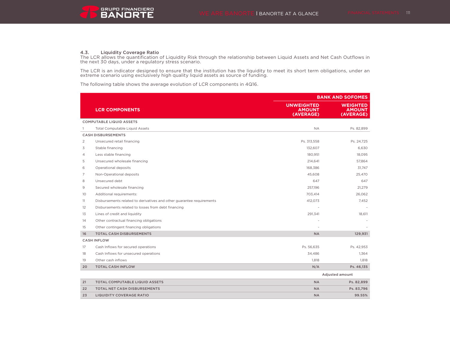**4.3. Liquidity Coverage Ratio**<br>The LCR allows the quantification of Liquidity Risk through the relationship between Liquid Assets and Net Cash Outflows in the next 30 days, under a regulatory stress scenario.

The LCR is an indicator designed to ensure that the institution has the liquidity to meet its short term obligations, under an extreme scenario using exclusively high quality liquid assets as source of funding.

The following table shows the average evolution of LCR components in 4Q16.

|                |                                                                       | <b>BANK AND SOFOMES</b>                         |                                               |  |  |
|----------------|-----------------------------------------------------------------------|-------------------------------------------------|-----------------------------------------------|--|--|
|                | <b>LCR COMPONENTS</b>                                                 | <b>UNWEIGHTED</b><br><b>AMOUNT</b><br>(AVERAGE) | <b>WEIGHTED</b><br><b>AMOUNT</b><br>(AVERAGE) |  |  |
|                | <b>COMPUTABLE LIQUID ASSETS</b>                                       |                                                 |                                               |  |  |
|                | <b>Total Computable Liquid Assets</b>                                 | <b>NA</b>                                       | Ps. 82,899                                    |  |  |
|                | <b>CASH DISBURSEMENTS</b>                                             |                                                 |                                               |  |  |
| $\overline{2}$ | Unsecured retail financing                                            | Ps. 313,558                                     | Ps. 24,725                                    |  |  |
| 3              | Stable financing                                                      | 132,607                                         | 6,630                                         |  |  |
| 4              | Less stable financing                                                 | 180.951                                         | 18.095                                        |  |  |
| 5              | Unsecured wholesale financing                                         | 214,641                                         | 57,864                                        |  |  |
| 6              | Operational deposits                                                  | 168,386                                         | 31,747                                        |  |  |
| $\overline{7}$ | Non-Operational deposits                                              | 45,608                                          | 25,470                                        |  |  |
| 8              | Unsecured debt                                                        | 647                                             | 647                                           |  |  |
| 9              | Secured wholesale financing                                           | 257,196                                         | 21,279                                        |  |  |
| 10             | Additional requirements:                                              | 703,414                                         | 26,062                                        |  |  |
| 11             | Disbursements related to derivatives and other guarantee requirements | 412,073                                         | 7.452                                         |  |  |
| 12             | Disbursements related to losses from debt financing                   |                                                 |                                               |  |  |
| 13             | Lines of credit and liquidity                                         | 291,341                                         | 18,611                                        |  |  |
| 14             | Other contractual financing obligations                               |                                                 |                                               |  |  |
| 15             | Other contingent financing obligations                                |                                                 |                                               |  |  |
| 16             | <b>TOTAL CASH DISBURSEMENTS</b>                                       | <b>NA</b>                                       | 129,931                                       |  |  |
|                | <b>CASH INFLOW</b>                                                    |                                                 |                                               |  |  |
| 17             | Cash Inflows for secured operations                                   | Ps. 56,635                                      | Ps. 42,953                                    |  |  |
| 18             | Cash Inflows for unsecured operations                                 | 34,486                                          | 1,364                                         |  |  |
| 19             | Other cash inflows                                                    | 1,818                                           | 1,818                                         |  |  |
| 20             | <b>TOTAL CASH INFLOW</b>                                              | N/A                                             | Ps. 46,135                                    |  |  |
|                |                                                                       |                                                 | Adjusted amount                               |  |  |
| 21             | <b>TOTAL COMPUTABLE LIQUID ASSETS</b>                                 | <b>NA</b>                                       | Ps. 82,899                                    |  |  |
| 22             | <b>TOTAL NET CASH DISBURSEMENTS</b>                                   | <b>NA</b>                                       | Ps. 83,796                                    |  |  |
| 23             | <b>LIQUIDITY COVERAGE RATIO</b>                                       | <b>NA</b>                                       | 99.55%                                        |  |  |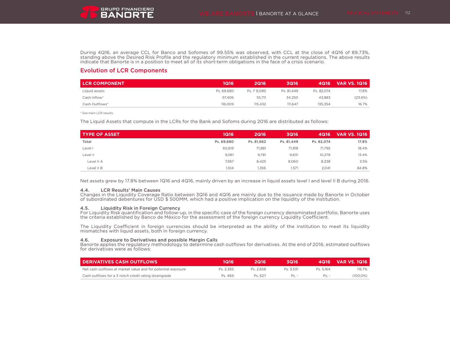

During 4Q16, an average CCL for Banco and Sofomes of 99.55% was observed, with CCL at the close of 4Q16 of 89.73%, standing above the Desired Risk Profile and the regulatory minimum established in the current regulations. The above results indicate that Banorte is in a position to meet all of its short-term obligations in the face of a crisis scenario.

# Evolution of LCR Components

| <b>LCR COMPONENT</b> | 1Q16       | 2Q16        | 3Q16       | 4Q16       | <b>VAR VS. 1Q16</b> |
|----------------------|------------|-------------|------------|------------|---------------------|
| Liquid assets        | Ps. 69.680 | Ps. 7 9.090 | Ps. 81.449 | Ps. 82.074 | 17.8%               |
| Cash Inflow*         | 57.406     | 55.711      | 34.250     | 43.883     | (23.6%)             |
| Cash Outflows*       | 116,009    | 115.432     | 111.647    | 135.354    | 16.7%               |

\* See main LCR results.

The Liquid Assets that compute in the LCRs for the Bank and Sofoms during 2016 are distributed as follows:

| <b>TYPE OF ASSET</b> | 1Q16       | <b>2Q16</b> | <b>3Q16</b> | <b>4Q16</b> | <b>VAR VS. 1Q16</b> |
|----------------------|------------|-------------|-------------|-------------|---------------------|
| Total                | Ps. 69.680 | Ps. 81.662  | Ps. 81,449  | Ps. 82.074  | 17.8%               |
| Level I              | 60.619     | 71,881      | 71.818      | 71.795      | 18.4%               |
| Level II             | 9.061      | 9,781       | 9.631       | 10.278      | 13.4%               |
| Level II A           | 7,957      | 8,425       | 8,060       | 8,238       | 3.5%                |
| Level II B           | 1,104      | 1,356       | 1,571       | 2,041       | 84.8%               |

Net assets grew by 17.8% between 1Q16 and 4Q16, mainly driven by an increase in liquid assets level I and level II B during 2016.

### 4.4. LCR Results' Main Causes

Changes in the Liquidity Coverage Ratio between 3Q16 and 4Q16 are mainly due to the issuance made by Banorte in October of subordinated debentures for USD \$ 500MM, which had a positive implication on the liquidity of the institution.

### 4.5. Liquidity Risk in Foreign Currency

For Liquidity Risk quantification and follow-up, in the specific case of the foreign currency denominated portfolio, Banorte uses the criteria established by Banco de México for the assessment of the foreign currency Liquidity Coefficient.

The Liquidity Coefficient in foreign currencies should be interpreted as the ability of the institution to meet its liquidity mismatches with liquid assets, both in foreign currency.

### 4.6. Exposure to Derivatives and possible Margin Calls

Banorte applies the regulatory methodology to determine cash outflows for derivatives. At the end of 2016, estimated outflows for derivatives were as follows:

| <b>I DERIVATIVES CASH OUTFLOWS</b>                           | 1Q16      | 2016'     | 3Q16      |           | 4Q16 VAR VS. 1Q16 |
|--------------------------------------------------------------|-----------|-----------|-----------|-----------|-------------------|
| Net cash outflows at market value and for potential exposure | Ps. 2.383 | Ps. 2.658 | Ps. 3.531 | Ps. 5.164 | 116.7%            |
| Cash outflows for a 3 notch credit rating downgrade          | Ps. 469   | Ps. 627   | $Ps. -$   | $Ps. -$   | $(100.0\%)$       |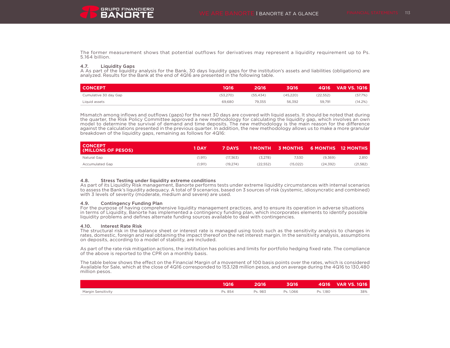The former measurement shows that potential outflows for derivatives may represent a liquidity requirement up to Ps. 5.164 billion.

### 4.7. Liquidity Gaps

A As part of the liquidity analysis for the Bank, 30 days liquidity gaps for the institution's assets and liabilities (obligations) are analyzed. Results for the Bank at the end of 4Q16 are presented in the following table.

| <b>CONCEPT</b>        | 1Q16     | 2Q16'    | 3Q16      | 4Q16     | <b>VAR VS. 1Q16</b> |
|-----------------------|----------|----------|-----------|----------|---------------------|
| Cumulative 30 day Gap | (53,270) | (55.434) | (45, 220) | (22.552) | (57.7%)             |
| Liquid assets         | 69,680   | 79.355   | 56.392    | 59.791   | (14.2%)             |

Mismatch among inflows and outflows (gaps) for the next 30 days are covered with liquid assets. It should be noted that during the quarter, the Risk Policy Committee approved a new methodology for calculating the liquidity gap, which involves an own model to determine the survival of demand and time deposits. The new methodology is the main reason for the difference against the calculations presented in the previous quarter. In addition, the new methodology allows us to make a more granular breakdown of the liquidity gaps, remaining as follows for 4Q16:

| <b>CONCEPT</b><br>(MILLONS OF PESOS) | 1 DAY   | <b>7 DAYS</b> |          | <b>1 MONTH 3 MONTHS</b> |           | 6 MONTHS 12 MONTHS |
|--------------------------------------|---------|---------------|----------|-------------------------|-----------|--------------------|
| Natural Gap                          | (1.911) | (17.363)      | (3.278)  | 7.530                   | (9.369)   | 2.810              |
| <b>Accumulated Gap</b>               | (1.911) | (19.274)      | (22.552) | (15.022)                | (24, 392) | (21,582)           |

### 4.8. Stress Testing under liquidity extreme conditions

As part of its Liquidity Risk management, Banorte performs tests under extreme liquidity circumstances with internal scenarios to assess the Bank's liquidity adequacy. A total of 9 scenarios, based on 3 sources of risk (systemic, idiosyncratic and combined) with 3 levels of severity (moderate, medium and severe) are used.

#### 4.9. Contingency Funding Plan

For the purpose of having comprehensive liquidity management practices, and to ensure its operation in adverse situations in terms of Liquidity, Banorte has implemented a contingency funding plan, which incorporates elements to identify possible liquidity problems and defines alternate funding sources available to deal with contingencies.

#### 4.10. Interest Rate Risk

The structural risk in the balance sheet or interest rate is managed using tools such as the sensitivity analysis to changes in rates, domestic, foreign and real obtaining the impact thereof on the net interest margin. In the sensitivity analysis, assumptions on deposits, according to a model of stability, are included.

As part of the rate risk mitigation actions, the institution has policies and limits for portfolio hedging fixed rate. The compliance of the above is reported to the CPR on a monthly basis.

The table below shows the effect on the Financial Margin of a movement of 100 basis points over the rates, which is considered Available for Sale, which at the close of 4Q16 corresponded to 153,128 million pesos, and on average during the 4Q16 to 130,480 million pesos.

|                    | 1Q16    | 2Q16'   | 3Q16      |           | 4Q16 VAR VS. 1Q16 |
|--------------------|---------|---------|-----------|-----------|-------------------|
| Margin Sensitivity | Ps. 854 | Ps. 983 | Ps. 1.066 | Ps. 1.180 | 38%               |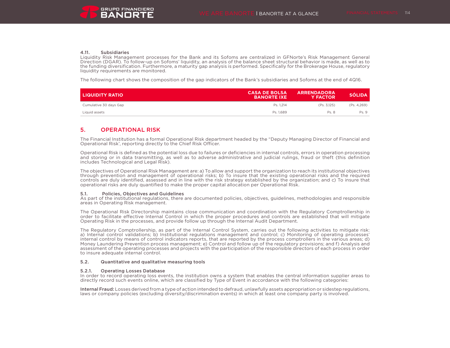

#### 4.11. Subsidiaries

Liquidity Risk Management processes for the Bank and its Sofoms are centralized in GFNorte's Risk Management General Direction (DGAR). To follow-up on Sofoms' liquidity, an analysis of the balance sheet structural behavior is made, as well as to the funding diversification. Furthermore, a maturity gap analysis is performed. Specifically for the Brokerage House, regulatory liquidity requirements are monitored.

The following chart shows the composition of the gap indicators of the Bank's subsidiaries and Sofoms at the end of 4Q16.

| I LIQUIDITY RATIO      | <b>CASA DE BOLSA</b><br><b>BANORTE IXE</b> | <b>ARRENDADORA</b><br><b>Y FACTOR</b> | <b>SÓLIDA</b> |
|------------------------|--------------------------------------------|---------------------------------------|---------------|
| Cumulative 30 days Gap | Ps. 1.214                                  | (Ps. 3.125)                           | (Ps. 4,269)   |
| Liquid assets          | Ps. 1.689                                  | Ps. 8                                 | Ps. 9         |

# 5. OPERATIONAL RISK

The Financial Institution has a formal Operational Risk department headed by the "Deputy Managing Director of Financial and Operational Risk', reporting directly to the Chief Risk Officer.

Operational Risk is defined as the potential loss due to failures or deficiencies in internal controls, errors in operation processing and storing or in data transmitting, as well as to adverse administrative and judicial rulings, fraud or theft (this definition includes Technological and Legal Risk).

The objectives of Operational Risk Management are: a) To allow and support the organization to reach its institutional objectives through prevention and management of operational risks; b) To insure that the existing operational risks and the required controls are duly identified, assessed and in line with the risk strategy established by the organization; and c) To insure that operational risks are duly quantified to make the proper capital allocation per Operational Risk.

### 5.1. Policies, Objectives and Guidelines

As part of the institutional regulations, there are documented policies, objectives, guidelines, methodologies and responsible areas in Operating Risk management.

The Operational Risk Directorship maintains close communication and coordination with the Regulatory Comptrollership in order to facilitate effective Internal Control in which the proper procedures and controls are established that will mitigate Operating Risk in the processes, and provide follow up through the Internal Audit Department.

The Regulatory Comptrollership, as part of the Internal Control System, carries out the following activities to mitigate risk: a) Internal control validations; b) Institutional regulations management and control; c) Monitoring of operating processes' internal control by means of control indicators reports, that are reported by the process comptrollers in the various areas; d) Money Laundering Prevention process management; e) Control and follow up of the regulatory provisions; and f) Analysis and assessment of the operating processes and projects with the participation of the responsible directors of each process in order to insure adequate internal control.

### 5.2. Quantitative and qualitative measuring tools

#### 5.2.1. Operating Losses Database

In order to record operating loss events, the institution owns a system that enables the central information supplier areas to directly record such events online, which are classified by Type of Event in accordance with the following categories:

Internal Fraud: Losses derived from a type of action intended to defraud, unlawfully assets appropriation or sidestep regulations, laws or company policies (excluding diversity/discrimination events) in which at least one company party is involved.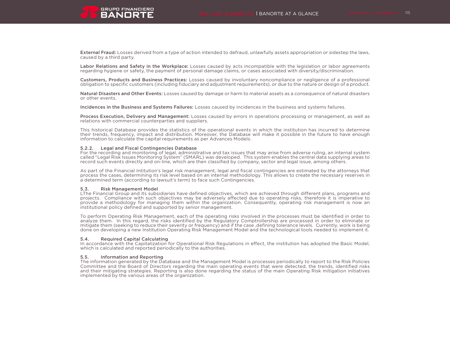

External Fraud: Losses derived from a type of action intended to defraud, unlawfully assets appropriation or sidestep the laws, caused by a third party.

Labor Relations and Safety in the Workplace: Losses caused by acts incompatible with the legislation or labor agreements regarding hygiene or safety, the payment of personal damage claims, or cases associated with diversity/discrimination.

Customers, Products and Business Practices: Losses caused by involuntary noncompliance or negligence of a professional obligation to specific customers (including fiduciary and adjustment requirements), or due to the nature or design of a product.

Natural Disasters and Other Events: Losses caused by damage or harm to material assets as a consequence of natural disasters or other events.

Incidences in the Business and Systems Failures: Losses caused by incidences in the business and systems failures.

Process Execution, Delivery and Management: Losses caused by errors in operations processing or management, as well as relations with commercial counterparties and suppliers.

This historical Database provides the statistics of the operational events in which the institution has incurred to determine their trends, frequency, impact and distribution. Moreover, the Database will make it possible in the future to have enough information to calculate the capital requirements as per Advances Models.

#### 5.2.2. Legal and Fiscal Contingencies Database

For the recording and monitoring of legal, administrative and tax issues that may arise from adverse ruling, an internal system called "Legal Risk Issues Monitoring System" (SMARL) was developed. This system enables the central data supplying areas to record such events directly and on-line, which are then classified by company, sector and legal issue, among others.

As part of the Financial Intitution's legal risk management, legal and fiscal contingencies are estimated by the attorneys that process the cases, determining its risk level based on an internal methodology. This allows to create the necessary reserves in a determined term (according to lawsuit's term) to face such Contingencies.

#### 5.3. Risk Management Model

LThe Financial Group and its subsidiaries have defined objectives, which are achieved through different plans, programs and projects. Compliance with such objectives may be adversely affected due to operating risks, therefore it is imperative to provide a methodology for managing them within the organization. Consequently, operating risk management is now an institutional policy defined and supported by senior management.

To perform Operating Risk Management, each of the operating risks involved in the processes must be identified in order to analyze them. In this regard, the risks identified by the Regulatory Comptrollership are processed in order to eliminate or mitigate them (seeking to reduce their severity or frequency) and if the case ,defining tolerance levels. Currently, work is being done on developing a new Institution Operating Risk Management Model and the technological tools needed to implement it.

#### 5.4. Required Capital Calculating

In accordance with the Capitalization for Operational Risk Regulations in effect, the institution has adopted the Basic Model, which is calculated and reported periodically to the authorities.

#### 5.5. Information and Reporting

The information generated by the Database and the Management Model is processes periodically to report to the Risk Policies Committee and the Board of Directors regarding the main operating events that were detected, the trends, identified risks and their mitigating strategies. Reporting is also done regarding the status of the main Operating Risk mitigation initiatives implemented by the various areas of the organization.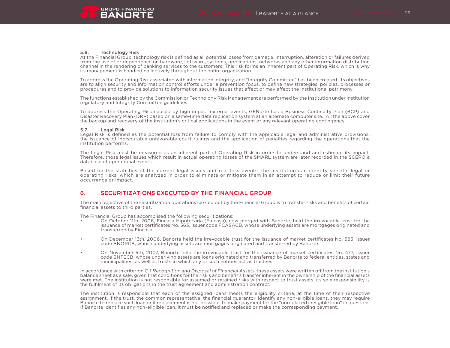### 5.6. Technology Risk

At the Financial Group, technology risk is defined as all potential losses from damage, interruption, alteration or failures derived from the use of or dependence on hardware, software, systems, applications, networks and any other information distribution channel in the rendering of banking services to the customers. This risk forms an inherent part of Operating Risk, which is why its management is handled collectively throughout the entire organization.

To address the Operating Risk associated with information integrity, and "Integrity Committee" has been created. Its objectives are to align security and information control efforts under a prevention focus, to define new strategies, policies, processes or procedures and to provide solutions to information security issues that affect or may affect the Institutional patrimony.

The functions established by the Commission or Technology Risk Management are performed by the Institution under institution regulatory and Integrity Committee guidelines.

To address the Operating Risk caused by high impact external events, GFNorte has a Business Continuity Plan (BCP) and Disaster Recovery Plan (DRP) based on a same-time data replication system at an alternate computer site. All the above cover the backup and recovery of the Institution's critical applications in the event or any relevant operating contingency.

#### 5.7. Legal Risk

Legal Risk is defined as the potential loss from failure to comply with the applicable legal and administrative provisions, the issuance of indisputable unfavorable court rulings and the application of penalties regarding the operations that the institution performs.

The Legal Risk must be measured as an inherent part of Operating Risk in order to understand and estimate its impact. Therefore, those legal issues which result in actual operating losses of the SMARL system are later recorded in the SCERO a database of operational events.

Based on the statistics of the current legal issues and real loss events, the Institution can identify specific legal or operating risks, which are analyzed in order to eliminate or mitigate them in an attempt to reduce or limit their future occurrence or impact.

# 6. SECURITIZATIONS EXECUTED BY THE FINANCIAL GROUP

The main objective of the securitization operations carried out by the Financial Group is to transfer risks and benefits of certain financial assets to third parties.

The Financial Group has accomplised the following securitizations:

- On October 11th, 2006, Fincasa Hipotecaria (Fincasa), now merged with Banorte, held the irrevocable trust for the issuance of market certificates No. 563, issuer code FCASACB, whose underlying assets are mortgages originated and transferred by Fincasa.
- On December 13th, 2006, Banorte held the irrevocable trust for the issuance of market certificates No. 583, issuer code BNORCB, whose underlying assets are mortgages originated and transferred by Banorte.
- On November 5th, 2007, Banorte held the irrevocable trust for the issuance of market certificates No. 477, issuer code BNTECB, whose underlying assets are loans originated and transferred by Banorte to federal entities, states and municipalities, as well as trusts in which any of such entities act as trustees

In accordance with criterion C-1 Recognition and Disposal of Financial Assets, these assets were written off from the institution's balance sheet as a sale, given that conditions for the risk's and benefit's transfer inherent in the ownership of the financial assets were met. The institution is not responsible for assumed or retained risks with respect to trust assets, its sole responsibility is the fulfilment of its obligations in the trust agreement and administration contract.

The institution is responsible that each of the assigned loans meets the eligibility criteria, at the time of their respective assignment. If the trust, the common representative, the financial guarantor, identify any non-eligible loans, they may require Banorte to replace such loan or if replacement is not possible, to make payment for the "unreplaced ineligible loan" in question. If Banorte identifies any non-eligible loan, it must be notified and replaced or make the corresponding payment.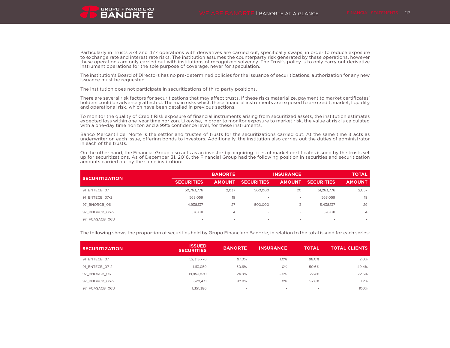Particularly in Trusts 374 and 477 operations with derivatives are carried out, specifically swaps, in order to reduce exposure to exchange rate and interest rate risks. The institution assumes the counterparty risk generated by these operations, however these operations are only carried out with institutions of recognized solvency. The Trust's policy is to only carry out derivative instrument operations for the sole purpose of coverage, never for speculation.

The institution's Board of Directors has no pre-determined policies for the issuance of securitizations, authorization for any new issuance must be requested.

The institution does not participate in securitizations of third party positions.

There are several risk factors for securitizations that may affect trusts. If these risks materialize, payment to market certificates' holders could be adversely affected. The main risks which these financial instruments are exposed to are credit, market, liquidity and operational risk, which have been detailed in previous sections.

To monitor the quality of Credit Risk exposure of financial instruments arising from securitized assets, the institution estimates expected loss within one-year time horizon. Likewise, in order to monitor exposure to market risk, the value at risk is calculated with a one-day time horizon and a 99% confidence level, for these instruments.

Banco Mercantil del Norte is the settlor and trustee of trusts for the securitizations carried out. At the same time it acts as underwriter on each issue, offering bonds to investors. Additionally, the institution also carries out the duties of administrator in each of the trusts.

On the other hand, the Financial Group also acts as an investor by acquiring titles of market certificates issued by the trusts set up for securitizations. As of December 31, 2016, the Financial Group had the following position in securities and securitization amounts carried out by the same institution:

|                       |                   | <b>BANORTE</b>           |                          | <b>INSURANCE</b>         |                   | <b>TOTAL</b>  |
|-----------------------|-------------------|--------------------------|--------------------------|--------------------------|-------------------|---------------|
| <b>SECURITIZATION</b> | <b>SECURITIES</b> | <b>AMOUNT</b>            | <b>SECURITIES</b>        | <b>AMOUNT</b>            | <b>SECURITIES</b> | <b>AMOUNT</b> |
| 91 BNTECB 07          | 50,763,776        | 2.037                    | 500,000                  | 20                       | 51,263,776        | 2,057         |
| 91 BNTECB 07-2        | 563.059           | 19                       | $\,$                     | $\,$                     | 563,059           | 19            |
| 97 BNORCB 06          | 4,938,137         | 27                       | 500,000                  | C.                       | 5,438,137         | 29            |
| 97 BNORCB 06-2        | 576,011           | 4                        | $\overline{\phantom{a}}$ | $\overline{\phantom{a}}$ | 576.011           | 4             |
| 97 FCASACB 06U        | $\sim$            | $\overline{\phantom{a}}$ | $\overline{\phantom{a}}$ | $\overline{\phantom{a}}$ | $\sim$            |               |

The following shows the proportion of securities held by Grupo Financiero Banorte, in relation to the total issued for each series:

| <b>SECURITIZATION</b> | <b>ISSUED</b><br><b>SECURITIES</b> | <b>BANORTE</b> | <b>INSURANCE</b> | <b>TOTAL</b> | <b>TOTAL CLIENTS</b> |
|-----------------------|------------------------------------|----------------|------------------|--------------|----------------------|
| 91 BNTECB 07          | 52,313,776                         | 97.0%          | 1.0%             | 98.0%        | 2.0%                 |
| 91 BNTECB 07-2        | 1,113,059                          | 50.6%          | 0%               | 50.6%        | 49.4%                |
| 97 BNORCB 06          | 19.853.820                         | 24.9%          | 2.5%             | 27.4%        | 72.6%                |
| 97 BNORCB 06-2        | 620.431                            | 92.8%          | O%               | 92.8%        | 7.2%                 |
| 97 FCASACB 06U        | 1,351,386                          |                |                  | $\sim$       | 100%                 |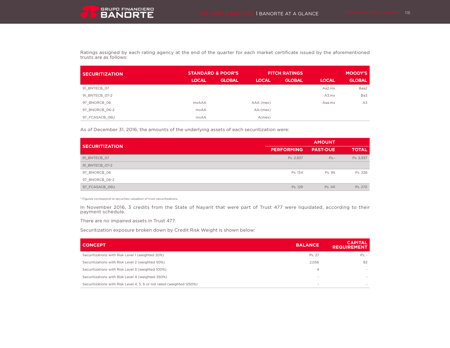

Ratings assigned by each rating agency at the end of the quarter for each market certificate issued by the aforementioned trusts are as follows:

| <b>STANDARD &amp; POOR'S</b><br><b>SECURITIZATION</b> |              |               | <b>FITCH RATINGS</b> | <b>MOODY'S</b> |              |               |
|-------------------------------------------------------|--------------|---------------|----------------------|----------------|--------------|---------------|
|                                                       | <b>LOCAL</b> | <b>GLOBAL</b> | <b>LOCAL</b>         | <b>GLOBAL</b>  | <b>LOCAL</b> | <b>GLOBAL</b> |
| 91 BNTECB 07                                          |              |               |                      |                | Aa2.mx       | Baa2          |
| 91 BNTECB 07-2                                        |              |               |                      |                | A3.mx        | Ba3           |
| 97 BNORCB 06                                          | <b>mxAAA</b> |               | AAA (mex)            |                | Aaa.mx       | A3            |
| 97 BNORCB 06-2                                        | <b>mxAA</b>  |               | $AA-(\text{mex})$    |                |              |               |
| 97 FCASACB 06U                                        | <b>mxAA</b>  |               | A(mex)               |                |              |               |

As of December 31, 2016, the amounts of the underlying assets of each securitization were:

|                       | <b>AMOUNT</b>     |                 |              |  |
|-----------------------|-------------------|-----------------|--------------|--|
| <b>SECURITIZATION</b> | <b>PERFORMING</b> | <b>PAST-DUE</b> | <b>TOTAL</b> |  |
| 91 BNTECB 07          | Ps. 2,937         | $Ps. -$         | Ps. 2,937    |  |
| 91 BNTECB 07-2        |                   |                 |              |  |
| 97_BNORCB_06          | Ps. 134           | Ps. 95          | Ps. 228      |  |
| 97_BNORCB_06-2        |                   |                 |              |  |
| 97 FCASACB 06U        | Ps. 129           | Ps. 141         | Ps. 270      |  |

\* Figures correspond to securities valuation of trust securitizations.

In November 2016, 3 credits from the State of Nayarit that were part of Trust 477 were liquidated, according to their payment schedule.

There are no impaired assets in Trust 477.

Securitization exposure broken down by Credit Risk Weight is shown below:

| <b>CONCEPT</b>                                                        | <b>BALANCE</b> | <b>CAPITAL</b><br><b>REQUIREMENT</b> |
|-----------------------------------------------------------------------|----------------|--------------------------------------|
| Securitizations with Risk Level 1 (weighted 20%)                      | Ps. 27         | $Ps. -$                              |
| Securitizations with Risk Level 2 (weighted 50%)                      | 2,056          | 82                                   |
| Securitizations with Risk Level 3 (weighted 100%)                     | 4              |                                      |
| Securitizations with Risk Level 4 (weighted 350%)                     | $\sim$         |                                      |
| Securitizations with Risk Level 4, 5, 6 or not rated (weighted 1250%) |                |                                      |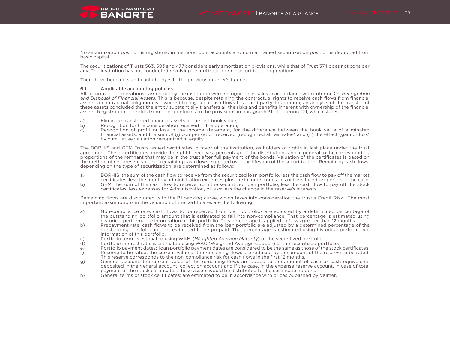

No securitization position is registered in memorandum accounts and no maintained securitization position is deducted from basic capital.

The securitizations of Trusts 563, 583 and 477 considers early amortization provisions, while that of Trust 374 does not consider any. The institution has not conducted revolving securitization or re-securitization operations.

There have been no significant changes to the previous quarter's figures.

#### 6.1. Applicable accounting policies

All securitization operations carried out by the institution were recognized as sales in accordance with criterion C-1 Recognition and Disposal of Financial Assets. This is because, despite retaining the contractual rights to receive cash flows from financial assets, a contractual obligation is assumed to pay such cash flows to a third party. In addition, an analysis of the transfer of these assets concluded that the entity substantially transfers all the risks and benefits inherent with ownership of the financial assets. Registration of profits from sales conforms to the provisions in paragraph 31 of criterion C-1, which states:

- a) Eliminate transferred financial assets at the last book value;<br>b) Recognition for the consideration received in the operation;
- b) Recognition for the consideration received in the operation;<br>c) Recognition of profit or loss in the income statement, for
- Recognition of profit or loss in the income statement, for the difference between the book value of eliminated financial assets, and the sum of (i) compensation received (recognized at fair value) and (ii) the effect (gain or loss) by cumulative valuation recognized in equity.

The BORHIS and GEM Trusts issued certificates in favor of the institution, as holders of rights in last place under the trust agreement. These certificates provide the right to receive a percentage of the distributions and in general to the corresponding proportions of the remnant that may be in the trust after full payment of the bonds. Valuation of the certificates is based on the method of net present value of remaining cash flows expected over the lifespan of the securitization. Remaining cash flows, depending on the type of securitization, are determined as follows:

- a) BORHIS: the sum of the cash flow to receive from the securitized loan portfolio, less the cash flow to pay off the market certificates, less the monthly administration expenses plus the income from sales of foreclosed properties, if the case.
- b) GEM: the sum of the cash flow to receive from the securitized loan portfolio, less the cash flow to pay off the stock certificates, less expenses for Administration, plus or less the change in the reserve's interests.

Remaining flows are discounted with the B1 banking curve, which takes into consideration the trust's Credit Risk. The most important assumptions in the valuation of the certificates are the following:

- a) Non-compliance rate: cash flows to be received from loan portfolios are adjusted by a determined percentage of the outstanding portfolio amount that is estimated to fall into non-compliance. That percentage is estimated using historical performance information of this portfolio. This percentage is applied to flows greater than 12 months.
- b) Prepayment rate: cash flows to be received from the loan portfolio are adjusted by a determined percentage of the outstanding portfolio amount estimated to be prepaid. That percentage is estimated using historical performance information of this portfolio.
- c) Portfolio term: is estimated using WAM (Weighted Average Maturity) of the securitized portfolio.
- d) Portfolio interest rate: is estimated using WAC (Weighted Average Coupon) of the securitized portfolio.
- e) Portfolio payment dates: loan portfolio payment dates are considered to be the same as those of the stock certificates.<br>
f) Reserve to be rated: the current value of the remaining flows are reduced by the amount of the
- f) Reserve to be rated: the current value of the remaining flows are reduced by the amount of the reserve to be rated. This reserve corresponds to the non-compliance risk for cash flows in the first 12 months.
- g) General account: the current value of the remaining flows are added to the amount of cash or cash equivalents deposited in the general account, collection account and if the case, in the expense reserve account, in case of total payment of the stock certificates, these assets would be distributed to the certificate holders.
- h) General terms of stock certificates: are estimated to be in accordance with prices published by Valmer.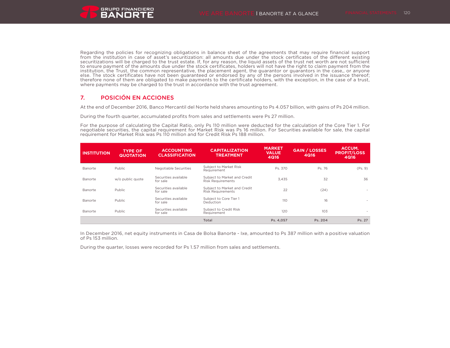Regarding the policies for recognizing obligations in balance sheet of the agreements that may require financial support from the institution in case of asset's securitization: all amounts due under the stock certificates of the different existing securitizations will be charged to the trust estate. If, for any reason, the liquid assets of the trust net worth are not sufficient to ensure payment of the amounts due under the stock certificates, holders will not have the right to claim payment from the institution, the Trust, the common representative, the placement agent, the guarantor or guarantors in the case,, or anyone else. The stock certificates have not been guaranteed or endorsed by any of the persons involved in the issuance thereof; therefore none of them are obligated to make payments to the certificate holders, with the exception, in the case of a trust, where payments may be charged to the trust in accordance with the trust agreement.

# 7. POSICIÓN EN ACCIONES

At the end of December 2016, Banco Mercantil del Norte held shares amounting to Ps 4.057 billion, with gains of Ps 204 million.

During the fourth quarter, accumulated profits from sales and settlements were Ps 27 million.

For the purpose of calculating the Capital Ratio, only Ps 110 million were deducted for the calculation of the Core Tier 1. For negotiable securities, the capital requirement for Market Risk was Ps 16 million. For Securities available for sale, the capital requirement for Market Risk was Ps 110 million and for Credit Risk Ps 188 million.

| <b>INSTITUTION</b> | <b>TYPE OF</b><br><b>QUOTATION</b> | <b>ACCOUNTING</b><br><b>CLASSIFICATION</b> | <b>CAPITALIZATION</b><br><b>TREATMENT</b>                | <b>MARKET</b><br><b>VALUE</b><br>4Q16 | <b>GAIN / LOSSES</b><br>4Q16 | ACCUM.<br><b>PROFIT/LOSS</b><br><b>4Q16</b> |
|--------------------|------------------------------------|--------------------------------------------|----------------------------------------------------------|---------------------------------------|------------------------------|---------------------------------------------|
| Banorte            | Public                             | Negotiable Securities                      | Subject to Market Risk<br>Requirement                    | Ps. 370                               | Ps. 76                       | (Ps. 9)                                     |
| Banorte            | w/o public quote                   | Securities available<br>for sale           | Subject to Market and Credit<br><b>Risk Requirements</b> | 3.435                                 | 32                           | 36                                          |
| Banorte            | <b>Public</b>                      | Securities available<br>for sale           | Subject to Market and Credit<br><b>Risk Requirements</b> | 22                                    | (24)                         | $\sim$                                      |
| Banorte            | Public                             | Securities available<br>for sale           | Subject to Core Tier 1<br>Deduction                      | 110                                   | 16                           |                                             |
| Banorte            | Public                             | Securities available<br>for sale           | Subject to Credit Risk<br>Requirement                    | 120                                   | 103                          |                                             |
|                    |                                    |                                            | Total                                                    | Ps. 4,057                             | Ps. 204                      | Ps. 27                                      |

In December 2016, net equity instruments in Casa de Bolsa Banorte - Ixe, amounted to Ps 387 million with a positive valuation of Ps 153 million.

During the quarter, losses were recorded for Ps 1.57 million from sales and settlements.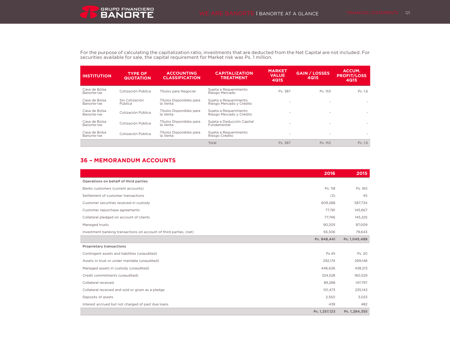For the purpose of calculating the capitalization ratio, investments that are deducted from the Net Capital are not included. For securities available for sale, the capital requirement for Market risk was Ps. 1 million.

| <b>INSTITUTION</b>           | <b>TYPE OF</b><br><b>QUOTATION</b> | <b>ACCOUNTING</b><br><b>CLASSIFICATION</b> | <b>CAPITALIZATION</b><br><b>TREATMENT</b>          | <b>MARKET</b><br><b>VALUE</b><br><b>4Q15</b> | <b>GAIN / LOSSES</b><br>4Q15 | <b>ACCUM.</b><br><b>PROFIT/LOSS</b><br><b>4Q15</b> |
|------------------------------|------------------------------------|--------------------------------------------|----------------------------------------------------|----------------------------------------------|------------------------------|----------------------------------------------------|
| Casa de Bolsa<br>Banorte-Ixe | Cotización Pública                 | Títulos para Negociar                      | Sujeta a Requerimiento<br>Riesgo Mercado           | Ps. 387                                      | Ps. 153                      | Ps. 1.6                                            |
| Casa de Bolsa<br>Banorte-Ixe | Sin Cotización<br>Pública          | Títulos Disponibles para<br>la Venta       | Suieta a Requerimiento<br>Riesgo Mercado y Crédito |                                              | ٠                            |                                                    |
| Casa de Bolsa<br>Banorte-Ixe | Cotización Pública                 | Títulos Disponibles para<br>la Venta       | Suieta a Requerimiento<br>Riesgo Mercado y Crédito |                                              | $\overline{\phantom{a}}$     |                                                    |
| Casa de Bolsa<br>Banorte-Ixe | Cotización Pública                 | Títulos Disponibles para<br>la Venta       | Sujeta a Deducción Capital<br>Fundamental          | ×.                                           | $\overline{\phantom{a}}$     |                                                    |
| Casa de Bolsa<br>Banorte-Ixe | Cotización Pública                 | Títulos Disponibles para<br>la Venta       | Suieta a Requerimiento<br>Riesgo Crédito           |                                              | $\overline{\phantom{a}}$     |                                                    |
|                              |                                    |                                            | Total                                              | Ps. 387                                      | Ps. 153                      | Ps. 1.6                                            |

# **36 – MEMORANDUM ACCOUNTS**

|                                                                    | 2016          | 2015          |
|--------------------------------------------------------------------|---------------|---------------|
| Operations on behalf of third parties                              |               |               |
| Banks customers (current accounts)                                 | Ps. 118       | Ps. 165       |
| Settlement of customer transactions                                | (3)           | 45            |
| Customer securities received in custody                            | 609,288       | 587,734       |
| Customer repurchase agreements                                     | 77.781        | 145,667       |
| Collateral pledged on account of clients                           | 77.746        | 145,225       |
| Managed trusts                                                     | 90,205        | 87,009        |
| Investment banking transactions on account of third parties, (net) | 93,306        | 79,643        |
|                                                                    | Ps. 948,441   | Ps. 1,045,488 |
| <b>Proprietary transactions</b>                                    |               |               |
| Contingent assets and liabilities (unaudited)                      | Ps.45         | Ps. 20        |
| Assets in trust or under mandate (unaudited)                       | 292,174       | 299,148       |
| Managed assets in custody (unaudited)                              | 446,626       | 438,213       |
| Credit commitments (unaudited)                                     | 324,528       | 160,529       |
| Collateral received                                                | 89,288        | 147,797       |
| Collateral received and sold or given as a pledge                  | 101,473       | 235,143       |
| Deposits of assets                                                 | 2,550         | 3,023         |
| Interest accrued but not charged of past due loans                 | 439           | 482           |
|                                                                    | Ps. 1,257,123 | Ps. 1,284,355 |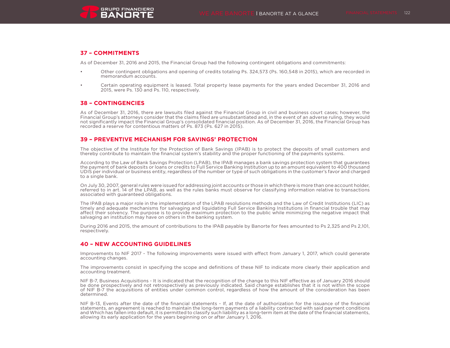

# **37 – COMMITMENTS**

As of December 31, 2016 and 2015, the Financial Group had the following contingent obligations and commitments:

- Other contingent obligations and opening of credits totaling Ps. 324,573 (Ps. 160,548 in 2015), which are recorded in memorandum accounts.
- Certain operating equipment is leased. Total property lease payments for the years ended December 31, 2016 and 2015, were Ps. 130 and Ps. 110, respectively.

# **38 – CONTINGENCIES**

As of December 31, 2016, there are lawsuits filed against the Financial Group in civil and business court cases; however, the Financial Group's attorneys consider that the claims filed are unsubstantiated and, in the event of an adverse ruling, they would not significantly impact the Financial Group's consolidated financial position. As of December 31, 2016, the Financial Group has recorded a reserve for contentious matters of Ps. 873 (Ps. 627 in 2015).

# **39 – PREVENTIVE MECHANISM FOR SAVINGS' PROTECTION**

The objective of the Institute for the Protection of Bank Savings (IPAB) is to protect the deposits of small customers and thereby contribute to maintain the financial system's stability and the proper functioning of the payments systems.

According to the Law of Bank Savings Protection (LPAB), the IPAB manages a bank savings protection system that guarantees the payment of bank deposits or loans or credits to Full Service Banking Institution up to an amount equivalent to 400 thousand UDIS per individual or business entity, regardless of the number or type of such obligations in the customer's favor and charged to a single bank.

On July 30, 2007, general rules were issued for addressing joint accounts or those in which there is more than one account holder, referred to in art. 14 of the LPAB, as well as the rules banks must observe for classifying information relative to transactions associated with guaranteed obligations.

The IPAB plays a major role in the implementation of the LPAB resolutions methods and the Law of Credit Institutions (LIC) as timely and adequate mechanisms for salvaging and liquidating Full Service Banking Institutions in financial trouble that may affect their solvency. The purpose is to provide maximum protection to the public while minimizing the negative impact that salvaging an institution may have on others in the banking system.

During 2016 and 2015, the amount of contributions to the IPAB payable by Banorte for fees amounted to Ps 2,325 and Ps 2,101, respectively.

# **40 – NEW ACCOUNTING GUIDELINES**

Improvements to NIF 2017 - The following improvements were issued with effect from January 1, 2017, which could generate accounting changes.

The improvements consist in specifying the scope and definitions of these NIF to indicate more clearly their application and accounting treatment.

NIF B-7, Business Acquisitions - It is indicated that the recognition of the change to this NIF effective as of January 2016 should be done prospectively and not retrospectively as previously indicated. Said change establishes that it is not within the scope of NIF B-7 the acquisitions of entities under common control, regardless of how the amount of the consideration has been determined.

NIF B-13, Events after the date of the financial statements - If, at the date of authorization for the issuance of the financial statements, an agreement is reached to maintain the long-term payments of a liability contracted with said payment conditions and Which has fallen into default, it is permitted to classify such liability as a long-term item at the date of the financial statements, allowing its early application for the years beginning on or after January 1, 2016.